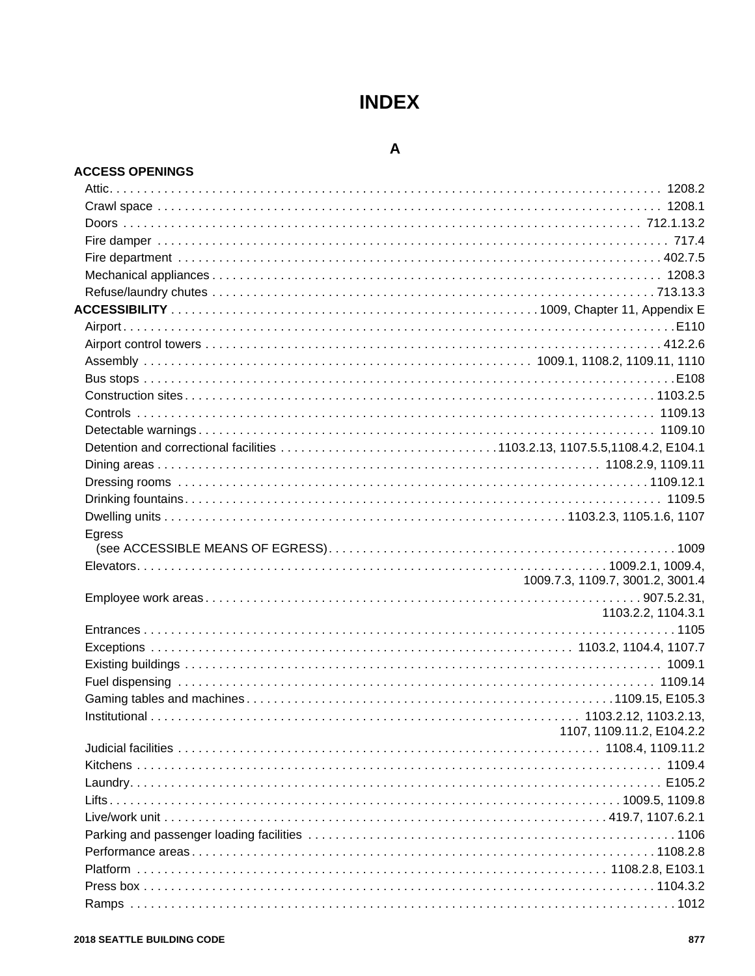# **INDEX**

## $\mathbf{A}$

#### **ACCESS OPENINGS**

| Egress |                                  |
|--------|----------------------------------|
|        |                                  |
|        |                                  |
|        | 1009.7.3, 1109.7, 3001.2, 3001.4 |
|        | 1103.2.2, 1104.3.1               |
|        |                                  |
|        |                                  |
|        |                                  |
|        |                                  |
|        |                                  |
|        |                                  |
|        | 1107, 1109.11.2, E104.2.2        |
|        |                                  |
|        |                                  |
|        |                                  |
|        |                                  |
|        |                                  |
|        |                                  |
|        |                                  |
|        |                                  |
|        |                                  |
|        |                                  |
|        |                                  |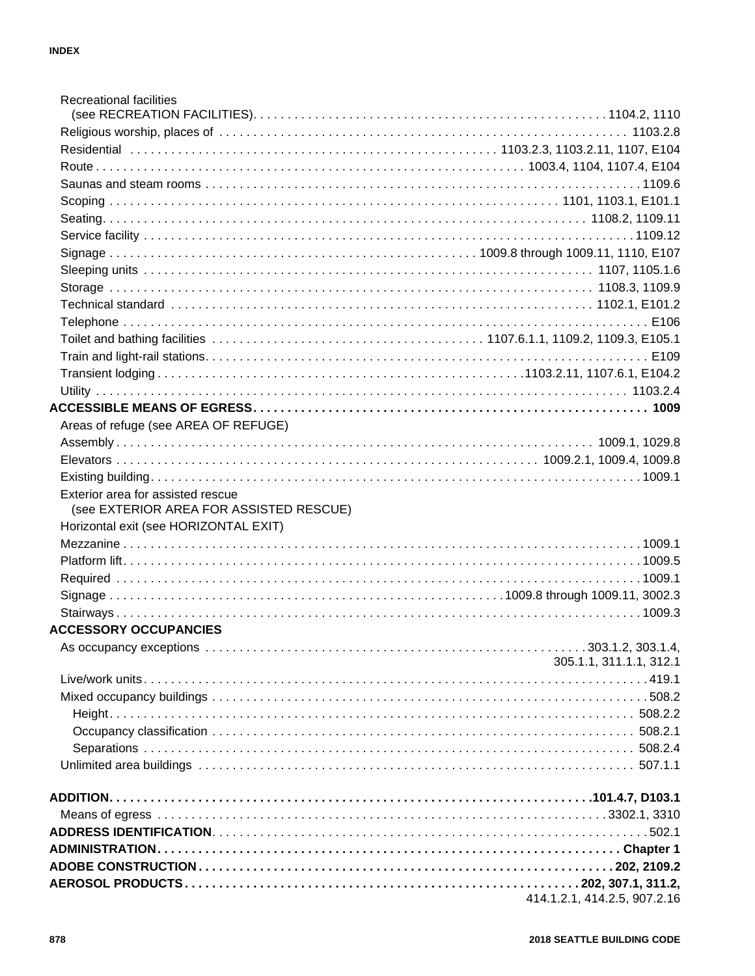| <b>Recreational facilities</b>                                               |                              |
|------------------------------------------------------------------------------|------------------------------|
|                                                                              |                              |
|                                                                              |                              |
|                                                                              |                              |
|                                                                              |                              |
|                                                                              |                              |
|                                                                              |                              |
|                                                                              |                              |
|                                                                              |                              |
|                                                                              |                              |
|                                                                              |                              |
|                                                                              |                              |
|                                                                              |                              |
|                                                                              |                              |
|                                                                              |                              |
|                                                                              |                              |
|                                                                              |                              |
|                                                                              |                              |
| Areas of refuge (see AREA OF REFUGE)                                         |                              |
|                                                                              |                              |
|                                                                              |                              |
|                                                                              |                              |
| Exterior area for assisted rescue<br>(see EXTERIOR AREA FOR ASSISTED RESCUE) |                              |
| Horizontal exit (see HORIZONTAL EXIT)                                        |                              |
|                                                                              |                              |
|                                                                              |                              |
|                                                                              |                              |
|                                                                              |                              |
|                                                                              |                              |
| <b>ACCESSORY OCCUPANCIES</b>                                                 |                              |
|                                                                              | 305.1.1, 311.1.1, 312.1      |
|                                                                              |                              |
|                                                                              |                              |
|                                                                              |                              |
|                                                                              |                              |
|                                                                              |                              |
|                                                                              |                              |
|                                                                              |                              |
|                                                                              |                              |
|                                                                              |                              |
|                                                                              |                              |
|                                                                              |                              |
|                                                                              |                              |
|                                                                              | 414.1.2.1, 414.2.5, 907.2.16 |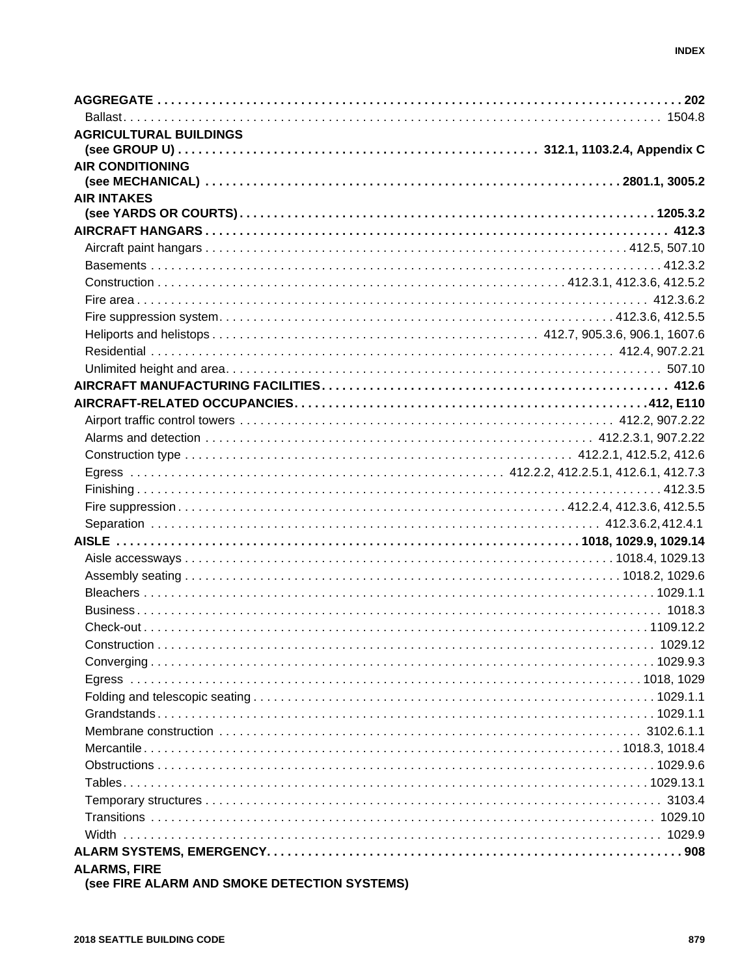| <b>AGRICULTURAL BUILDINGS</b>                                                                                                                                                                                                                                                     |  |
|-----------------------------------------------------------------------------------------------------------------------------------------------------------------------------------------------------------------------------------------------------------------------------------|--|
|                                                                                                                                                                                                                                                                                   |  |
| <b>AIR CONDITIONING</b>                                                                                                                                                                                                                                                           |  |
|                                                                                                                                                                                                                                                                                   |  |
| <b>AIR INTAKES</b>                                                                                                                                                                                                                                                                |  |
|                                                                                                                                                                                                                                                                                   |  |
|                                                                                                                                                                                                                                                                                   |  |
|                                                                                                                                                                                                                                                                                   |  |
|                                                                                                                                                                                                                                                                                   |  |
|                                                                                                                                                                                                                                                                                   |  |
|                                                                                                                                                                                                                                                                                   |  |
|                                                                                                                                                                                                                                                                                   |  |
|                                                                                                                                                                                                                                                                                   |  |
|                                                                                                                                                                                                                                                                                   |  |
|                                                                                                                                                                                                                                                                                   |  |
|                                                                                                                                                                                                                                                                                   |  |
|                                                                                                                                                                                                                                                                                   |  |
|                                                                                                                                                                                                                                                                                   |  |
|                                                                                                                                                                                                                                                                                   |  |
|                                                                                                                                                                                                                                                                                   |  |
|                                                                                                                                                                                                                                                                                   |  |
|                                                                                                                                                                                                                                                                                   |  |
|                                                                                                                                                                                                                                                                                   |  |
|                                                                                                                                                                                                                                                                                   |  |
|                                                                                                                                                                                                                                                                                   |  |
|                                                                                                                                                                                                                                                                                   |  |
|                                                                                                                                                                                                                                                                                   |  |
|                                                                                                                                                                                                                                                                                   |  |
|                                                                                                                                                                                                                                                                                   |  |
|                                                                                                                                                                                                                                                                                   |  |
| $\sum_{i=1}^{n}$ Construction and $\sum_{i=1}^{n}$ and $\sum_{i=1}^{n}$ and $\sum_{i=1}^{n}$ and $\sum_{i=1}^{n}$ and $\sum_{i=1}^{n}$ and $\sum_{i=1}^{n}$ and $\sum_{i=1}^{n}$ and $\sum_{i=1}^{n}$ and $\sum_{i=1}^{n}$ and $\sum_{i=1}^{n}$ and $\sum_{i=1}^{n}$ and $\sum_{$ |  |
|                                                                                                                                                                                                                                                                                   |  |
|                                                                                                                                                                                                                                                                                   |  |
|                                                                                                                                                                                                                                                                                   |  |
|                                                                                                                                                                                                                                                                                   |  |
|                                                                                                                                                                                                                                                                                   |  |
|                                                                                                                                                                                                                                                                                   |  |
|                                                                                                                                                                                                                                                                                   |  |
|                                                                                                                                                                                                                                                                                   |  |
|                                                                                                                                                                                                                                                                                   |  |
|                                                                                                                                                                                                                                                                                   |  |
|                                                                                                                                                                                                                                                                                   |  |
|                                                                                                                                                                                                                                                                                   |  |
| <b>ALARMS, FIRE</b>                                                                                                                                                                                                                                                               |  |

(see FIRE ALARM AND SMOKE DETECTION SYSTEMS)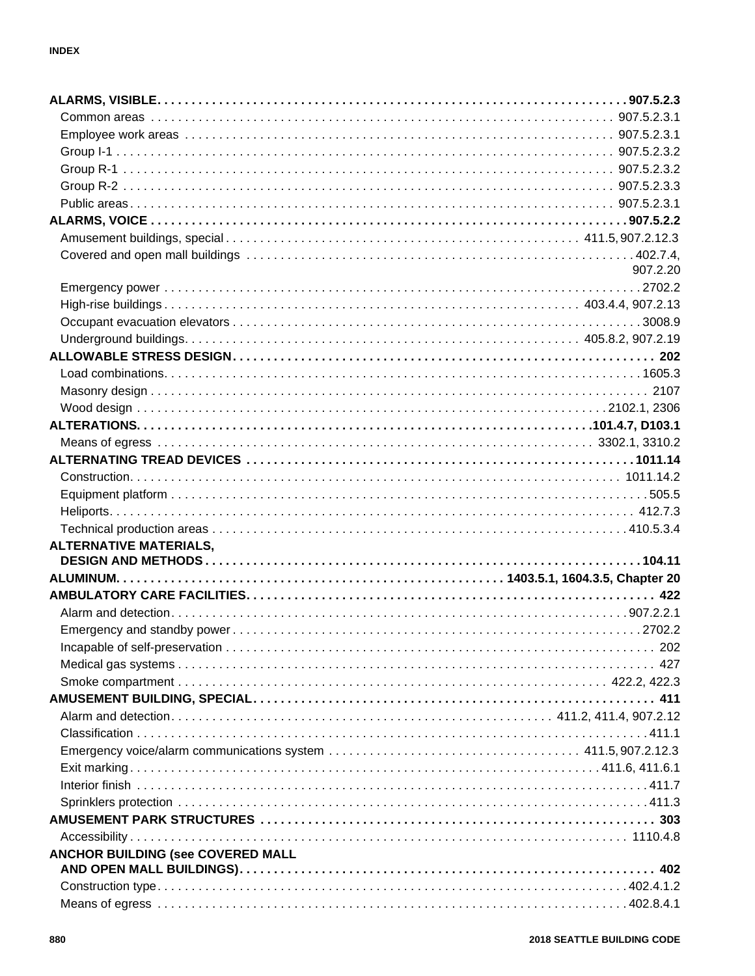|                                   | 907.2.20 |
|-----------------------------------|----------|
|                                   |          |
|                                   |          |
|                                   |          |
|                                   |          |
|                                   |          |
|                                   |          |
|                                   |          |
|                                   |          |
|                                   |          |
|                                   |          |
|                                   |          |
|                                   |          |
|                                   |          |
|                                   |          |
|                                   |          |
| <b>ALTERNATIVE MATERIALS,</b>     |          |
|                                   |          |
|                                   |          |
|                                   |          |
|                                   |          |
|                                   |          |
|                                   |          |
|                                   |          |
|                                   |          |
|                                   |          |
|                                   |          |
|                                   |          |
|                                   |          |
|                                   |          |
|                                   |          |
|                                   |          |
|                                   |          |
|                                   |          |
| ANCHOR BUILDING (see COVERED MALL |          |
|                                   |          |
|                                   |          |
|                                   |          |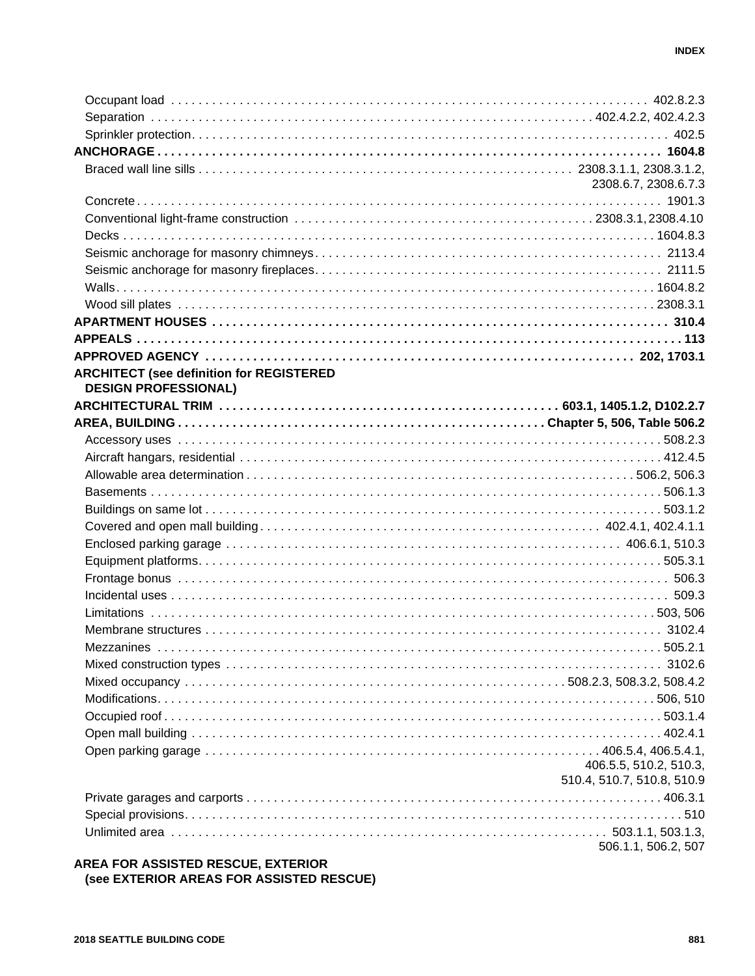|                                                 | 2308.6.7, 2308.6.7.3       |
|-------------------------------------------------|----------------------------|
|                                                 |                            |
|                                                 |                            |
|                                                 |                            |
|                                                 |                            |
|                                                 |                            |
|                                                 |                            |
|                                                 |                            |
|                                                 |                            |
|                                                 |                            |
|                                                 |                            |
| <b>ARCHITECT (see definition for REGISTERED</b> |                            |
| <b>DESIGN PROFESSIONAL)</b>                     |                            |
|                                                 |                            |
|                                                 |                            |
|                                                 |                            |
|                                                 |                            |
|                                                 |                            |
|                                                 |                            |
|                                                 |                            |
|                                                 |                            |
|                                                 |                            |
|                                                 |                            |
|                                                 |                            |
|                                                 |                            |
|                                                 |                            |
|                                                 |                            |
|                                                 |                            |
|                                                 |                            |
|                                                 |                            |
|                                                 |                            |
|                                                 |                            |
|                                                 |                            |
|                                                 |                            |
|                                                 | 406.5.5, 510.2, 510.3,     |
|                                                 | 510.4, 510.7, 510.8, 510.9 |
|                                                 |                            |
|                                                 |                            |
|                                                 |                            |
|                                                 | 506.1.1, 506.2, 507        |

#### AREA FOR ASSISTED RESCUE, EXTERIOR (see EXTERIOR AREAS FOR ASSISTED RESCUE)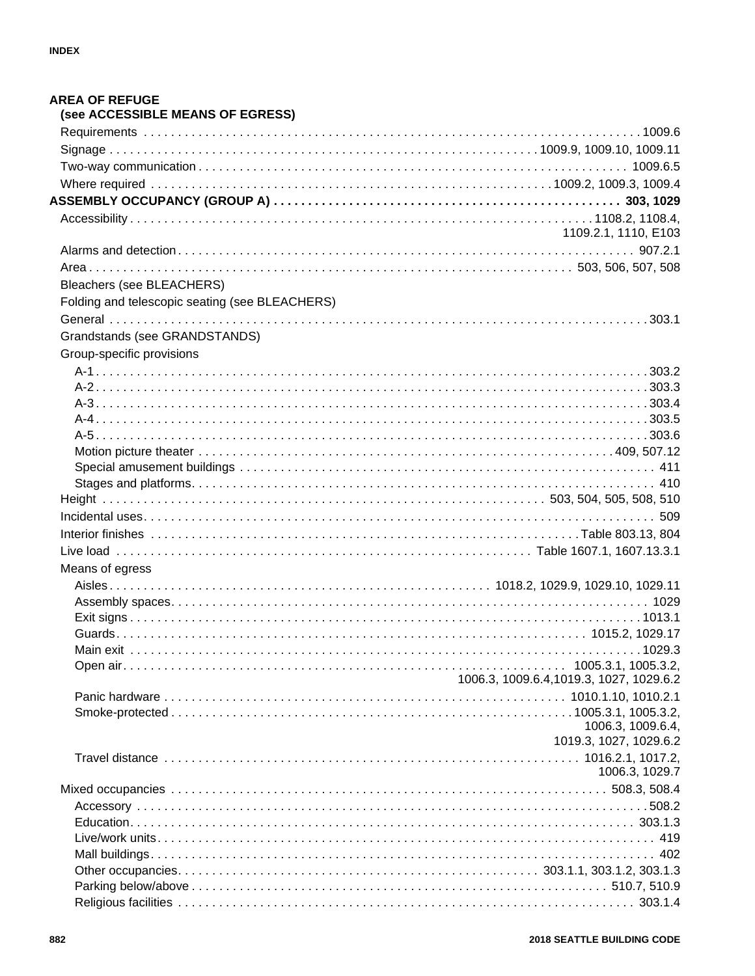| <b>AREA OF REFUGE</b><br>(see ACCESSIBLE MEANS OF EGRESS) |
|-----------------------------------------------------------|
|                                                           |
|                                                           |
|                                                           |
|                                                           |
|                                                           |
|                                                           |
| 1109.2.1, 1110, E103                                      |
|                                                           |
|                                                           |
|                                                           |
| Bleachers (see BLEACHERS)                                 |
| Folding and telescopic seating (see BLEACHERS)            |
|                                                           |
| Grandstands (see GRANDSTANDS)                             |
| Group-specific provisions                                 |
|                                                           |
|                                                           |
|                                                           |
|                                                           |
|                                                           |
|                                                           |
|                                                           |
|                                                           |
|                                                           |
|                                                           |
|                                                           |
|                                                           |
| Means of egress                                           |
|                                                           |
|                                                           |
|                                                           |
|                                                           |
|                                                           |
|                                                           |
| 1006.3, 1009.6.4, 1019.3, 1027, 1029.6.2                  |
|                                                           |
|                                                           |
| 1006.3, 1009.6.4,                                         |
| 1019.3, 1027, 1029.6.2                                    |
|                                                           |
| 1006.3, 1029.7                                            |
|                                                           |
|                                                           |
|                                                           |
|                                                           |
|                                                           |
|                                                           |
|                                                           |
|                                                           |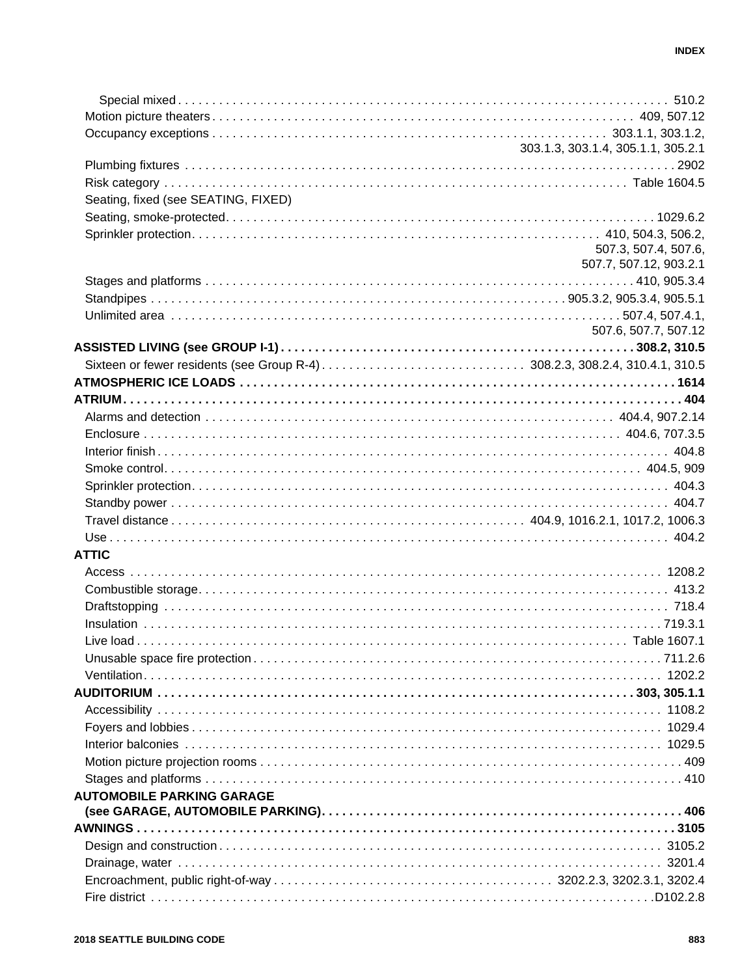|                                     | 303.1.3, 303.1.4, 305.1.1, 305.2.1 |
|-------------------------------------|------------------------------------|
|                                     |                                    |
|                                     |                                    |
| Seating, fixed (see SEATING, FIXED) |                                    |
|                                     |                                    |
|                                     |                                    |
|                                     | 507.3, 507.4, 507.6,               |
|                                     | 507.7, 507.12, 903.2.1             |
|                                     |                                    |
|                                     |                                    |
|                                     |                                    |
|                                     | 507.6, 507.7, 507.12               |
|                                     |                                    |
|                                     |                                    |
|                                     |                                    |
|                                     |                                    |
|                                     |                                    |
|                                     |                                    |
|                                     |                                    |
|                                     |                                    |
|                                     |                                    |
|                                     |                                    |
|                                     |                                    |
|                                     |                                    |
| <b>ATTIC</b>                        |                                    |
|                                     |                                    |
|                                     |                                    |
|                                     |                                    |
|                                     |                                    |
|                                     |                                    |
|                                     |                                    |
|                                     |                                    |
|                                     |                                    |
|                                     |                                    |
|                                     |                                    |
|                                     |                                    |
|                                     |                                    |
|                                     |                                    |
|                                     |                                    |
| <b>AUTOMOBILE PARKING GARAGE</b>    |                                    |
|                                     |                                    |
|                                     |                                    |
|                                     |                                    |
|                                     |                                    |
|                                     |                                    |
|                                     |                                    |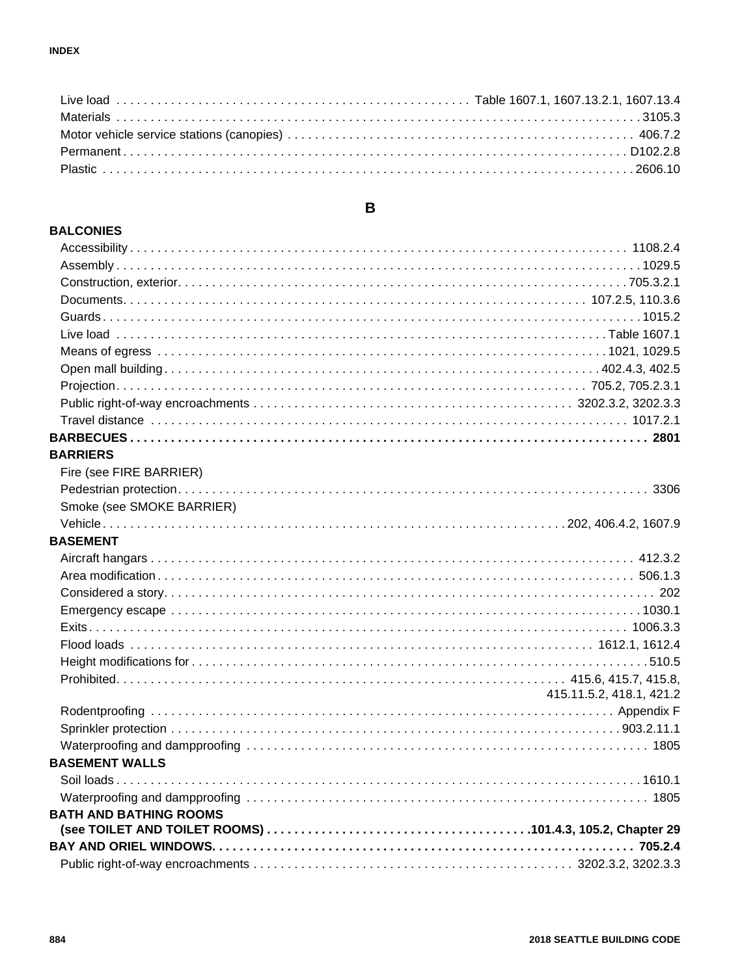## $\, {\bf B}$

#### **BALCONIES**

| <b>BARRIERS</b>               |                          |
|-------------------------------|--------------------------|
| Fire (see FIRE BARRIER)       |                          |
|                               |                          |
| Smoke (see SMOKE BARRIER)     |                          |
|                               |                          |
| <b>BASEMENT</b>               |                          |
|                               |                          |
|                               |                          |
|                               |                          |
|                               |                          |
|                               |                          |
|                               |                          |
|                               |                          |
|                               |                          |
|                               | 415.11.5.2, 418.1, 421.2 |
|                               |                          |
|                               |                          |
|                               |                          |
| <b>BASEMENT WALLS</b>         |                          |
|                               |                          |
|                               |                          |
| <b>BATH AND BATHING ROOMS</b> |                          |
|                               |                          |
|                               |                          |
|                               |                          |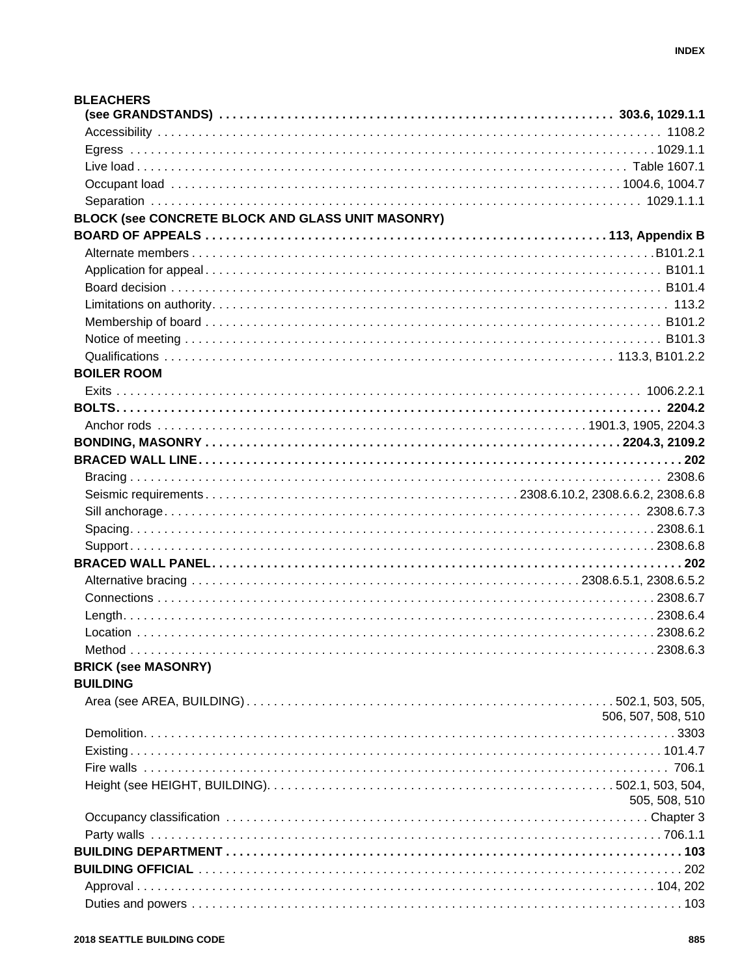| <b>BLEACHERS</b>                                  |                    |
|---------------------------------------------------|--------------------|
|                                                   |                    |
|                                                   |                    |
|                                                   |                    |
|                                                   |                    |
|                                                   |                    |
|                                                   |                    |
| BLOCK (see CONCRETE BLOCK AND GLASS UNIT MASONRY) |                    |
|                                                   |                    |
|                                                   |                    |
|                                                   |                    |
|                                                   |                    |
|                                                   |                    |
|                                                   |                    |
|                                                   |                    |
|                                                   |                    |
| <b>BOILER ROOM</b>                                |                    |
|                                                   |                    |
|                                                   |                    |
|                                                   |                    |
|                                                   |                    |
|                                                   |                    |
|                                                   |                    |
|                                                   |                    |
|                                                   |                    |
|                                                   |                    |
|                                                   |                    |
|                                                   |                    |
|                                                   |                    |
|                                                   |                    |
|                                                   |                    |
|                                                   |                    |
|                                                   |                    |
| <b>BRICK (see MASONRY)</b>                        |                    |
| <b>BUILDING</b>                                   |                    |
|                                                   |                    |
|                                                   | 506, 507, 508, 510 |
|                                                   |                    |
|                                                   |                    |
|                                                   |                    |
|                                                   |                    |
|                                                   | 505, 508, 510      |
|                                                   |                    |
|                                                   |                    |
|                                                   |                    |
|                                                   |                    |
|                                                   |                    |
|                                                   |                    |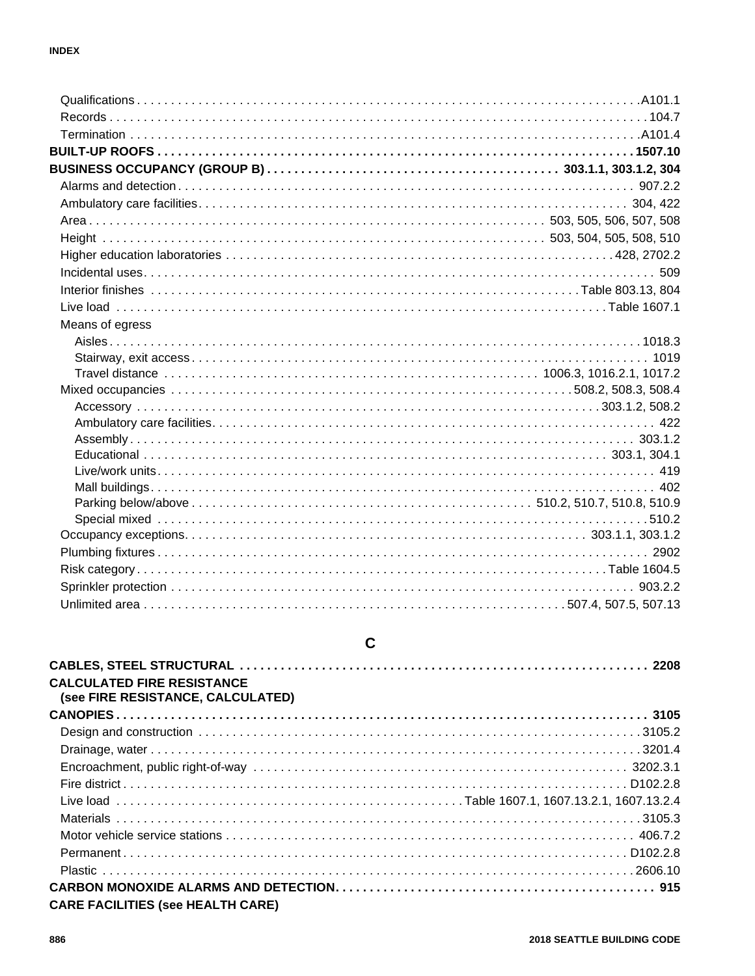| Means of egress |  |
|-----------------|--|
|                 |  |
|                 |  |
|                 |  |
|                 |  |
|                 |  |
|                 |  |
|                 |  |
|                 |  |
|                 |  |
|                 |  |
|                 |  |
|                 |  |
|                 |  |
|                 |  |
|                 |  |
|                 |  |
|                 |  |

## $\mathbf C$

| <b>CALCULATED FIRE RESISTANCE</b><br>(see FIRE RESISTANCE, CALCULATED) |  |
|------------------------------------------------------------------------|--|
|                                                                        |  |
|                                                                        |  |
|                                                                        |  |
|                                                                        |  |
|                                                                        |  |
|                                                                        |  |
|                                                                        |  |
|                                                                        |  |
|                                                                        |  |
|                                                                        |  |
| <b>CARE FACILITIES (see HEALTH CARE)</b>                               |  |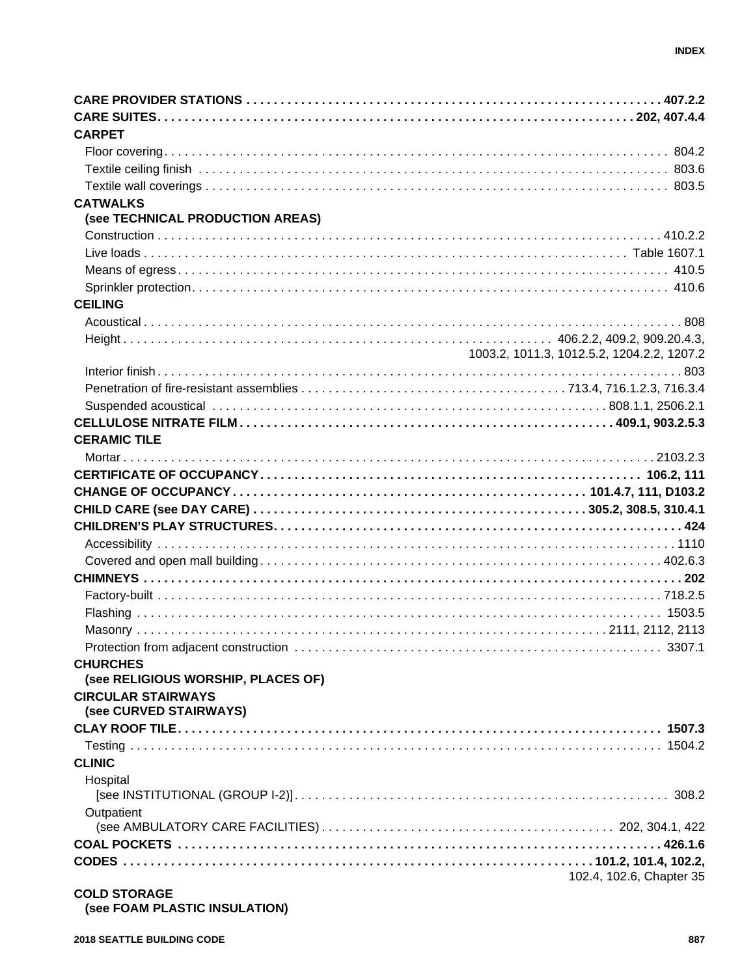| <b>CARPET</b>                                       |                                            |
|-----------------------------------------------------|--------------------------------------------|
|                                                     |                                            |
|                                                     |                                            |
|                                                     |                                            |
| <b>CATWALKS</b>                                     |                                            |
| (see TECHNICAL PRODUCTION AREAS)                    |                                            |
|                                                     |                                            |
|                                                     |                                            |
|                                                     |                                            |
|                                                     |                                            |
| <b>CEILING</b>                                      |                                            |
|                                                     |                                            |
|                                                     |                                            |
|                                                     | 1003.2, 1011.3, 1012.5.2, 1204.2.2, 1207.2 |
|                                                     |                                            |
|                                                     |                                            |
|                                                     |                                            |
|                                                     |                                            |
|                                                     |                                            |
| <b>CERAMIC TILE</b>                                 |                                            |
|                                                     |                                            |
|                                                     |                                            |
|                                                     |                                            |
|                                                     |                                            |
|                                                     |                                            |
|                                                     |                                            |
|                                                     |                                            |
|                                                     |                                            |
|                                                     |                                            |
|                                                     |                                            |
|                                                     |                                            |
|                                                     |                                            |
| <b>CHURCHES</b>                                     |                                            |
| (see RELIGIOUS WORSHIP, PLACES OF)                  |                                            |
| <b>CIRCULAR STAIRWAYS</b><br>(see CURVED STAIRWAYS) |                                            |
|                                                     |                                            |
|                                                     |                                            |
| <b>CLINIC</b>                                       |                                            |
| Hospital                                            |                                            |
|                                                     |                                            |
| Outpatient                                          |                                            |
|                                                     |                                            |
|                                                     |                                            |
|                                                     |                                            |
|                                                     | 102.4, 102.6, Chapter 35                   |
|                                                     |                                            |

#### **COLD STORAGE (see FOAM PLASTIC INSULATION)**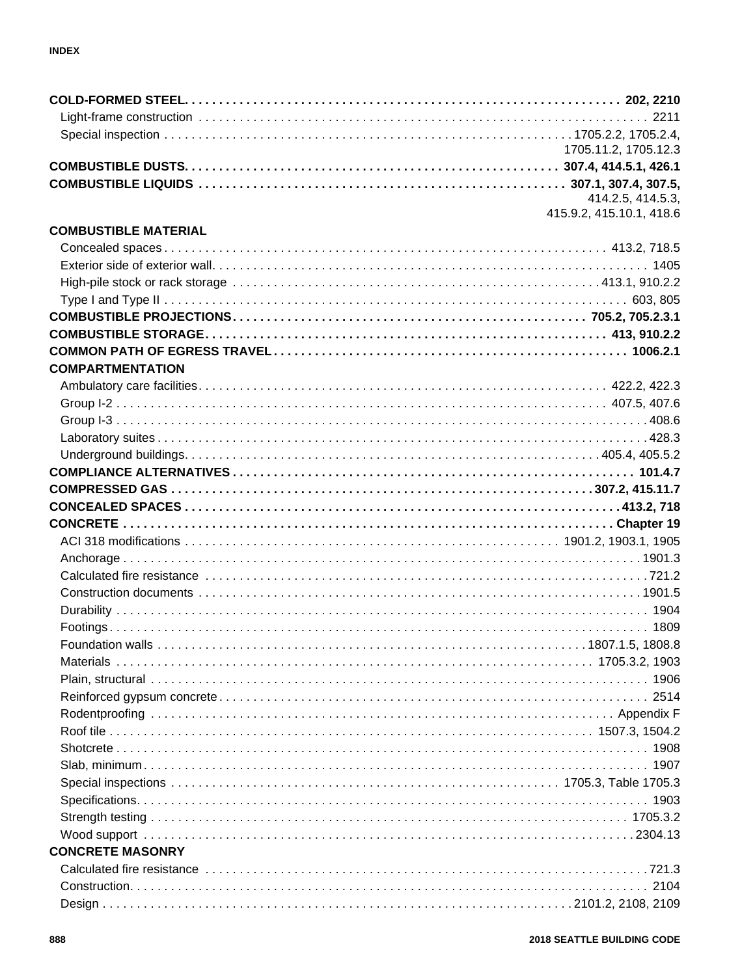|                             | 1705.11.2, 1705.12.3                          |
|-----------------------------|-----------------------------------------------|
|                             |                                               |
|                             |                                               |
|                             | 414.2.5, 414.5.3,<br>415.9.2, 415.10.1, 418.6 |
| <b>COMBUSTIBLE MATERIAL</b> |                                               |
|                             |                                               |
|                             |                                               |
|                             |                                               |
|                             |                                               |
|                             |                                               |
|                             |                                               |
|                             |                                               |
| <b>COMPARTMENTATION</b>     |                                               |
|                             |                                               |
|                             |                                               |
|                             |                                               |
|                             |                                               |
|                             |                                               |
|                             |                                               |
|                             |                                               |
|                             |                                               |
|                             |                                               |
|                             |                                               |
|                             |                                               |
|                             |                                               |
|                             |                                               |
|                             |                                               |
|                             |                                               |
|                             |                                               |
|                             |                                               |
|                             |                                               |
|                             |                                               |
|                             |                                               |
|                             |                                               |
|                             |                                               |
|                             |                                               |
|                             |                                               |
|                             |                                               |
|                             |                                               |
|                             |                                               |
|                             |                                               |
| <b>CONCRETE MASONRY</b>     |                                               |
|                             |                                               |
|                             |                                               |
|                             |                                               |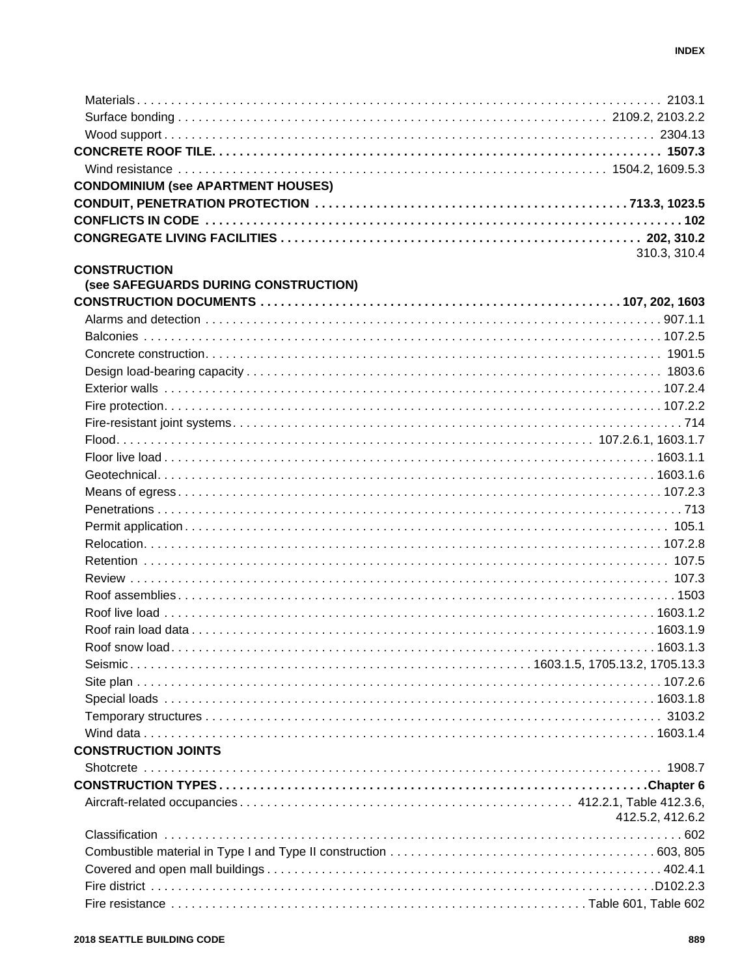| <b>CONDOMINIUM (see APARTMENT HOUSES)</b> |                  |
|-------------------------------------------|------------------|
|                                           |                  |
|                                           |                  |
|                                           |                  |
|                                           | 310.3, 310.4     |
| <b>CONSTRUCTION</b>                       |                  |
| (see SAFEGUARDS DURING CONSTRUCTION)      |                  |
|                                           |                  |
|                                           |                  |
|                                           |                  |
|                                           |                  |
|                                           |                  |
|                                           |                  |
|                                           |                  |
|                                           |                  |
|                                           |                  |
|                                           |                  |
|                                           |                  |
|                                           |                  |
|                                           |                  |
|                                           |                  |
|                                           |                  |
|                                           |                  |
|                                           |                  |
|                                           |                  |
|                                           |                  |
|                                           |                  |
|                                           |                  |
|                                           |                  |
|                                           |                  |
|                                           |                  |
|                                           |                  |
|                                           |                  |
| <b>CONSTRUCTION JOINTS</b>                |                  |
|                                           |                  |
|                                           |                  |
|                                           |                  |
|                                           | 412.5.2, 412.6.2 |
|                                           |                  |
|                                           |                  |
|                                           |                  |
|                                           |                  |
|                                           |                  |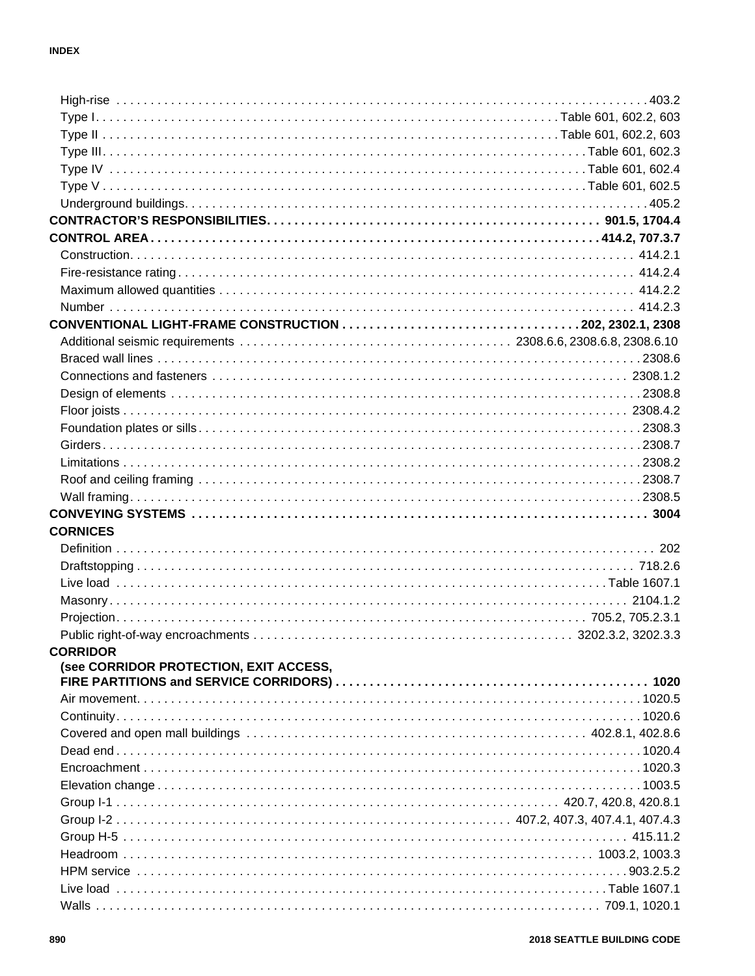| <b>CORNICES</b>                        |  |
|----------------------------------------|--|
|                                        |  |
|                                        |  |
|                                        |  |
|                                        |  |
|                                        |  |
|                                        |  |
|                                        |  |
| <b>CORRIDOR</b>                        |  |
| (see CORRIDOR PROTECTION, EXIT ACCESS, |  |
|                                        |  |
|                                        |  |
|                                        |  |
|                                        |  |
|                                        |  |
|                                        |  |
|                                        |  |
|                                        |  |
|                                        |  |
|                                        |  |
|                                        |  |
|                                        |  |
|                                        |  |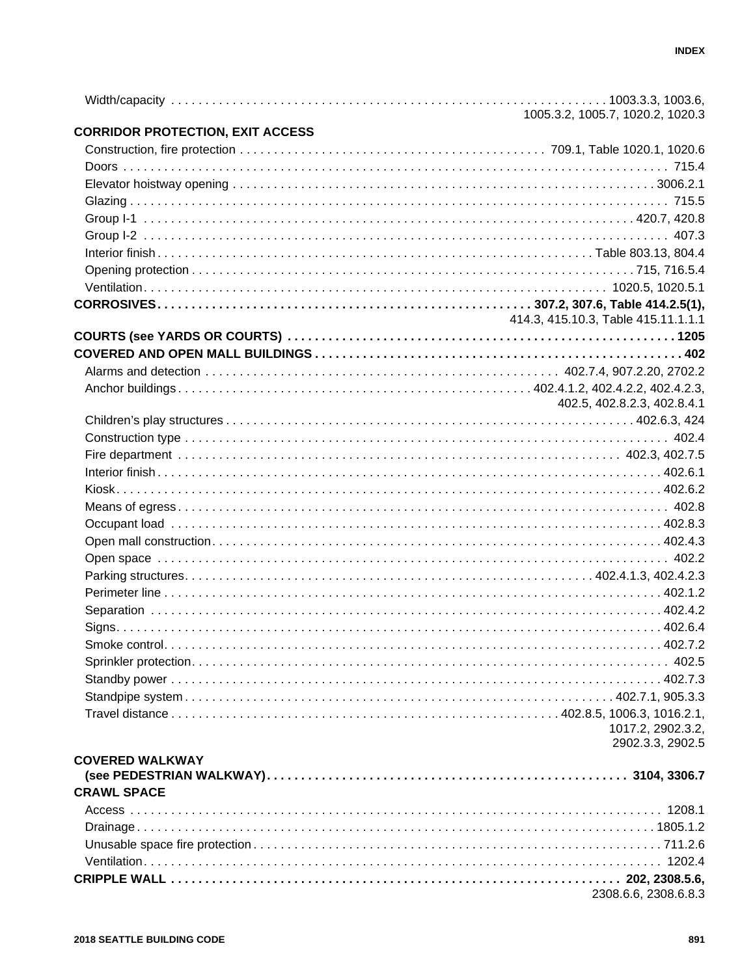|                                         | 1005.3.2, 1005.7, 1020.2, 1020.3    |
|-----------------------------------------|-------------------------------------|
| <b>CORRIDOR PROTECTION, EXIT ACCESS</b> |                                     |
|                                         |                                     |
|                                         |                                     |
|                                         |                                     |
|                                         |                                     |
|                                         |                                     |
|                                         |                                     |
|                                         |                                     |
|                                         |                                     |
|                                         |                                     |
|                                         |                                     |
|                                         | 414.3, 415.10.3, Table 415.11.1.1.1 |
|                                         |                                     |
|                                         |                                     |
|                                         |                                     |
|                                         | 402.5, 402.8.2.3, 402.8.4.1         |
|                                         |                                     |
|                                         |                                     |
|                                         |                                     |
|                                         |                                     |
|                                         |                                     |
|                                         |                                     |
|                                         |                                     |
|                                         |                                     |
|                                         |                                     |
|                                         |                                     |
|                                         |                                     |
|                                         |                                     |
|                                         |                                     |
|                                         |                                     |
|                                         |                                     |
|                                         |                                     |
|                                         |                                     |
|                                         |                                     |
|                                         | 1017.2, 2902.3.2,                   |
|                                         | 2902.3.3, 2902.5                    |
| <b>COVERED WALKWAY</b>                  |                                     |
| <b>CRAWL SPACE</b>                      |                                     |
|                                         |                                     |
|                                         |                                     |
|                                         |                                     |
|                                         |                                     |
|                                         |                                     |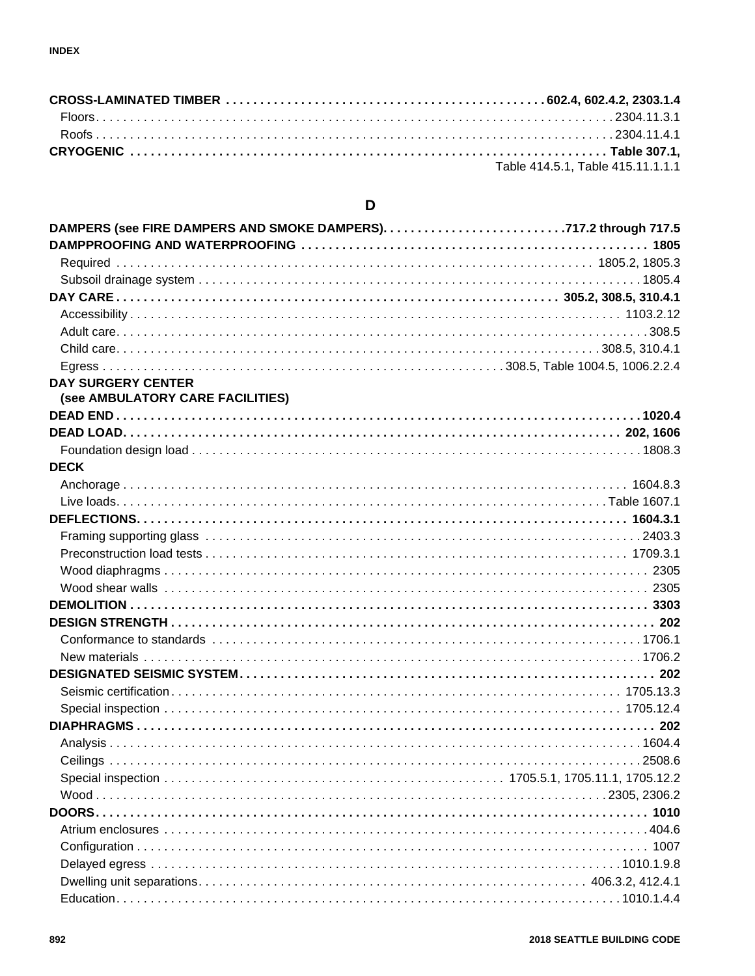| Table 414.5.1. Table 415.11.1.1.1 |
|-----------------------------------|

## D

| <b>DAY SURGERY CENTER</b>        |  |
|----------------------------------|--|
| (see AMBULATORY CARE FACILITIES) |  |
|                                  |  |
|                                  |  |
|                                  |  |
| <b>DECK</b>                      |  |
|                                  |  |
|                                  |  |
|                                  |  |
|                                  |  |
|                                  |  |
|                                  |  |
|                                  |  |
|                                  |  |
|                                  |  |
|                                  |  |
|                                  |  |
|                                  |  |
|                                  |  |
|                                  |  |
|                                  |  |
|                                  |  |
|                                  |  |
|                                  |  |
|                                  |  |
|                                  |  |
|                                  |  |
|                                  |  |
|                                  |  |
|                                  |  |
|                                  |  |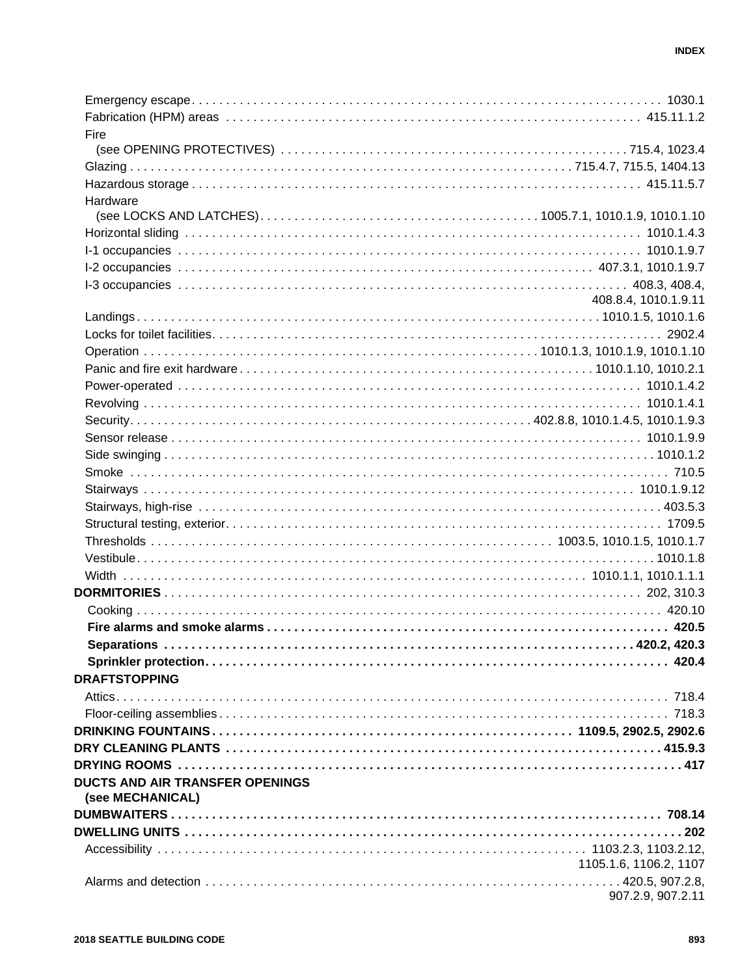| Fire                                                |                        |
|-----------------------------------------------------|------------------------|
|                                                     |                        |
|                                                     |                        |
|                                                     |                        |
| Hardware                                            |                        |
|                                                     |                        |
|                                                     |                        |
|                                                     |                        |
|                                                     |                        |
|                                                     |                        |
|                                                     | 408.8.4, 1010.1.9.11   |
|                                                     |                        |
|                                                     |                        |
|                                                     |                        |
|                                                     |                        |
|                                                     |                        |
|                                                     |                        |
|                                                     |                        |
|                                                     |                        |
|                                                     |                        |
|                                                     |                        |
|                                                     |                        |
|                                                     |                        |
|                                                     |                        |
|                                                     |                        |
|                                                     |                        |
|                                                     |                        |
|                                                     |                        |
|                                                     |                        |
|                                                     |                        |
|                                                     |                        |
|                                                     |                        |
| <b>DRAFTSTOPPING</b>                                |                        |
|                                                     |                        |
|                                                     |                        |
|                                                     |                        |
|                                                     |                        |
|                                                     |                        |
| DUCTS AND AIR TRANSFER OPENINGS<br>(see MECHANICAL) |                        |
|                                                     |                        |
|                                                     |                        |
|                                                     |                        |
|                                                     | 1105.1.6, 1106.2, 1107 |
|                                                     |                        |
|                                                     | 907.2.9, 907.2.11      |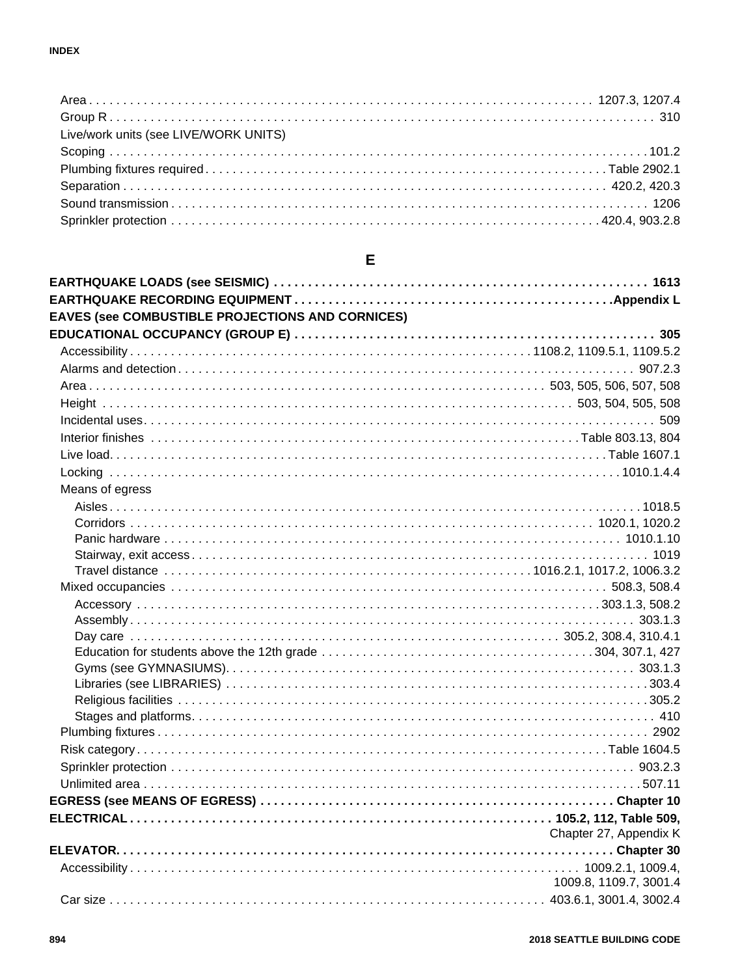| Live/work units (see LIVE/WORK UNITS) |  |
|---------------------------------------|--|
|                                       |  |
|                                       |  |
|                                       |  |
|                                       |  |
|                                       |  |

| <b>EAVES (see COMBUSTIBLE PROJECTIONS AND CORNICES)</b> |                        |
|---------------------------------------------------------|------------------------|
|                                                         |                        |
|                                                         |                        |
|                                                         |                        |
|                                                         |                        |
|                                                         |                        |
|                                                         |                        |
|                                                         |                        |
|                                                         |                        |
|                                                         |                        |
| Means of egress                                         |                        |
|                                                         |                        |
|                                                         |                        |
|                                                         |                        |
|                                                         |                        |
|                                                         |                        |
|                                                         |                        |
|                                                         |                        |
|                                                         |                        |
|                                                         |                        |
|                                                         |                        |
|                                                         |                        |
|                                                         |                        |
|                                                         |                        |
|                                                         |                        |
|                                                         |                        |
|                                                         |                        |
|                                                         |                        |
|                                                         |                        |
|                                                         |                        |
|                                                         |                        |
|                                                         | Chapter 27, Appendix K |
|                                                         |                        |
|                                                         |                        |
|                                                         | 1009.8, 1109.7, 3001.4 |
|                                                         |                        |

## $E$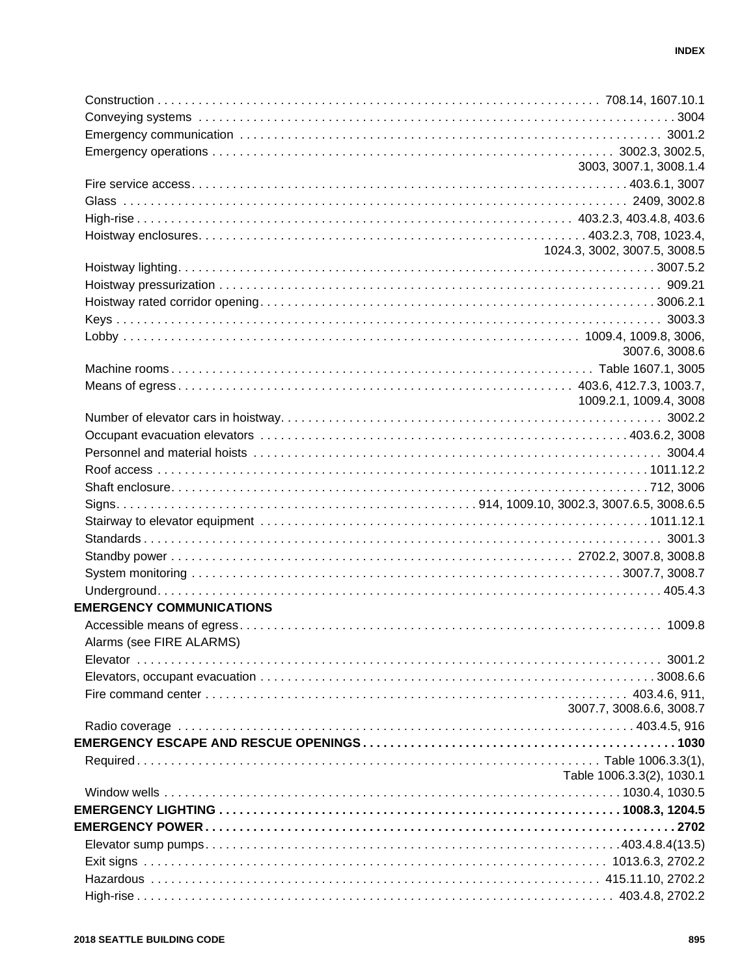|                                 | 3003, 3007.1, 3008.1.4       |
|---------------------------------|------------------------------|
|                                 |                              |
|                                 |                              |
|                                 |                              |
|                                 |                              |
|                                 | 1024.3, 3002, 3007.5, 3008.5 |
|                                 |                              |
|                                 |                              |
|                                 |                              |
|                                 |                              |
|                                 |                              |
|                                 | 3007.6, 3008.6               |
|                                 |                              |
|                                 |                              |
|                                 | 1009.2.1, 1009.4, 3008       |
|                                 |                              |
|                                 |                              |
|                                 |                              |
|                                 |                              |
|                                 |                              |
|                                 |                              |
|                                 |                              |
|                                 |                              |
|                                 |                              |
|                                 |                              |
|                                 |                              |
| <b>EMERGENCY COMMUNICATIONS</b> |                              |
|                                 |                              |
| Alarms (see FIRE ALARMS)        |                              |
|                                 |                              |
|                                 |                              |
|                                 |                              |
|                                 | 3007.7, 3008.6.6, 3008.7     |
|                                 |                              |
|                                 |                              |
|                                 |                              |
|                                 | Table 1006.3.3(2), 1030.1    |
|                                 |                              |
|                                 |                              |
|                                 |                              |
|                                 |                              |
|                                 |                              |
|                                 |                              |
|                                 |                              |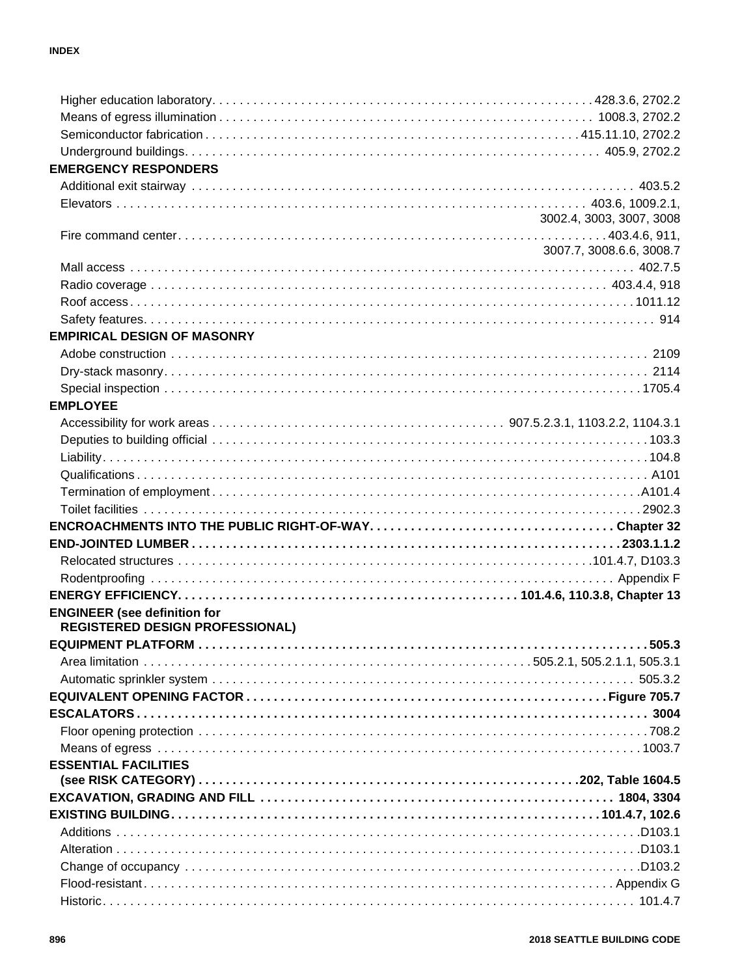| <b>EMERGENCY RESPONDERS</b>            |                          |
|----------------------------------------|--------------------------|
|                                        |                          |
|                                        |                          |
|                                        | 3002.4, 3003, 3007, 3008 |
|                                        |                          |
|                                        | 3007.7, 3008.6.6, 3008.7 |
|                                        |                          |
|                                        |                          |
|                                        |                          |
|                                        |                          |
| <b>EMPIRICAL DESIGN OF MASONRY</b>     |                          |
|                                        |                          |
|                                        |                          |
|                                        |                          |
| <b>EMPLOYEE</b>                        |                          |
|                                        |                          |
|                                        |                          |
|                                        |                          |
|                                        |                          |
|                                        |                          |
|                                        |                          |
|                                        |                          |
|                                        |                          |
|                                        |                          |
|                                        |                          |
|                                        |                          |
| <b>ENGINEER</b> (see definition for    |                          |
| <b>REGISTERED DESIGN PROFESSIONAL)</b> |                          |
| <b>EQUIPMENT PLATFORM</b>              | 505.3                    |
|                                        |                          |
|                                        |                          |
|                                        |                          |
|                                        |                          |
|                                        |                          |
|                                        |                          |
| <b>ESSENTIAL FACILITIES</b>            |                          |
|                                        |                          |
|                                        |                          |
|                                        |                          |
|                                        |                          |
|                                        |                          |
|                                        |                          |
|                                        |                          |
|                                        |                          |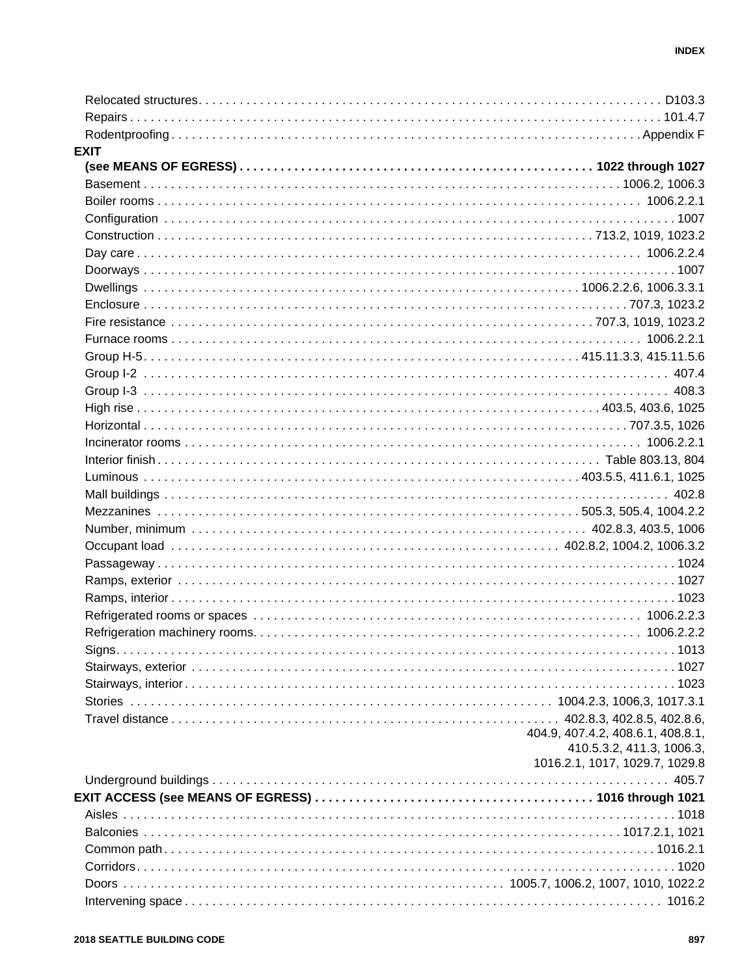| <b>EXIT</b> |                                   |
|-------------|-----------------------------------|
|             |                                   |
|             |                                   |
|             |                                   |
|             |                                   |
|             |                                   |
|             |                                   |
|             |                                   |
|             |                                   |
|             |                                   |
|             |                                   |
|             |                                   |
|             |                                   |
|             |                                   |
|             |                                   |
|             |                                   |
|             |                                   |
|             |                                   |
|             |                                   |
|             |                                   |
|             |                                   |
|             |                                   |
|             |                                   |
|             |                                   |
|             |                                   |
|             |                                   |
|             |                                   |
|             |                                   |
|             |                                   |
|             |                                   |
|             |                                   |
|             |                                   |
|             |                                   |
|             |                                   |
|             | 404.9, 407.4.2, 408.6.1, 408.8.1, |
|             | 410.5.3.2, 411.3, 1006.3,         |
|             | 1016.2.1, 1017, 1029.7, 1029.8    |
|             |                                   |
|             |                                   |
|             |                                   |
|             |                                   |
|             |                                   |
|             |                                   |
|             |                                   |
|             |                                   |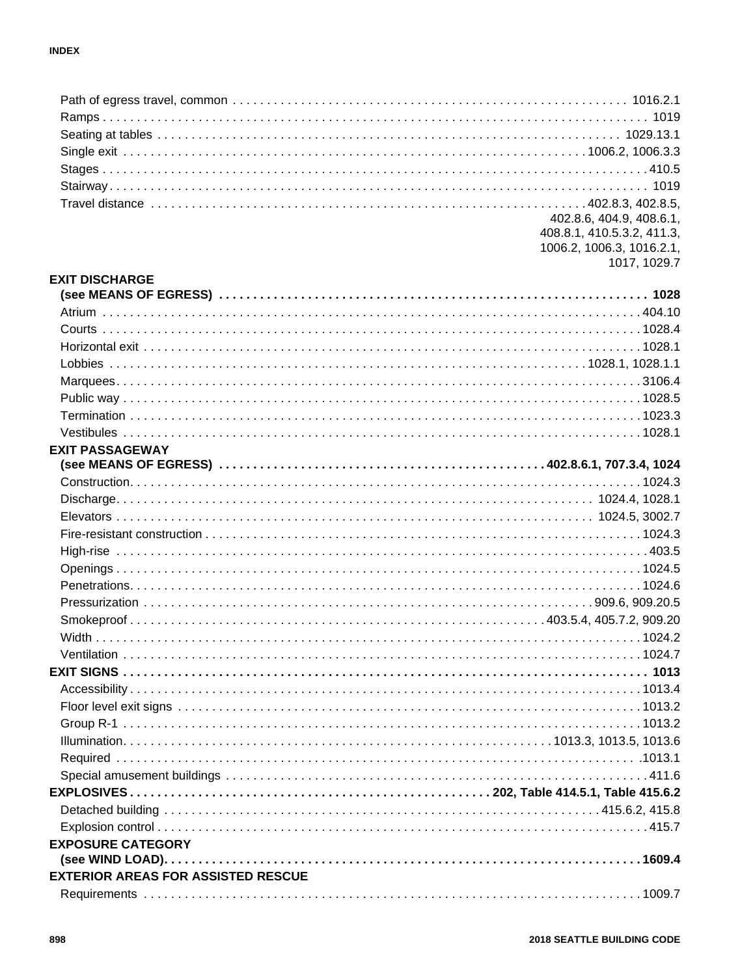|                                           | 402.8.6, 404.9, 408.6.1,   |
|-------------------------------------------|----------------------------|
|                                           | 408.8.1, 410.5.3.2, 411.3, |
|                                           | 1006.2, 1006.3, 1016.2.1,  |
| <b>EXIT DISCHARGE</b>                     | 1017, 1029.7               |
|                                           |                            |
|                                           |                            |
|                                           |                            |
|                                           |                            |
|                                           |                            |
|                                           |                            |
|                                           |                            |
|                                           |                            |
|                                           |                            |
| <b>EXIT PASSAGEWAY</b>                    |                            |
|                                           |                            |
|                                           |                            |
|                                           |                            |
|                                           |                            |
|                                           |                            |
|                                           |                            |
|                                           |                            |
|                                           |                            |
|                                           |                            |
|                                           |                            |
|                                           |                            |
|                                           |                            |
|                                           |                            |
|                                           |                            |
|                                           |                            |
|                                           |                            |
|                                           |                            |
|                                           |                            |
|                                           |                            |
|                                           |                            |
|                                           |                            |
|                                           |                            |
| <b>EXPOSURE CATEGORY</b>                  |                            |
|                                           |                            |
| <b>EXTERIOR AREAS FOR ASSISTED RESCUE</b> |                            |
|                                           |                            |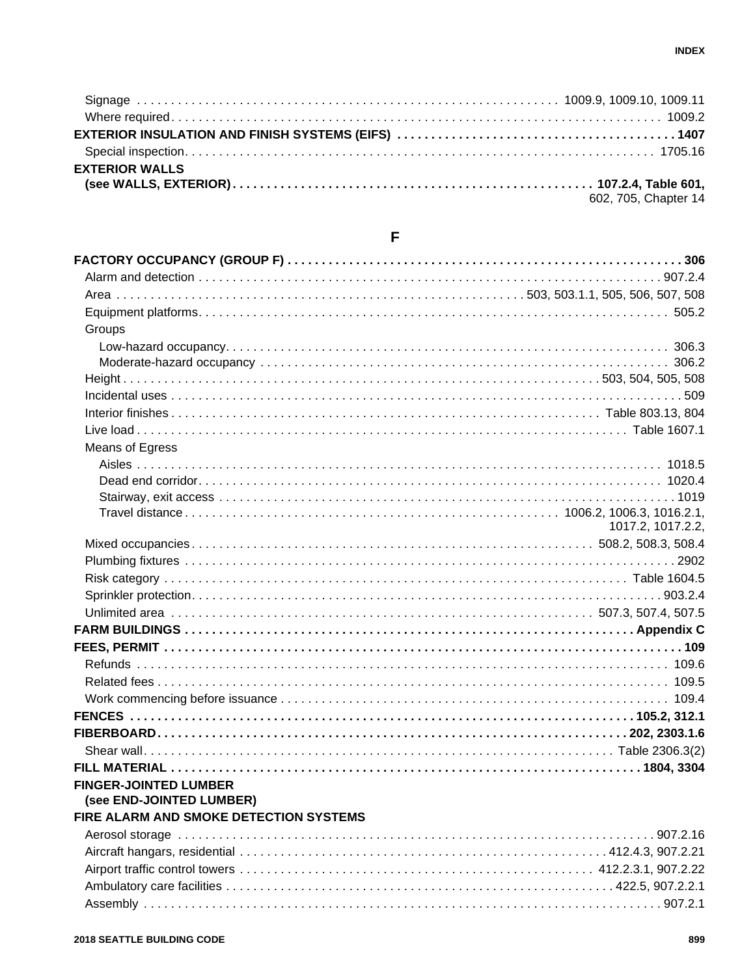| <b>EXTERIOR WALLS</b> |                      |
|-----------------------|----------------------|
|                       |                      |
|                       | 602, 705, Chapter 14 |

| Groups                                                   |                   |
|----------------------------------------------------------|-------------------|
|                                                          |                   |
|                                                          |                   |
|                                                          |                   |
|                                                          |                   |
|                                                          |                   |
|                                                          |                   |
| Means of Egress                                          |                   |
|                                                          |                   |
|                                                          |                   |
|                                                          |                   |
|                                                          |                   |
|                                                          | 1017.2, 1017.2.2, |
|                                                          |                   |
|                                                          |                   |
|                                                          |                   |
|                                                          |                   |
|                                                          |                   |
|                                                          |                   |
|                                                          |                   |
|                                                          |                   |
|                                                          |                   |
|                                                          |                   |
|                                                          |                   |
|                                                          |                   |
|                                                          |                   |
|                                                          |                   |
|                                                          |                   |
| <b>FINGER-JOINTED LUMBER</b><br>(see END-JOINTED LUMBER) |                   |
| FIRE ALARM AND SMOKE DETECTION SYSTEMS                   |                   |
|                                                          |                   |
|                                                          |                   |
|                                                          |                   |
|                                                          |                   |

## $\overline{\mathsf{F}}$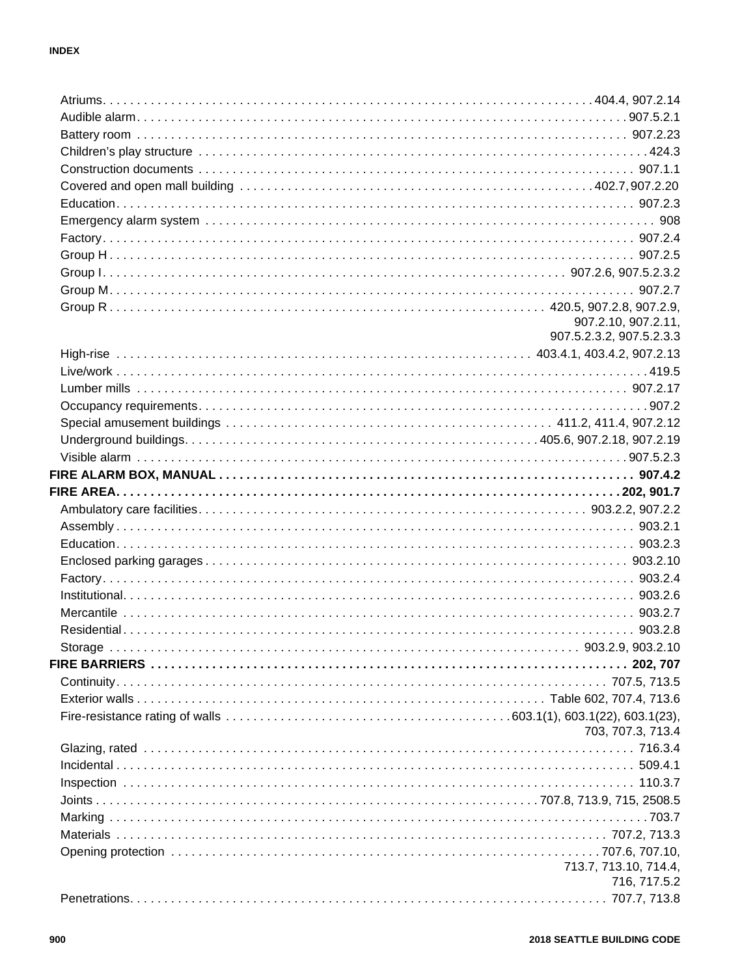| 907.2.10, 907.2.11,      |
|--------------------------|
| 907.5.2.3.2, 907.5.2.3.3 |
|                          |
|                          |
|                          |
|                          |
|                          |
|                          |
|                          |
|                          |
|                          |
|                          |
|                          |
|                          |
|                          |
|                          |
|                          |
|                          |
|                          |
|                          |
|                          |
|                          |
|                          |
|                          |
|                          |
| 703, 707.3, 713.4        |
|                          |
|                          |
|                          |
|                          |
|                          |
|                          |
|                          |
| 713.7, 713.10, 714.4,    |
| 716, 717.5.2             |
|                          |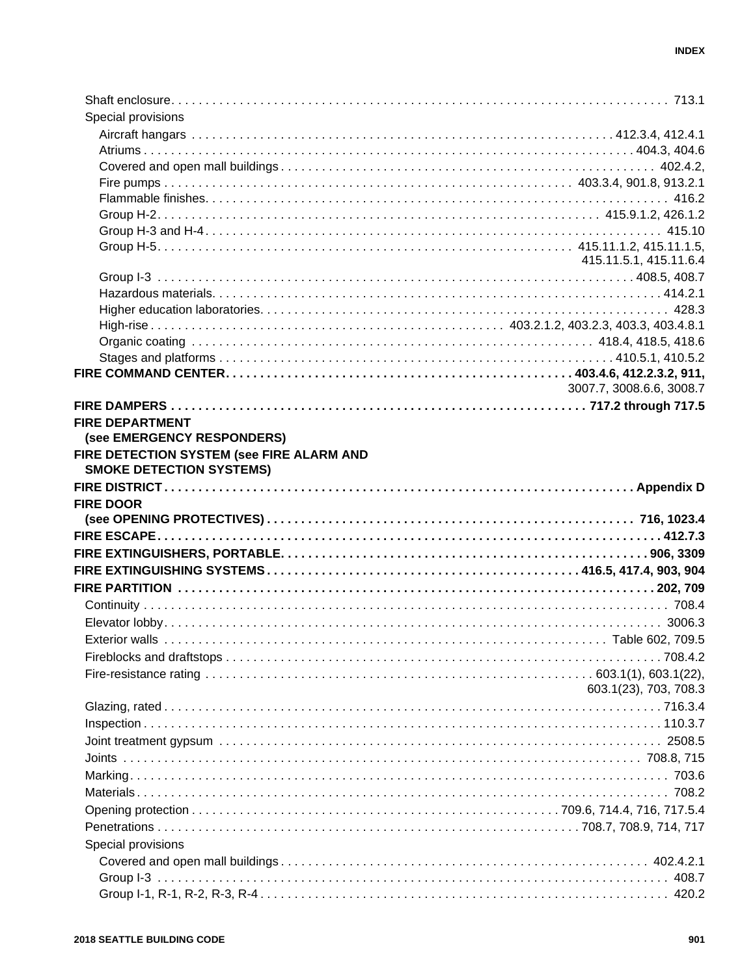| Special provisions                        |                          |
|-------------------------------------------|--------------------------|
|                                           |                          |
|                                           |                          |
|                                           |                          |
|                                           |                          |
|                                           |                          |
|                                           |                          |
|                                           |                          |
|                                           | 415.11.5.1, 415.11.6.4   |
|                                           |                          |
|                                           |                          |
|                                           |                          |
|                                           |                          |
|                                           |                          |
|                                           |                          |
|                                           |                          |
|                                           | 3007.7, 3008.6.6, 3008.7 |
|                                           |                          |
| <b>FIRE DEPARTMENT</b>                    |                          |
| (see EMERGENCY RESPONDERS)                |                          |
| FIRE DETECTION SYSTEM (see FIRE ALARM AND |                          |
| <b>SMOKE DETECTION SYSTEMS)</b>           |                          |
|                                           |                          |
| <b>FIRE DOOR</b>                          |                          |
|                                           |                          |
|                                           |                          |
|                                           |                          |
|                                           |                          |
|                                           |                          |
|                                           |                          |
|                                           |                          |
|                                           |                          |
|                                           |                          |
|                                           |                          |
|                                           |                          |
|                                           |                          |
|                                           | 603.1(23), 703, 708.3    |
|                                           |                          |
|                                           |                          |
|                                           |                          |
|                                           |                          |
|                                           |                          |
|                                           |                          |
|                                           |                          |
|                                           |                          |
|                                           |                          |
| Special provisions                        |                          |
|                                           |                          |
|                                           | 408.7                    |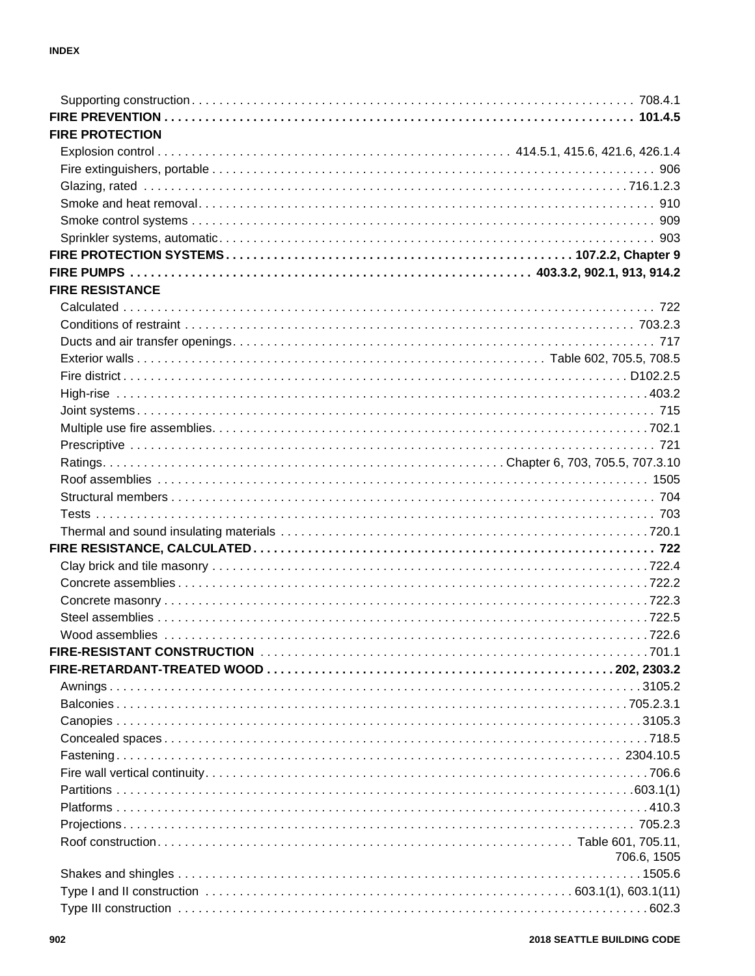| <b>FIRE PROTECTION</b> |             |
|------------------------|-------------|
|                        |             |
|                        |             |
|                        |             |
|                        |             |
|                        |             |
|                        |             |
|                        |             |
|                        |             |
| <b>FIRE RESISTANCE</b> |             |
|                        |             |
|                        |             |
|                        |             |
|                        |             |
|                        |             |
|                        |             |
|                        |             |
|                        |             |
|                        |             |
|                        |             |
|                        |             |
|                        |             |
|                        |             |
|                        |             |
|                        |             |
|                        |             |
|                        |             |
|                        |             |
|                        |             |
|                        |             |
|                        |             |
|                        |             |
|                        |             |
|                        |             |
|                        |             |
|                        |             |
|                        |             |
|                        |             |
|                        |             |
|                        |             |
|                        |             |
|                        |             |
|                        |             |
|                        | 706.6, 1505 |
|                        |             |
|                        |             |
|                        |             |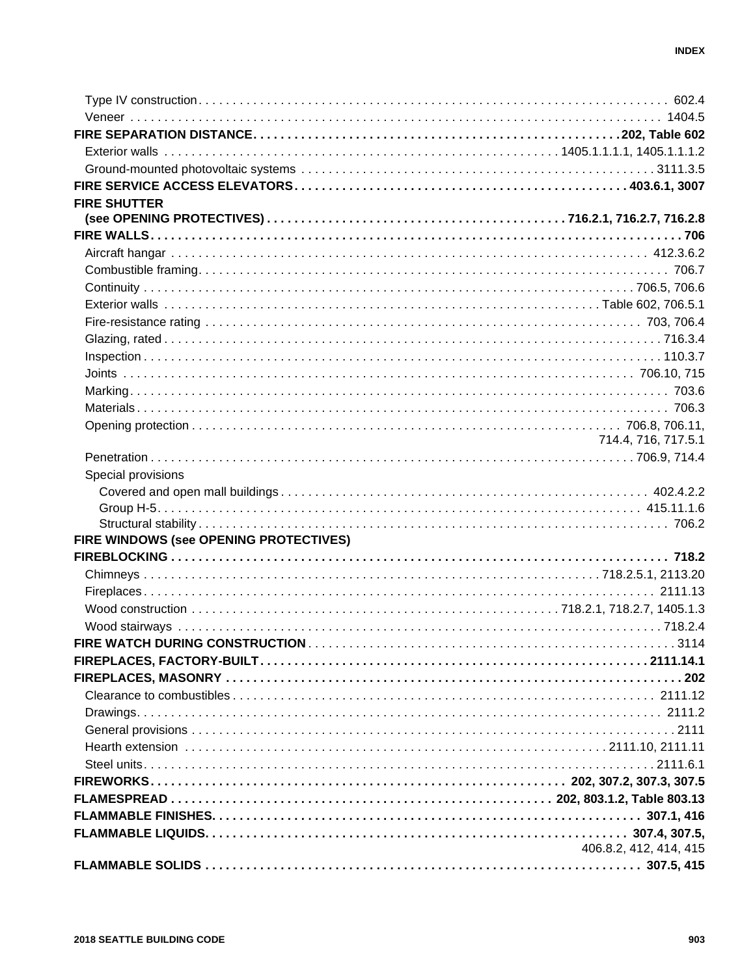| <b>FIRE SHUTTER</b>                    |                        |
|----------------------------------------|------------------------|
|                                        |                        |
|                                        |                        |
|                                        |                        |
|                                        |                        |
|                                        |                        |
|                                        |                        |
|                                        |                        |
|                                        |                        |
|                                        |                        |
|                                        |                        |
|                                        |                        |
|                                        |                        |
|                                        |                        |
|                                        | 714.4, 716, 717.5.1    |
|                                        |                        |
| Special provisions                     |                        |
|                                        |                        |
|                                        |                        |
|                                        |                        |
| FIRE WINDOWS (see OPENING PROTECTIVES) |                        |
|                                        |                        |
|                                        |                        |
|                                        |                        |
|                                        |                        |
|                                        |                        |
|                                        |                        |
|                                        |                        |
|                                        |                        |
|                                        |                        |
|                                        |                        |
|                                        |                        |
|                                        |                        |
|                                        |                        |
|                                        |                        |
|                                        |                        |
|                                        |                        |
|                                        | 406.8.2, 412, 414, 415 |
|                                        |                        |
|                                        |                        |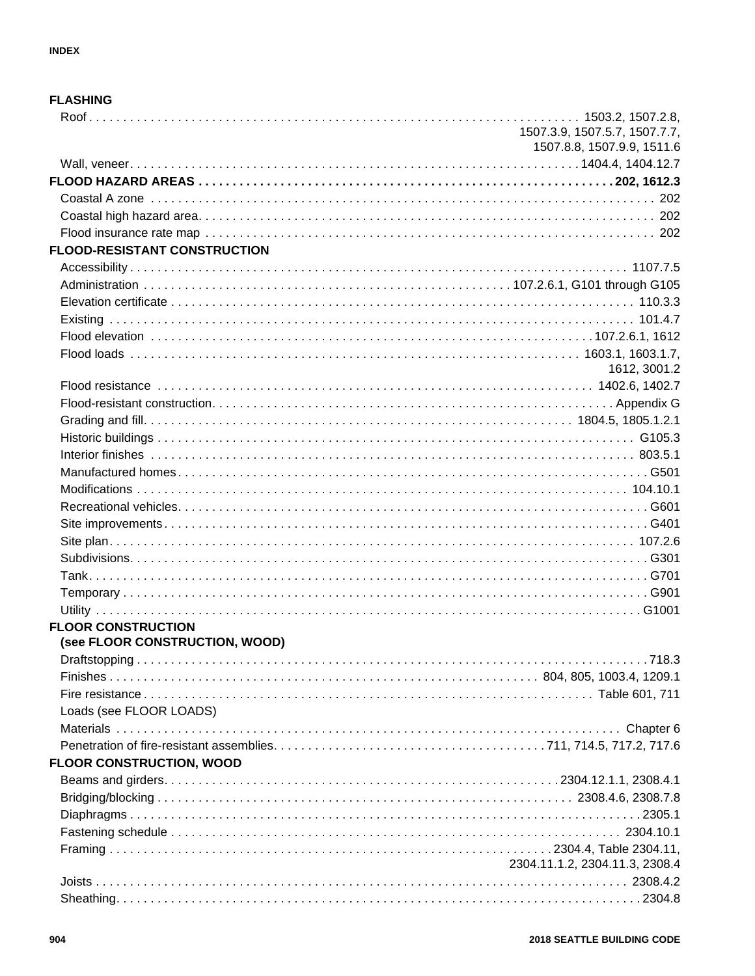#### **FLASHING**

|                                                             | 1507.3.9, 1507.5.7, 1507.7.7,<br>1507.8.8, 1507.9.9, 1511.6 |
|-------------------------------------------------------------|-------------------------------------------------------------|
|                                                             |                                                             |
|                                                             |                                                             |
|                                                             |                                                             |
|                                                             |                                                             |
|                                                             |                                                             |
| <b>FLOOD-RESISTANT CONSTRUCTION</b>                         |                                                             |
|                                                             |                                                             |
|                                                             |                                                             |
|                                                             |                                                             |
|                                                             |                                                             |
|                                                             |                                                             |
|                                                             |                                                             |
|                                                             | 1612, 3001.2                                                |
|                                                             |                                                             |
|                                                             |                                                             |
|                                                             |                                                             |
|                                                             |                                                             |
|                                                             |                                                             |
|                                                             |                                                             |
|                                                             |                                                             |
|                                                             |                                                             |
|                                                             |                                                             |
|                                                             |                                                             |
|                                                             |                                                             |
|                                                             |                                                             |
|                                                             |                                                             |
|                                                             |                                                             |
| <b>FLOOR CONSTRUCTION</b><br>(see FLOOR CONSTRUCTION, WOOD) |                                                             |
| Draftstopping                                               | 7183                                                        |
|                                                             |                                                             |
|                                                             |                                                             |
| Loads (see FLOOR LOADS)                                     |                                                             |
|                                                             |                                                             |
|                                                             |                                                             |
| <b>FLOOR CONSTRUCTION, WOOD</b>                             |                                                             |
|                                                             |                                                             |
|                                                             |                                                             |
|                                                             |                                                             |
|                                                             |                                                             |
|                                                             |                                                             |
|                                                             | 2304.11.1.2, 2304.11.3, 2308.4                              |
|                                                             |                                                             |
|                                                             |                                                             |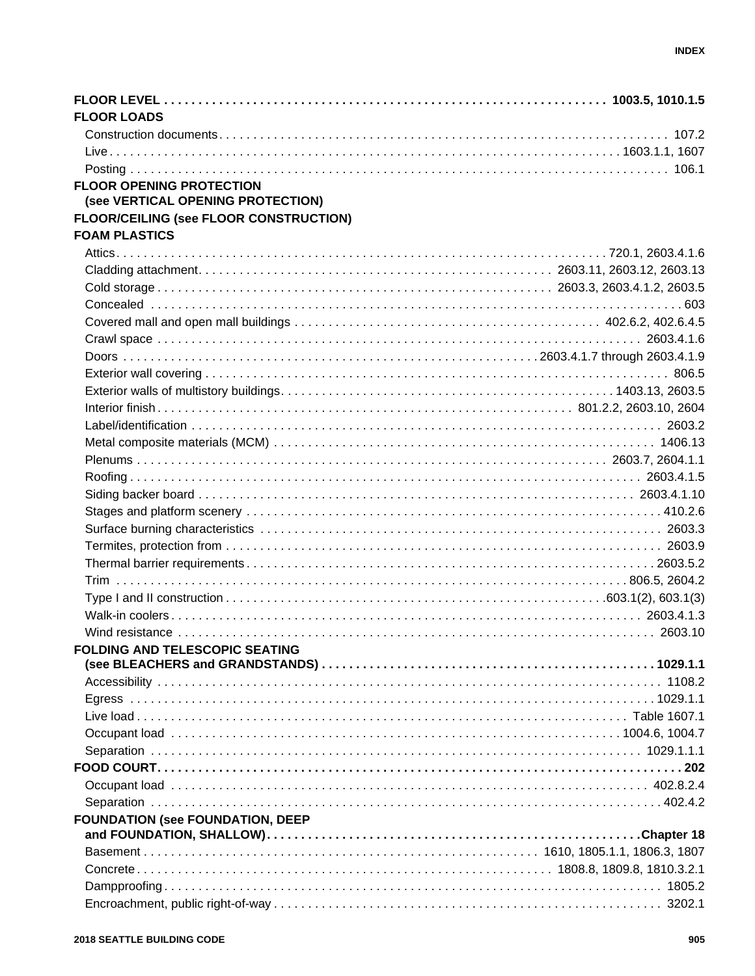| <b>FLOOR LOADS</b>                                                                                                                                                                                                             |  |
|--------------------------------------------------------------------------------------------------------------------------------------------------------------------------------------------------------------------------------|--|
|                                                                                                                                                                                                                                |  |
|                                                                                                                                                                                                                                |  |
|                                                                                                                                                                                                                                |  |
| <b>FLOOR OPENING PROTECTION</b><br>(see VERTICAL OPENING PROTECTION)                                                                                                                                                           |  |
| <b>FLOOR/CEILING (see FLOOR CONSTRUCTION)</b>                                                                                                                                                                                  |  |
| <b>FOAM PLASTICS</b>                                                                                                                                                                                                           |  |
|                                                                                                                                                                                                                                |  |
|                                                                                                                                                                                                                                |  |
|                                                                                                                                                                                                                                |  |
|                                                                                                                                                                                                                                |  |
|                                                                                                                                                                                                                                |  |
|                                                                                                                                                                                                                                |  |
|                                                                                                                                                                                                                                |  |
|                                                                                                                                                                                                                                |  |
|                                                                                                                                                                                                                                |  |
|                                                                                                                                                                                                                                |  |
|                                                                                                                                                                                                                                |  |
|                                                                                                                                                                                                                                |  |
|                                                                                                                                                                                                                                |  |
|                                                                                                                                                                                                                                |  |
|                                                                                                                                                                                                                                |  |
|                                                                                                                                                                                                                                |  |
|                                                                                                                                                                                                                                |  |
|                                                                                                                                                                                                                                |  |
|                                                                                                                                                                                                                                |  |
|                                                                                                                                                                                                                                |  |
|                                                                                                                                                                                                                                |  |
|                                                                                                                                                                                                                                |  |
|                                                                                                                                                                                                                                |  |
| FOLDING AND TELESCOPIC SEATING THE SERIES OF STATISTICS. THE SERIES OF STATISTICS OF STATISTICS OF STATISTICS OF STATISTICS OF STATISTICS OF STATISTICS. THE STATISTICS OF STATISTICS OF STATISTICS OF STATISTICS OF STATISTIC |  |
|                                                                                                                                                                                                                                |  |
|                                                                                                                                                                                                                                |  |
|                                                                                                                                                                                                                                |  |
|                                                                                                                                                                                                                                |  |
|                                                                                                                                                                                                                                |  |
|                                                                                                                                                                                                                                |  |
|                                                                                                                                                                                                                                |  |
|                                                                                                                                                                                                                                |  |
|                                                                                                                                                                                                                                |  |
| <b>FOUNDATION (see FOUNDATION, DEEP</b>                                                                                                                                                                                        |  |
|                                                                                                                                                                                                                                |  |
|                                                                                                                                                                                                                                |  |
|                                                                                                                                                                                                                                |  |
|                                                                                                                                                                                                                                |  |
|                                                                                                                                                                                                                                |  |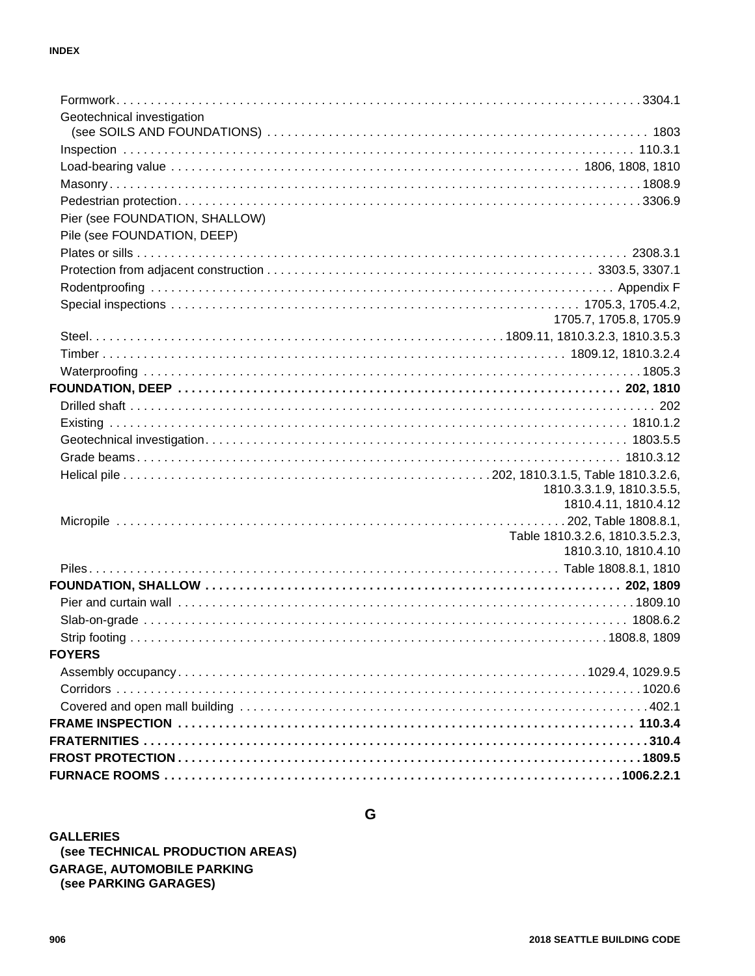| Geotechnical investigation     |                                 |
|--------------------------------|---------------------------------|
|                                |                                 |
|                                |                                 |
|                                |                                 |
|                                |                                 |
|                                |                                 |
| Pier (see FOUNDATION, SHALLOW) |                                 |
| Pile (see FOUNDATION, DEEP)    |                                 |
|                                |                                 |
|                                |                                 |
|                                |                                 |
|                                |                                 |
|                                | 1705.7, 1705.8, 1705.9          |
|                                |                                 |
|                                |                                 |
|                                |                                 |
|                                |                                 |
|                                |                                 |
|                                |                                 |
|                                |                                 |
|                                |                                 |
|                                |                                 |
|                                | 1810.3.3.1.9, 1810.3.5.5,       |
|                                | 1810.4.11, 1810.4.12            |
|                                |                                 |
|                                | Table 1810.3.2.6, 1810.3.5.2.3, |
|                                | 1810.3.10, 1810.4.10            |
|                                |                                 |
|                                |                                 |
|                                |                                 |
|                                |                                 |
|                                |                                 |
| <b>FOYERS</b>                  |                                 |
|                                |                                 |
|                                |                                 |
|                                |                                 |
|                                |                                 |
|                                |                                 |
|                                |                                 |
|                                |                                 |

 $\mathbf G$ 

**GALLERIES** (see TECHNICAL PRODUCTION AREAS) **GARAGE, AUTOMOBILE PARKING** (see PARKING GARAGES)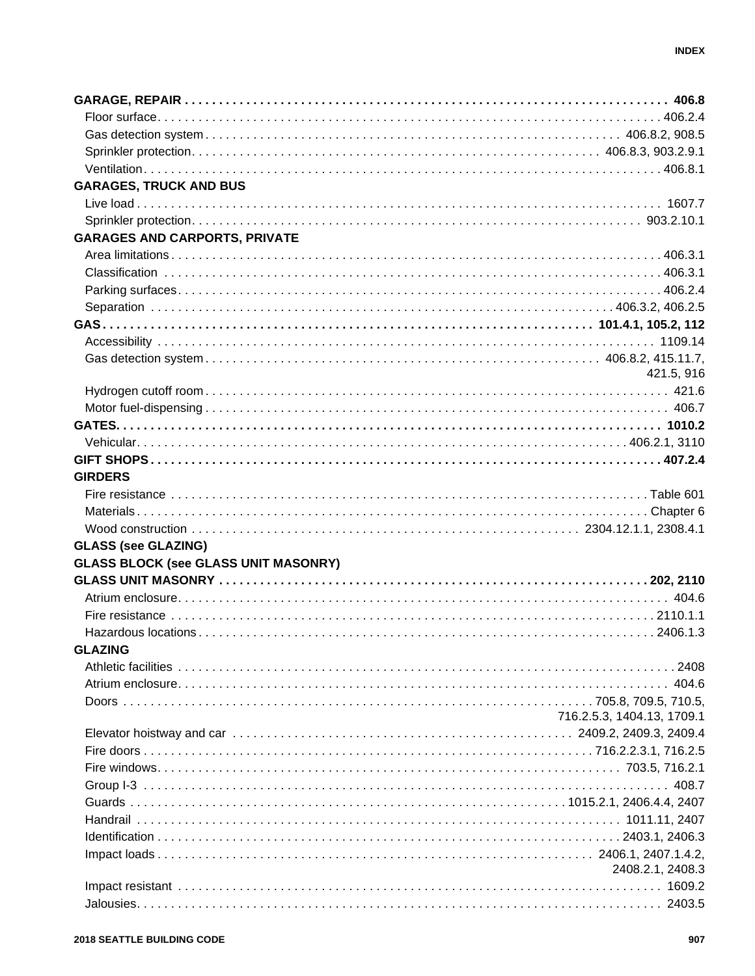| <b>GARAGES, TRUCK AND BUS</b>               |                            |
|---------------------------------------------|----------------------------|
|                                             |                            |
|                                             |                            |
| <b>GARAGES AND CARPORTS, PRIVATE</b>        |                            |
|                                             |                            |
|                                             |                            |
|                                             |                            |
|                                             |                            |
|                                             |                            |
|                                             |                            |
|                                             |                            |
|                                             |                            |
|                                             | 421.5, 916                 |
|                                             |                            |
|                                             |                            |
|                                             |                            |
|                                             |                            |
|                                             |                            |
| <b>GIRDERS</b>                              |                            |
|                                             |                            |
|                                             |                            |
|                                             |                            |
| <b>GLASS (see GLAZING)</b>                  |                            |
| <b>GLASS BLOCK (see GLASS UNIT MASONRY)</b> |                            |
|                                             |                            |
|                                             |                            |
|                                             |                            |
|                                             |                            |
| <b>GLAZING</b>                              |                            |
|                                             |                            |
|                                             |                            |
|                                             |                            |
|                                             | 716.2.5.3, 1404.13, 1709.1 |
|                                             |                            |
|                                             |                            |
|                                             |                            |
|                                             |                            |
|                                             |                            |
|                                             |                            |
|                                             |                            |
|                                             |                            |
|                                             |                            |
|                                             | 2408.2.1, 2408.3           |
|                                             |                            |
|                                             |                            |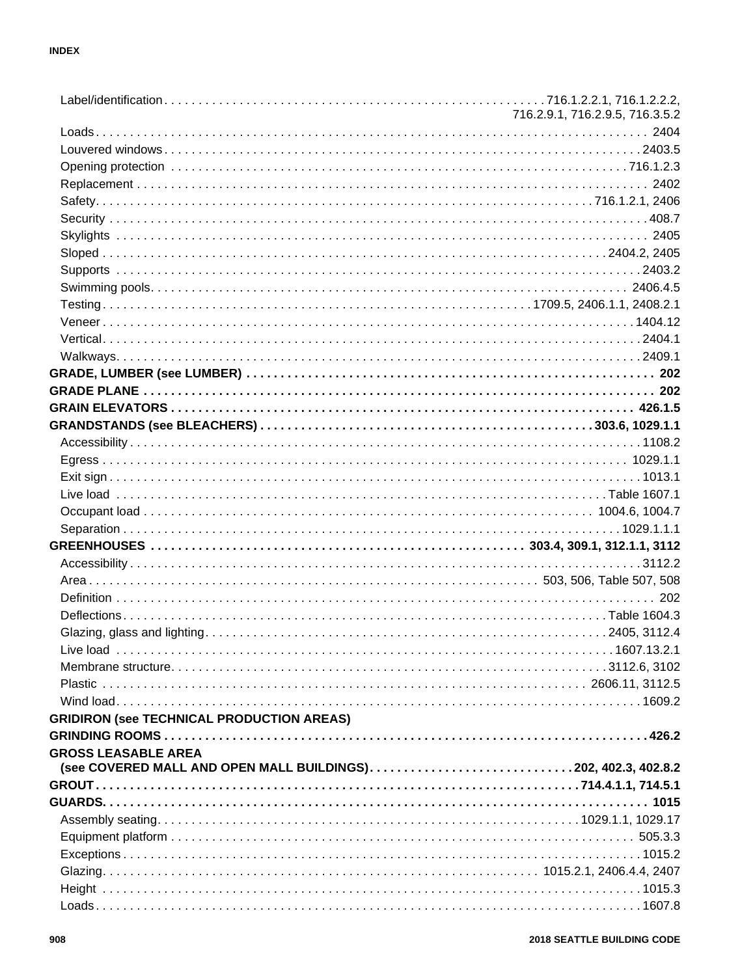|                                                                                                                                                                                                                                | 716.2.9.1, 716.2.9.5, 716.3.5.2 |
|--------------------------------------------------------------------------------------------------------------------------------------------------------------------------------------------------------------------------------|---------------------------------|
|                                                                                                                                                                                                                                |                                 |
|                                                                                                                                                                                                                                |                                 |
| 716.1.2.3 . 716.1.2.3 . 716.1.2.3 . 716.1.2.3 . 716.1.2.3 . 716.1.2.3 . 716.1.2.3 . 716.1.2.3 . 716.1.2.3 . 716.1.2.3 . 716.1.2.3 . 716.1.2.3 . 716.1.2.3 . 716.1.2.3 . 716.1.2.3 . 716.1.2.3 . 71.1.2.1 . 71.1.2.1 . 71.1.2.1 |                                 |
|                                                                                                                                                                                                                                |                                 |
|                                                                                                                                                                                                                                |                                 |
|                                                                                                                                                                                                                                |                                 |
|                                                                                                                                                                                                                                |                                 |
|                                                                                                                                                                                                                                |                                 |
|                                                                                                                                                                                                                                |                                 |
|                                                                                                                                                                                                                                |                                 |
|                                                                                                                                                                                                                                |                                 |
|                                                                                                                                                                                                                                |                                 |
|                                                                                                                                                                                                                                |                                 |
|                                                                                                                                                                                                                                |                                 |
|                                                                                                                                                                                                                                |                                 |
|                                                                                                                                                                                                                                |                                 |
|                                                                                                                                                                                                                                |                                 |
|                                                                                                                                                                                                                                |                                 |
|                                                                                                                                                                                                                                |                                 |
|                                                                                                                                                                                                                                |                                 |
|                                                                                                                                                                                                                                |                                 |
|                                                                                                                                                                                                                                |                                 |
|                                                                                                                                                                                                                                |                                 |
|                                                                                                                                                                                                                                |                                 |
|                                                                                                                                                                                                                                |                                 |
|                                                                                                                                                                                                                                |                                 |
|                                                                                                                                                                                                                                |                                 |
|                                                                                                                                                                                                                                |                                 |
|                                                                                                                                                                                                                                |                                 |
|                                                                                                                                                                                                                                |                                 |
|                                                                                                                                                                                                                                |                                 |
|                                                                                                                                                                                                                                |                                 |
|                                                                                                                                                                                                                                |                                 |
|                                                                                                                                                                                                                                |                                 |
|                                                                                                                                                                                                                                |                                 |
| <b>GRIDIRON (See TECHNICAL PRODUCTION AREAS)</b>                                                                                                                                                                               |                                 |
|                                                                                                                                                                                                                                |                                 |
| <b>GROSS LEASABLE AREA</b>                                                                                                                                                                                                     |                                 |
| (see COVERED MALL AND OPEN MALL BUILDINGS)202, 402.3, 402.8.2                                                                                                                                                                  |                                 |
|                                                                                                                                                                                                                                |                                 |
|                                                                                                                                                                                                                                |                                 |
|                                                                                                                                                                                                                                |                                 |
|                                                                                                                                                                                                                                |                                 |
|                                                                                                                                                                                                                                |                                 |
|                                                                                                                                                                                                                                |                                 |
|                                                                                                                                                                                                                                |                                 |
|                                                                                                                                                                                                                                |                                 |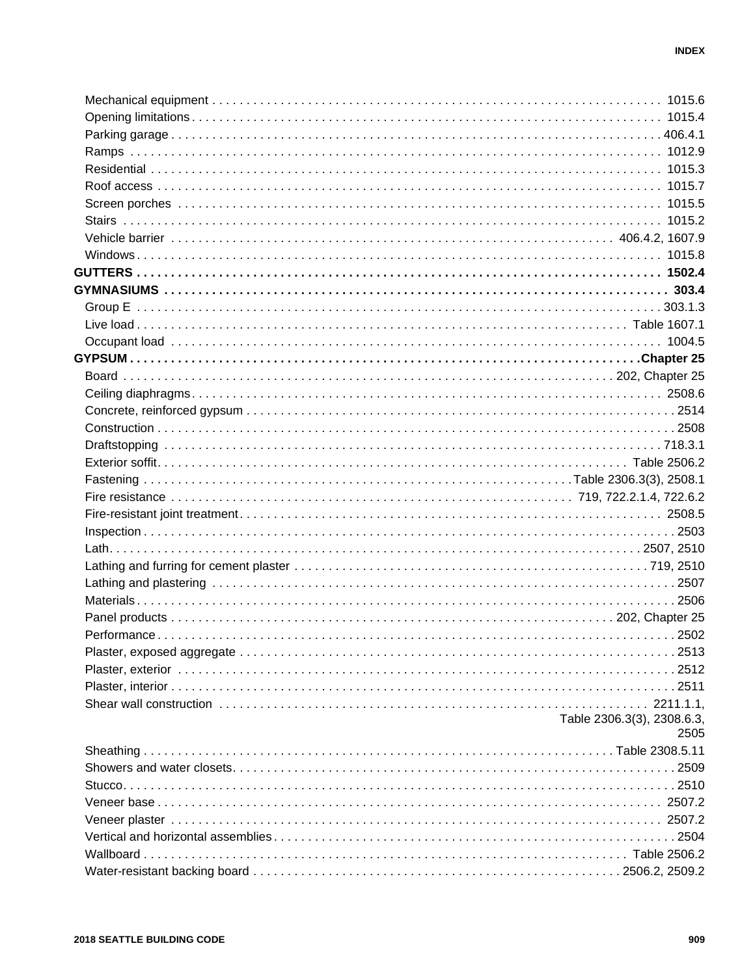| Table 2306.3(3), 2308.6.3,<br>2505 |
|------------------------------------|
|                                    |
|                                    |
|                                    |
|                                    |
|                                    |
|                                    |
|                                    |
|                                    |
|                                    |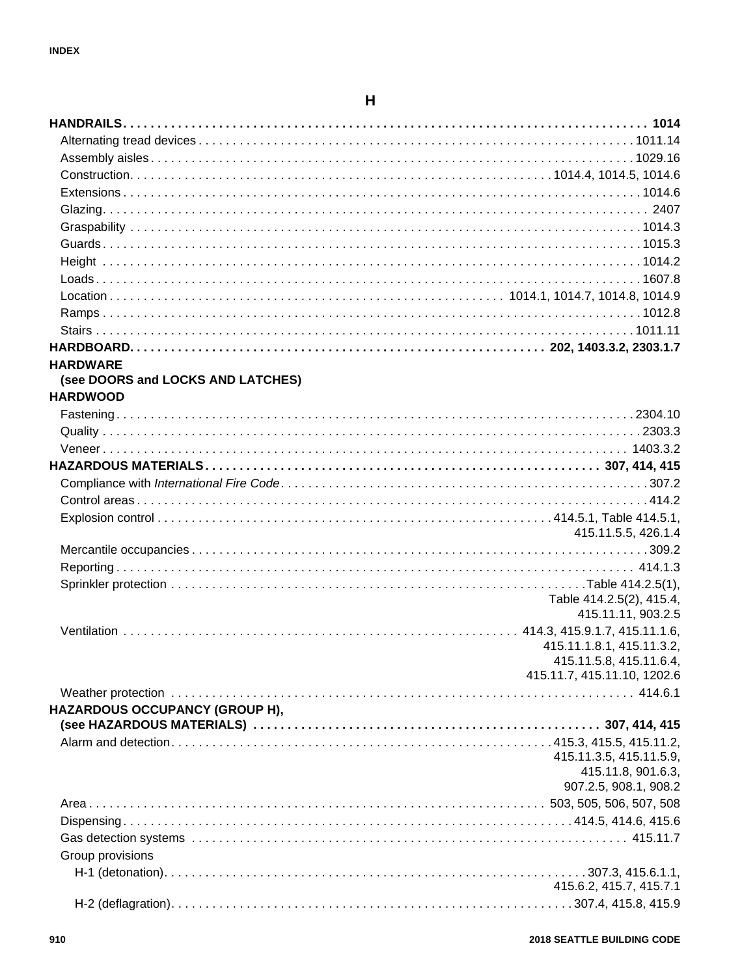## $\boldsymbol{\mathsf{H}}$

| <b>HARDWARE</b>                   |                             |
|-----------------------------------|-----------------------------|
| (see DOORS and LOCKS AND LATCHES) |                             |
| <b>HARDWOOD</b>                   |                             |
|                                   |                             |
|                                   |                             |
|                                   |                             |
|                                   |                             |
|                                   |                             |
|                                   |                             |
|                                   |                             |
|                                   | 415.11.5.5, 426.1.4         |
|                                   |                             |
|                                   |                             |
|                                   |                             |
|                                   | Table 414.2.5(2), 415.4,    |
|                                   | 415.11.11, 903.2.5          |
|                                   |                             |
|                                   | 415.11.1.8.1, 415.11.3.2,   |
|                                   | 415.11.5.8, 415.11.6.4,     |
|                                   | 415.11.7, 415.11.10, 1202.6 |
|                                   |                             |
| HAZARDOUS OCCUPANCY (GROUP H),    |                             |
|                                   |                             |
|                                   | 415.11.3.5, 415.11.5.9,     |
|                                   | 415.11.8, 901.6.3,          |
|                                   | 907.2.5, 908.1, 908.2       |
|                                   |                             |
|                                   |                             |
|                                   |                             |
| Group provisions                  |                             |
|                                   |                             |
|                                   | 415.6.2, 415.7, 415.7.1     |
|                                   |                             |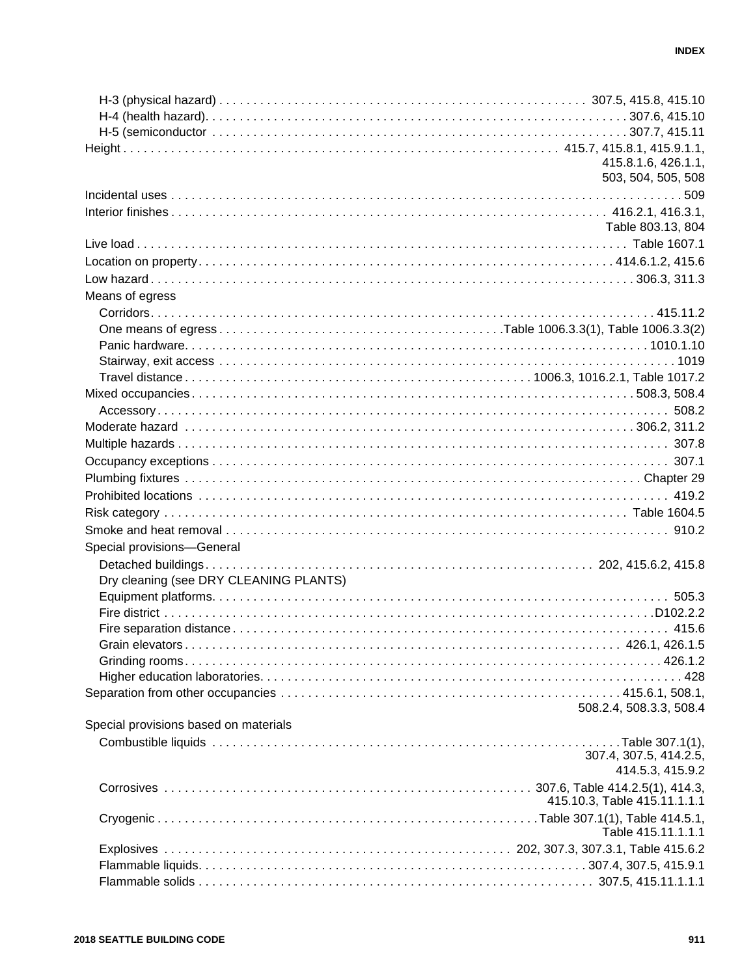| 415.8.1.6, 426.1.1,<br>503, 504, 505, 508<br>Table 803.13, 804<br>Means of egress<br>Special provisions-General<br>Dry cleaning (see DRY CLEANING PLANTS)<br>508.2.4, 508.3.3, 508.4<br>Special provisions based on materials<br>307.4, 307.5, 414.2.5,<br>414.5.3, 415.9.2<br>415.10.3, Table 415.11.1.1.1<br>Table 415.11.1.1.1 |  |
|-----------------------------------------------------------------------------------------------------------------------------------------------------------------------------------------------------------------------------------------------------------------------------------------------------------------------------------|--|
|                                                                                                                                                                                                                                                                                                                                   |  |
|                                                                                                                                                                                                                                                                                                                                   |  |
|                                                                                                                                                                                                                                                                                                                                   |  |
|                                                                                                                                                                                                                                                                                                                                   |  |
|                                                                                                                                                                                                                                                                                                                                   |  |
|                                                                                                                                                                                                                                                                                                                                   |  |
|                                                                                                                                                                                                                                                                                                                                   |  |
|                                                                                                                                                                                                                                                                                                                                   |  |
|                                                                                                                                                                                                                                                                                                                                   |  |
|                                                                                                                                                                                                                                                                                                                                   |  |
|                                                                                                                                                                                                                                                                                                                                   |  |
|                                                                                                                                                                                                                                                                                                                                   |  |
|                                                                                                                                                                                                                                                                                                                                   |  |
|                                                                                                                                                                                                                                                                                                                                   |  |
|                                                                                                                                                                                                                                                                                                                                   |  |
|                                                                                                                                                                                                                                                                                                                                   |  |
|                                                                                                                                                                                                                                                                                                                                   |  |
|                                                                                                                                                                                                                                                                                                                                   |  |
|                                                                                                                                                                                                                                                                                                                                   |  |
|                                                                                                                                                                                                                                                                                                                                   |  |
|                                                                                                                                                                                                                                                                                                                                   |  |
|                                                                                                                                                                                                                                                                                                                                   |  |
|                                                                                                                                                                                                                                                                                                                                   |  |
|                                                                                                                                                                                                                                                                                                                                   |  |
|                                                                                                                                                                                                                                                                                                                                   |  |
|                                                                                                                                                                                                                                                                                                                                   |  |
|                                                                                                                                                                                                                                                                                                                                   |  |
|                                                                                                                                                                                                                                                                                                                                   |  |
|                                                                                                                                                                                                                                                                                                                                   |  |
|                                                                                                                                                                                                                                                                                                                                   |  |
|                                                                                                                                                                                                                                                                                                                                   |  |
|                                                                                                                                                                                                                                                                                                                                   |  |
|                                                                                                                                                                                                                                                                                                                                   |  |
|                                                                                                                                                                                                                                                                                                                                   |  |
|                                                                                                                                                                                                                                                                                                                                   |  |
|                                                                                                                                                                                                                                                                                                                                   |  |
|                                                                                                                                                                                                                                                                                                                                   |  |
|                                                                                                                                                                                                                                                                                                                                   |  |
|                                                                                                                                                                                                                                                                                                                                   |  |
|                                                                                                                                                                                                                                                                                                                                   |  |
|                                                                                                                                                                                                                                                                                                                                   |  |
|                                                                                                                                                                                                                                                                                                                                   |  |
|                                                                                                                                                                                                                                                                                                                                   |  |
|                                                                                                                                                                                                                                                                                                                                   |  |
|                                                                                                                                                                                                                                                                                                                                   |  |
|                                                                                                                                                                                                                                                                                                                                   |  |
|                                                                                                                                                                                                                                                                                                                                   |  |
|                                                                                                                                                                                                                                                                                                                                   |  |
|                                                                                                                                                                                                                                                                                                                                   |  |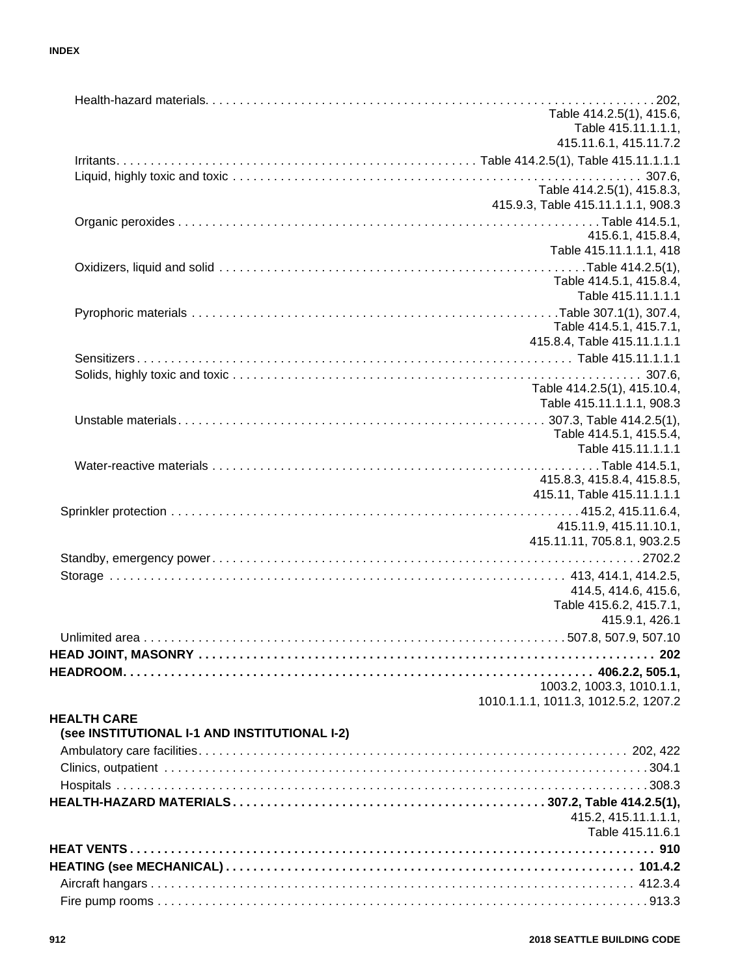#### **INDEX**

|                                               | Table 414.2.5(1), 415.6,                  |
|-----------------------------------------------|-------------------------------------------|
|                                               | Table 415.11.1.1.1,                       |
|                                               | 415.11.6.1, 415.11.7.2                    |
|                                               |                                           |
|                                               |                                           |
|                                               | Table 414.2.5(1), 415.8.3,                |
|                                               | 415.9.3, Table 415.11.1.1.1, 908.3        |
|                                               | 415.6.1, 415.8.4,                         |
|                                               | Table 415.11.1.1.1, 418                   |
|                                               |                                           |
|                                               | Table 414.5.1, 415.8.4,                   |
|                                               | Table 415.11.1.1.1                        |
|                                               |                                           |
|                                               | Table 414.5.1, 415.7.1,                   |
|                                               | 415.8.4, Table 415.11.1.1.1               |
|                                               |                                           |
|                                               |                                           |
|                                               | Table 414.2.5(1), 415.10.4,               |
|                                               | Table 415.11.1.1.1, 908.3                 |
|                                               |                                           |
|                                               | Table 414.5.1, 415.5.4,                   |
|                                               | Table 415.11.1.1.1                        |
|                                               |                                           |
|                                               | 415.8.3, 415.8.4, 415.8.5,                |
|                                               | 415.11, Table 415.11.1.1.1                |
|                                               |                                           |
|                                               | 415.11.9, 415.11.10.1,                    |
|                                               | 415.11.11, 705.8.1, 903.2.5               |
|                                               |                                           |
|                                               |                                           |
|                                               | 414.5, 414.6, 415.6,                      |
|                                               | Table 415.6.2, 415.7.1,<br>415.9.1, 426.1 |
|                                               |                                           |
|                                               |                                           |
|                                               |                                           |
|                                               |                                           |
|                                               | 1003.2, 1003.3, 1010.1.1,                 |
|                                               | 1010.1.1.1, 1011.3, 1012.5.2, 1207.2      |
| <b>HEALTH CARE</b>                            |                                           |
| (see INSTITUTIONAL I-1 AND INSTITUTIONAL I-2) |                                           |
|                                               |                                           |
|                                               |                                           |
|                                               |                                           |
|                                               |                                           |
|                                               | 415.2, 415.11.1.1.1,                      |
|                                               | Table 415.11.6.1                          |
|                                               |                                           |
|                                               |                                           |
|                                               |                                           |
|                                               |                                           |
|                                               |                                           |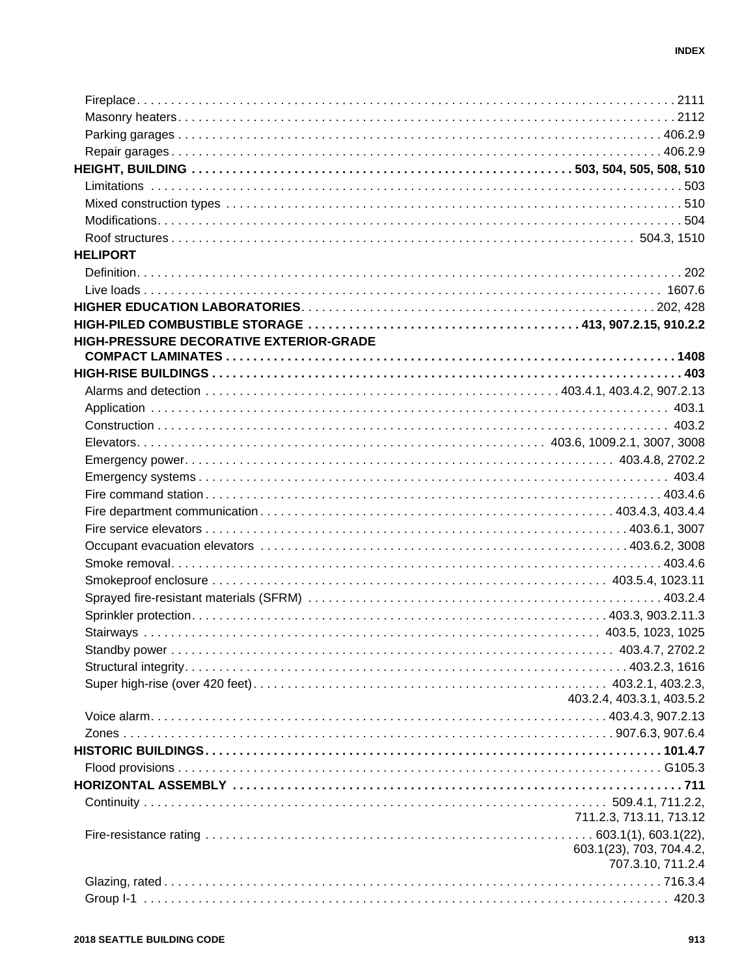| <b>HELIPORT</b>                         |                                               |
|-----------------------------------------|-----------------------------------------------|
|                                         |                                               |
|                                         |                                               |
|                                         |                                               |
|                                         |                                               |
| HIGH-PRESSURE DECORATIVE EXTERIOR-GRADE |                                               |
|                                         |                                               |
|                                         |                                               |
|                                         |                                               |
|                                         |                                               |
|                                         |                                               |
|                                         |                                               |
|                                         |                                               |
|                                         |                                               |
|                                         |                                               |
|                                         |                                               |
|                                         |                                               |
|                                         |                                               |
|                                         |                                               |
|                                         |                                               |
|                                         |                                               |
|                                         |                                               |
|                                         |                                               |
|                                         |                                               |
|                                         |                                               |
|                                         |                                               |
|                                         |                                               |
|                                         | 403.2.4, 403.3.1, 403.5.2                     |
|                                         |                                               |
|                                         |                                               |
|                                         |                                               |
|                                         |                                               |
|                                         |                                               |
|                                         |                                               |
|                                         | 711.2.3, 713.11, 713.12                       |
|                                         |                                               |
|                                         | 603.1(23), 703, 704.4.2,<br>707.3.10, 711.2.4 |
|                                         |                                               |
|                                         |                                               |
|                                         |                                               |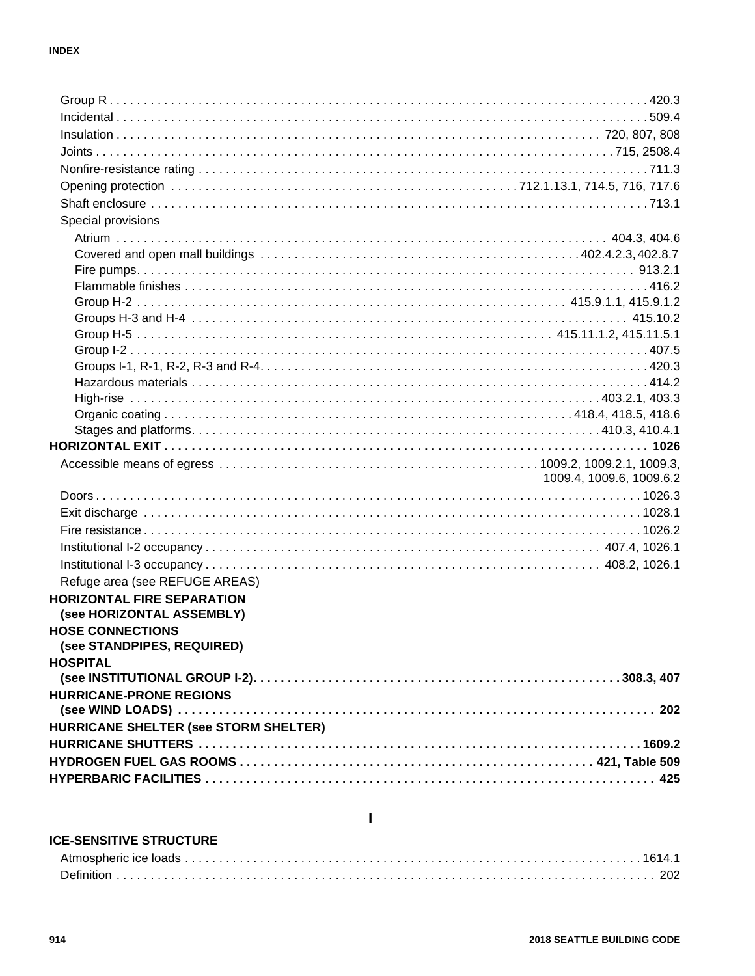| Special provisions                                             |                          |
|----------------------------------------------------------------|--------------------------|
|                                                                |                          |
|                                                                |                          |
|                                                                |                          |
|                                                                |                          |
|                                                                |                          |
|                                                                |                          |
|                                                                |                          |
|                                                                |                          |
|                                                                |                          |
|                                                                |                          |
|                                                                |                          |
|                                                                |                          |
|                                                                |                          |
|                                                                |                          |
|                                                                | 1009.4, 1009.6, 1009.6.2 |
|                                                                |                          |
|                                                                |                          |
|                                                                |                          |
|                                                                |                          |
|                                                                |                          |
|                                                                |                          |
| Refuge area (see REFUGE AREAS)                                 |                          |
| <b>HORIZONTAL FIRE SEPARATION</b><br>(see HORIZONTAL ASSEMBLY) |                          |
| <b>HOSE CONNECTIONS</b>                                        |                          |
| (see STANDPIPES, REQUIRED)                                     |                          |
| <b>HOSPITAL</b>                                                |                          |
|                                                                |                          |
| <b>HURRICANE-PRONE REGIONS</b>                                 |                          |
|                                                                |                          |
| HURRICANE SHELTER (see STORM SHELTER)                          |                          |
|                                                                |                          |
|                                                                |                          |
|                                                                |                          |

#### **ICE-SENSITIVE STRUCTURE**

 $\mathbf I$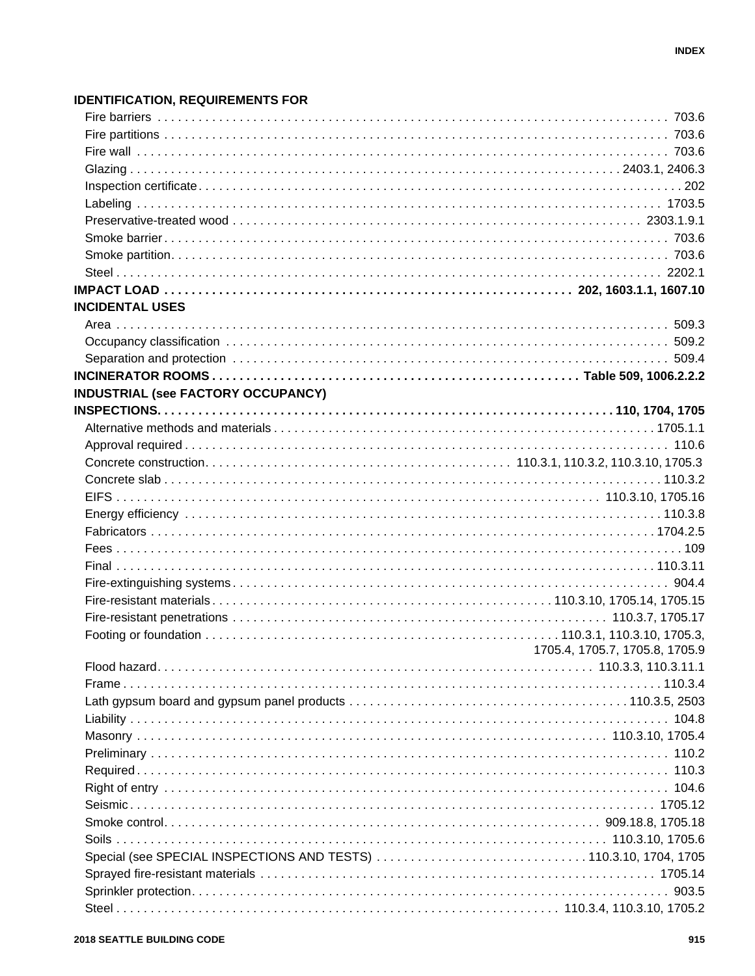### **IDENTIFICATION, REQUIREMENTS FOR**

| <b>INCIDENTAL USES</b>                                           |                                |
|------------------------------------------------------------------|--------------------------------|
|                                                                  |                                |
|                                                                  |                                |
|                                                                  |                                |
|                                                                  |                                |
| <b>INDUSTRIAL (see FACTORY OCCUPANCY)</b>                        |                                |
|                                                                  |                                |
|                                                                  |                                |
|                                                                  |                                |
|                                                                  |                                |
|                                                                  |                                |
|                                                                  |                                |
|                                                                  |                                |
|                                                                  |                                |
|                                                                  |                                |
|                                                                  |                                |
|                                                                  |                                |
|                                                                  |                                |
|                                                                  |                                |
|                                                                  |                                |
|                                                                  | 1705.4, 1705.7, 1705.8, 1705.9 |
|                                                                  |                                |
|                                                                  |                                |
|                                                                  |                                |
|                                                                  |                                |
|                                                                  |                                |
|                                                                  |                                |
|                                                                  |                                |
|                                                                  |                                |
|                                                                  |                                |
|                                                                  |                                |
|                                                                  |                                |
|                                                                  |                                |
| Special (see SPECIAL INSPECTIONS AND TESTS) 110.3.10, 1704, 1705 |                                |
|                                                                  |                                |
|                                                                  |                                |
|                                                                  |                                |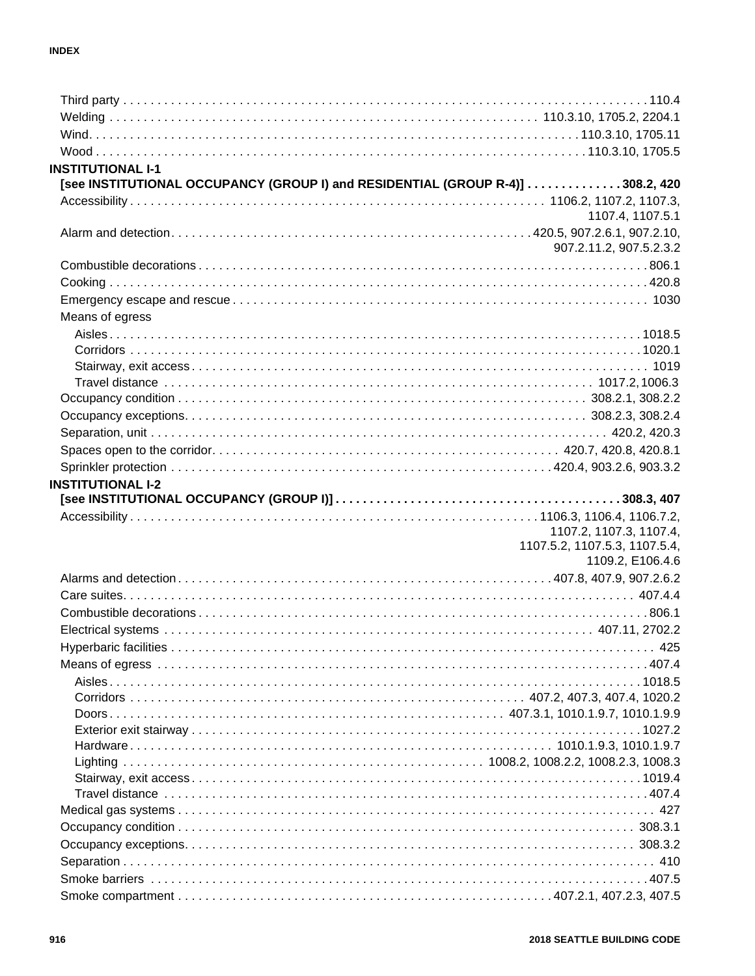| <b>INSTITUTIONAL I-1</b> |                                                                                |
|--------------------------|--------------------------------------------------------------------------------|
|                          | [see INSTITUTIONAL OCCUPANCY (GROUP I) and RESIDENTIAL (GROUP R-4)] 308.2, 420 |
|                          |                                                                                |
|                          | 1107.4, 1107.5.1                                                               |
|                          |                                                                                |
|                          | 907.2.11.2, 907.5.2.3.2                                                        |
|                          |                                                                                |
|                          |                                                                                |
|                          |                                                                                |
| Means of egress          |                                                                                |
|                          |                                                                                |
|                          |                                                                                |
|                          |                                                                                |
|                          |                                                                                |
|                          |                                                                                |
|                          |                                                                                |
|                          |                                                                                |
|                          |                                                                                |
|                          |                                                                                |
| <b>INSTITUTIONAL I-2</b> |                                                                                |
|                          |                                                                                |
|                          |                                                                                |
|                          | 1107.2, 1107.3, 1107.4,                                                        |
|                          | 1107.5.2, 1107.5.3, 1107.5.4,<br>1109.2, E106.4.6                              |
|                          |                                                                                |
|                          |                                                                                |
|                          |                                                                                |
|                          |                                                                                |
|                          |                                                                                |
|                          |                                                                                |
|                          |                                                                                |
|                          |                                                                                |
|                          |                                                                                |
|                          |                                                                                |
|                          | . . 1027.2                                                                     |
|                          |                                                                                |
|                          |                                                                                |
|                          |                                                                                |
|                          |                                                                                |
|                          |                                                                                |
|                          |                                                                                |
|                          |                                                                                |
|                          |                                                                                |
|                          |                                                                                |
|                          |                                                                                |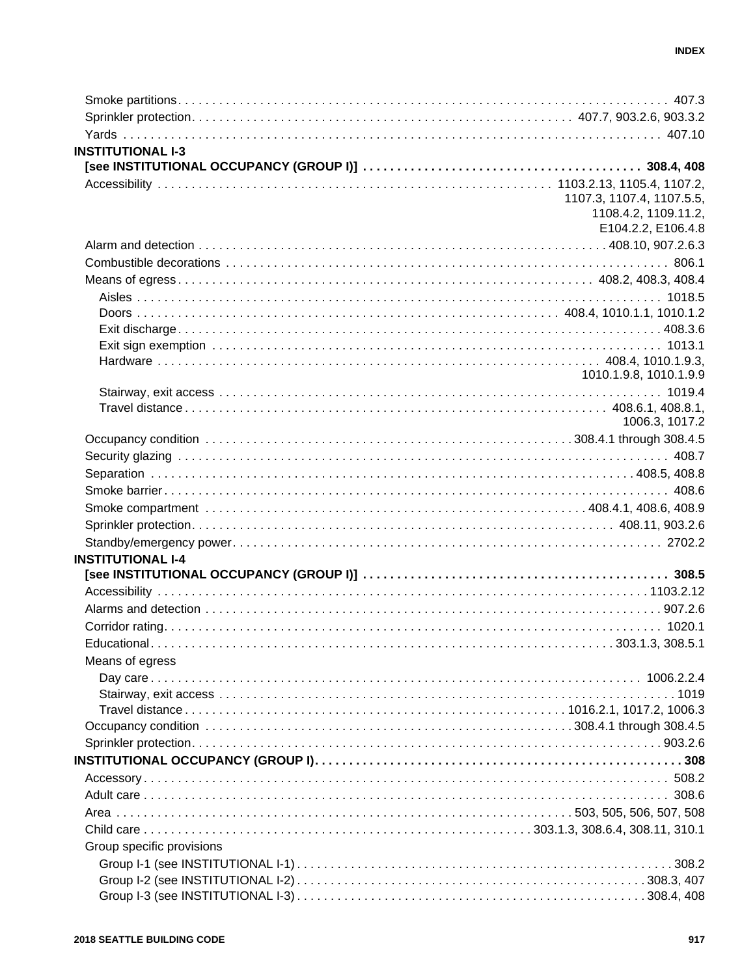| <b>INSTITUTIONAL I-3</b>  |                           |
|---------------------------|---------------------------|
|                           |                           |
|                           |                           |
|                           | 1107.3, 1107.4, 1107.5.5, |
|                           | 1108.4.2, 1109.11.2,      |
|                           | E104.2.2, E106.4.8        |
|                           |                           |
|                           |                           |
|                           |                           |
|                           |                           |
|                           |                           |
|                           |                           |
|                           |                           |
|                           |                           |
|                           | 1010.1.9.8, 1010.1.9.9    |
|                           |                           |
|                           |                           |
|                           | 1006.3, 1017.2            |
|                           |                           |
|                           |                           |
|                           |                           |
|                           |                           |
|                           |                           |
|                           |                           |
|                           |                           |
| <b>INSTITUTIONAL I-4</b>  |                           |
|                           |                           |
|                           |                           |
|                           |                           |
|                           |                           |
|                           |                           |
| Means of egress           |                           |
|                           |                           |
|                           |                           |
|                           |                           |
|                           |                           |
|                           |                           |
|                           |                           |
|                           |                           |
|                           |                           |
|                           |                           |
|                           |                           |
|                           |                           |
| Group specific provisions |                           |
|                           |                           |
|                           |                           |
|                           |                           |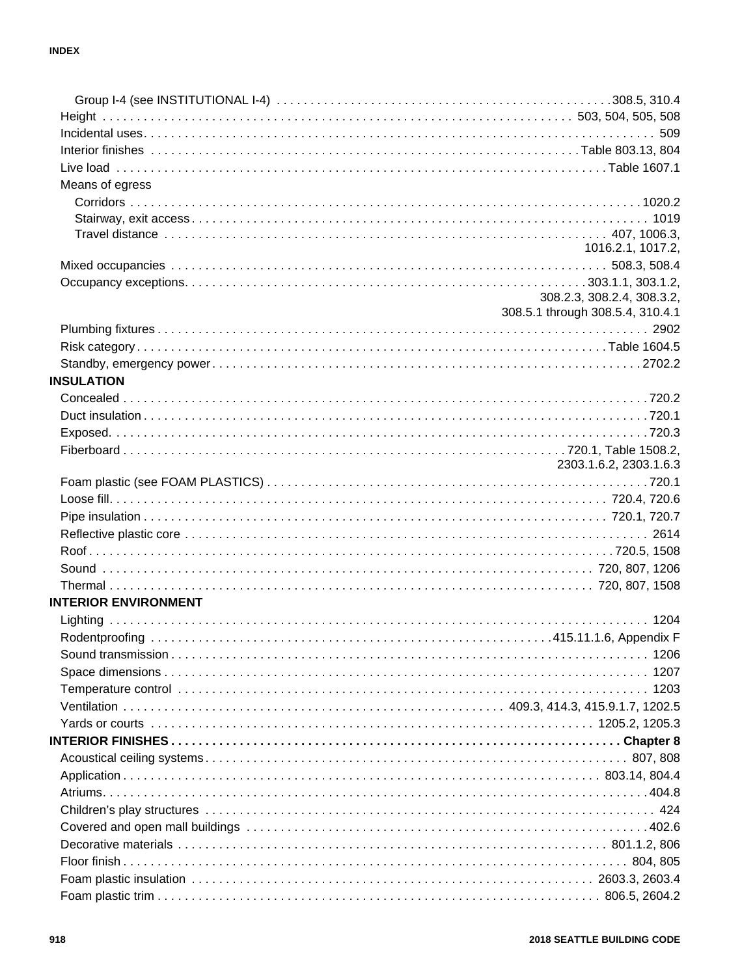| Means of egress             |                                                                |
|-----------------------------|----------------------------------------------------------------|
|                             |                                                                |
|                             |                                                                |
|                             |                                                                |
|                             | 1016.2.1, 1017.2,                                              |
|                             |                                                                |
|                             |                                                                |
|                             | 308.2.3, 308.2.4, 308.3.2,<br>308.5.1 through 308.5.4, 310.4.1 |
|                             |                                                                |
|                             |                                                                |
|                             |                                                                |
|                             |                                                                |
| <b>INSULATION</b>           |                                                                |
|                             |                                                                |
|                             |                                                                |
|                             |                                                                |
|                             |                                                                |
|                             | 2303.1.6.2, 2303.1.6.3                                         |
|                             |                                                                |
|                             |                                                                |
|                             |                                                                |
|                             |                                                                |
|                             |                                                                |
|                             |                                                                |
|                             |                                                                |
| <b>INTERIOR ENVIRONMENT</b> |                                                                |
|                             |                                                                |
|                             |                                                                |
|                             |                                                                |
|                             |                                                                |
|                             |                                                                |
|                             |                                                                |
|                             |                                                                |
|                             |                                                                |
|                             |                                                                |
|                             |                                                                |
|                             |                                                                |
|                             |                                                                |
|                             |                                                                |
|                             |                                                                |
|                             |                                                                |
|                             |                                                                |
|                             |                                                                |
|                             |                                                                |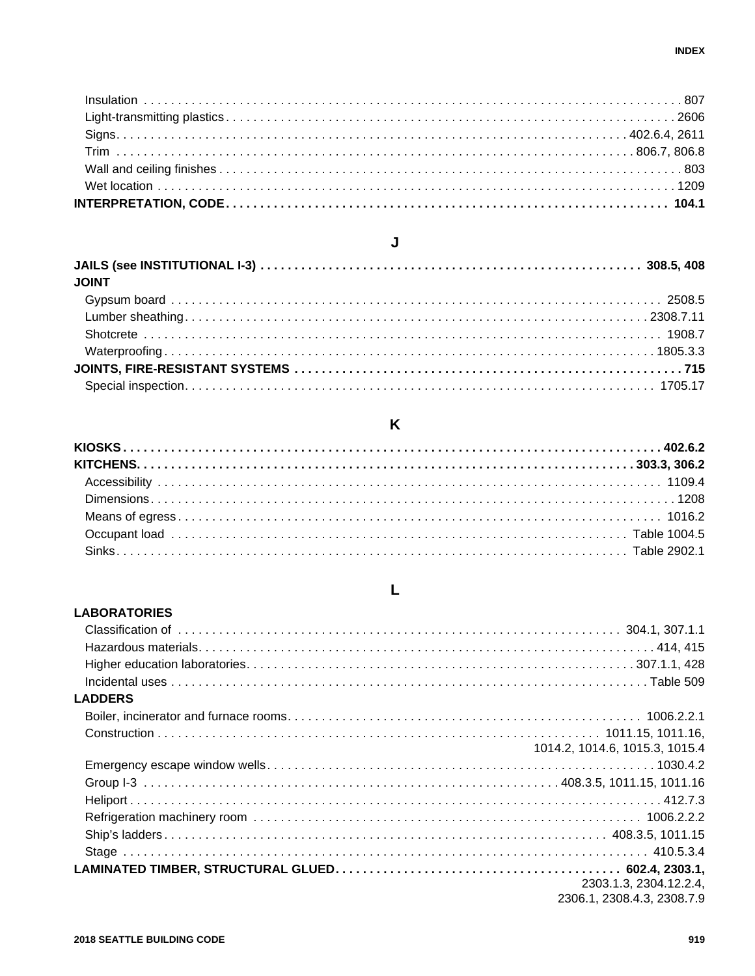| <b>JOINT</b> |  |
|--------------|--|
|              |  |
|              |  |
|              |  |
|              |  |
|              |  |
|              |  |

J

#### K

#### L

### **LABORATORIES LADDERS** 1014.2. 1014.6. 1015.3. 1015.4 2303.1.3, 2304.12.2.4, 2306.1, 2308.4.3, 2308.7.9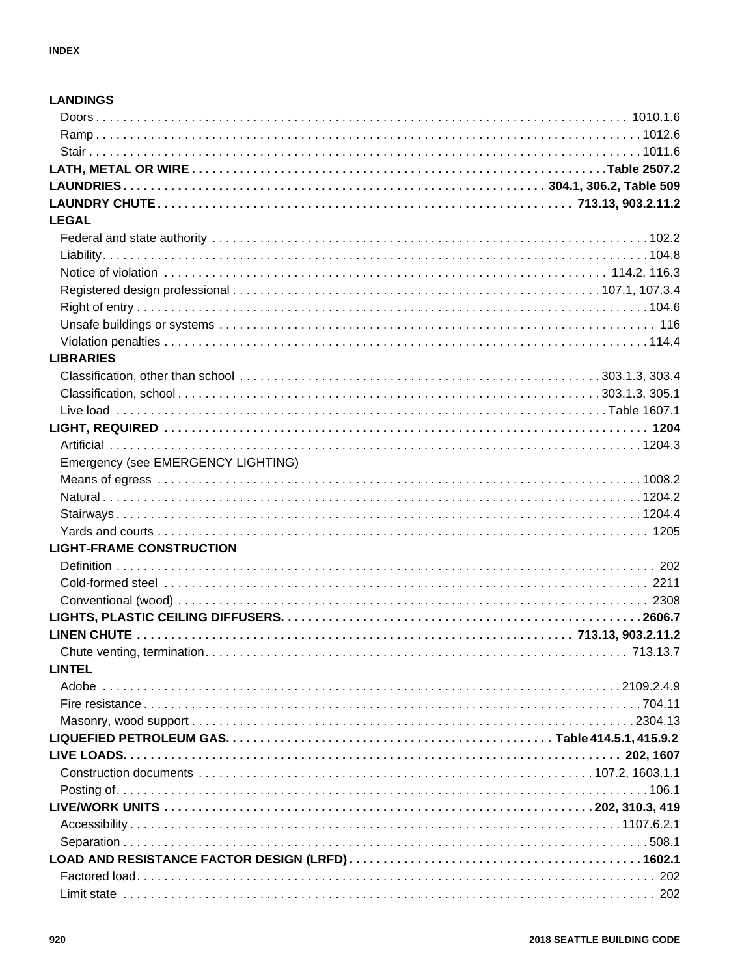| <b>LANDINGS</b>                    |  |
|------------------------------------|--|
|                                    |  |
|                                    |  |
|                                    |  |
|                                    |  |
|                                    |  |
|                                    |  |
| <b>LEGAL</b>                       |  |
|                                    |  |
|                                    |  |
|                                    |  |
|                                    |  |
|                                    |  |
|                                    |  |
|                                    |  |
| <b>LIBRARIES</b>                   |  |
|                                    |  |
|                                    |  |
|                                    |  |
|                                    |  |
|                                    |  |
| Emergency (see EMERGENCY LIGHTING) |  |
|                                    |  |
|                                    |  |
|                                    |  |
|                                    |  |
| <b>LIGHT-FRAME CONSTRUCTION</b>    |  |
|                                    |  |
|                                    |  |
|                                    |  |
|                                    |  |
|                                    |  |
|                                    |  |
| <b>LINTEL</b>                      |  |
|                                    |  |
|                                    |  |
|                                    |  |
|                                    |  |
|                                    |  |
|                                    |  |
|                                    |  |
|                                    |  |
|                                    |  |
|                                    |  |
|                                    |  |
|                                    |  |
|                                    |  |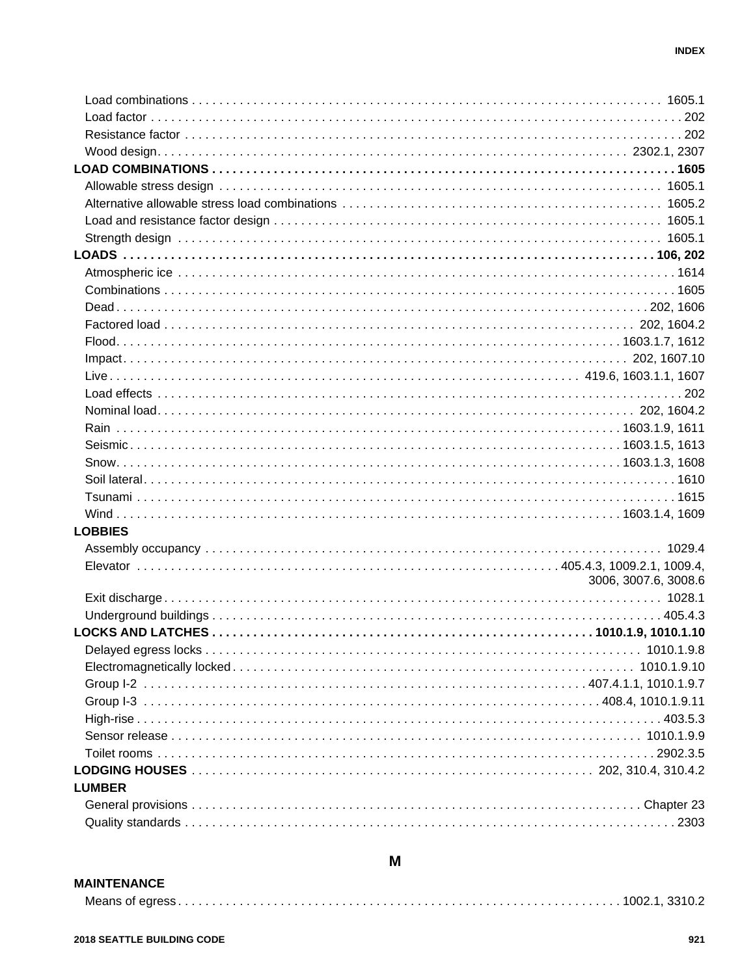| <b>LOBBIES</b> |                      |
|----------------|----------------------|
|                |                      |
|                |                      |
|                | 3006, 3007.6, 3008.6 |
|                |                      |
|                |                      |
|                |                      |
|                |                      |
|                |                      |
|                |                      |
|                |                      |
|                |                      |
|                |                      |
|                |                      |
|                |                      |
| <b>LUMBER</b>  |                      |
|                |                      |
|                |                      |
|                |                      |

#### **MAINTENANCE**

## 

M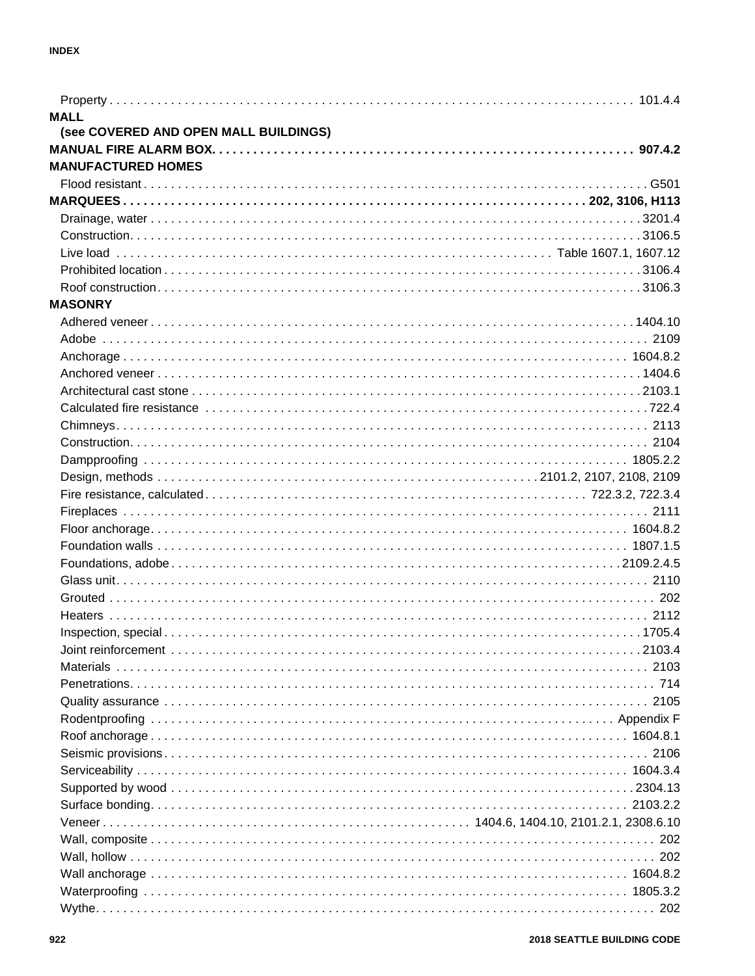| <b>MALL</b>                           |  |
|---------------------------------------|--|
| (see COVERED AND OPEN MALL BUILDINGS) |  |
|                                       |  |
| <b>MANUFACTURED HOMES</b>             |  |
|                                       |  |
|                                       |  |
|                                       |  |
|                                       |  |
|                                       |  |
|                                       |  |
|                                       |  |
| <b>MASONRY</b>                        |  |
|                                       |  |
|                                       |  |
|                                       |  |
|                                       |  |
|                                       |  |
|                                       |  |
|                                       |  |
|                                       |  |
|                                       |  |
|                                       |  |
|                                       |  |
|                                       |  |
|                                       |  |
|                                       |  |
|                                       |  |
|                                       |  |
|                                       |  |
|                                       |  |
|                                       |  |
|                                       |  |
|                                       |  |
|                                       |  |
|                                       |  |
|                                       |  |
|                                       |  |
|                                       |  |
|                                       |  |
|                                       |  |
|                                       |  |
|                                       |  |
|                                       |  |
|                                       |  |
|                                       |  |
|                                       |  |
|                                       |  |
|                                       |  |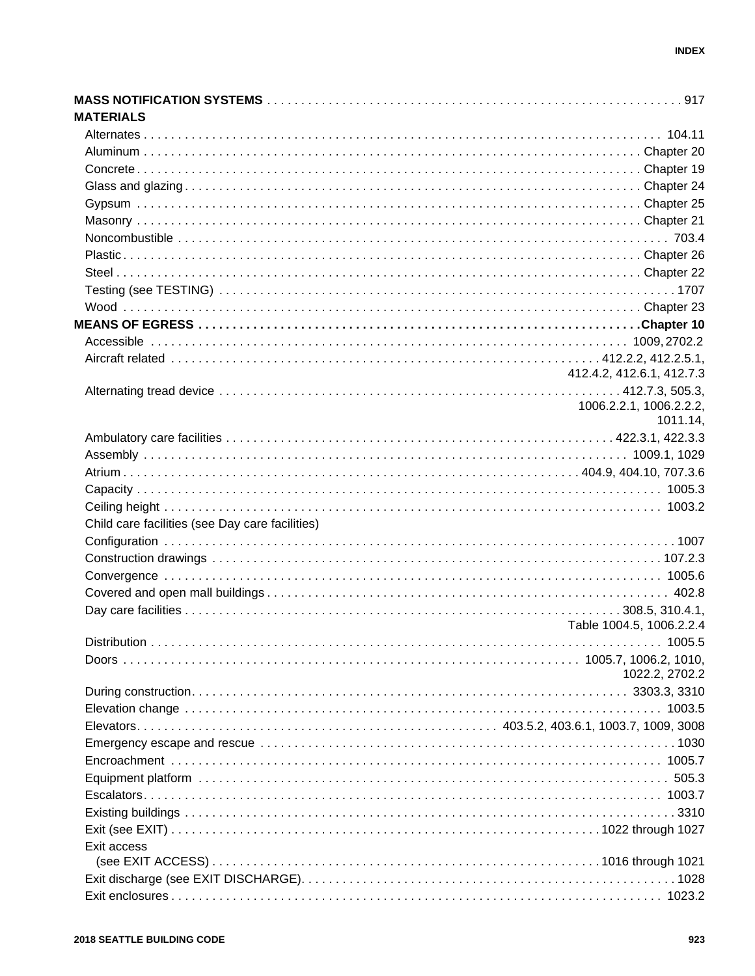| <b>MATERIALS</b>                                |                           |
|-------------------------------------------------|---------------------------|
|                                                 |                           |
|                                                 |                           |
|                                                 |                           |
|                                                 |                           |
|                                                 |                           |
|                                                 |                           |
|                                                 |                           |
|                                                 |                           |
|                                                 |                           |
|                                                 |                           |
|                                                 |                           |
|                                                 |                           |
|                                                 |                           |
|                                                 |                           |
|                                                 | 412.4.2, 412.6.1, 412.7.3 |
|                                                 |                           |
|                                                 | 1006.2.2.1, 1006.2.2.2,   |
|                                                 | 1011.14,                  |
|                                                 |                           |
|                                                 |                           |
|                                                 |                           |
|                                                 |                           |
|                                                 |                           |
| Child care facilities (see Day care facilities) |                           |
|                                                 |                           |
|                                                 |                           |
|                                                 |                           |
|                                                 |                           |
|                                                 |                           |
|                                                 | Table 1004.5, 1006.2.2.4  |
| <b>Distribution</b>                             | . 1005.5                  |
|                                                 |                           |
|                                                 | 1022.2, 2702.2            |
|                                                 |                           |
|                                                 |                           |
|                                                 |                           |
|                                                 |                           |
|                                                 |                           |
|                                                 |                           |
|                                                 |                           |
|                                                 |                           |
|                                                 |                           |
| Exit access                                     |                           |
|                                                 |                           |
|                                                 |                           |
|                                                 |                           |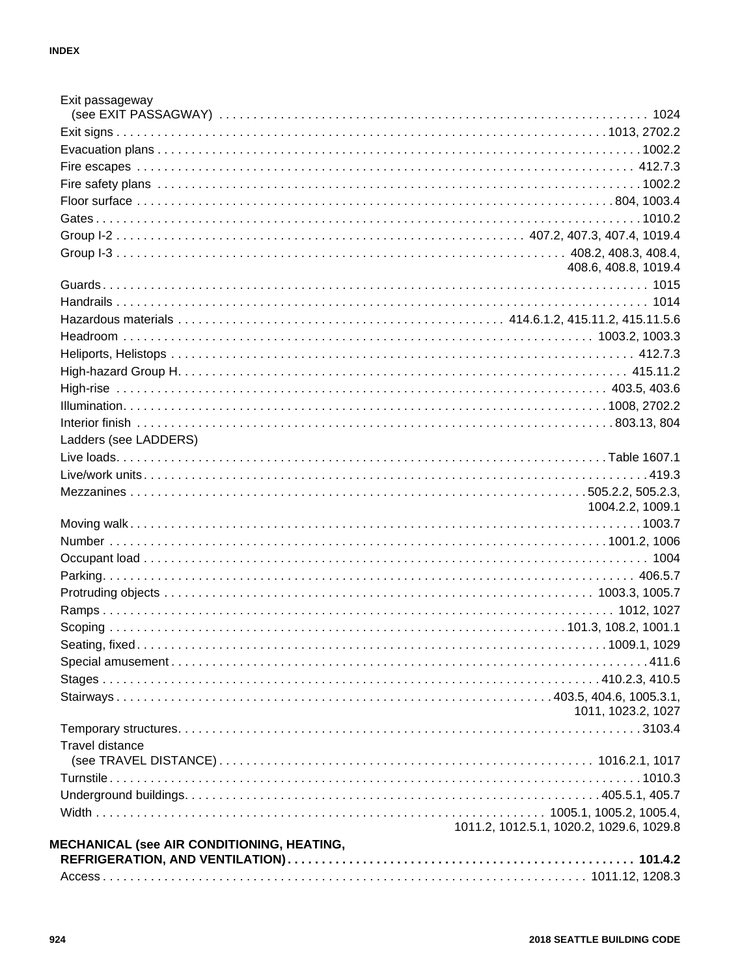| Exit passageway                            |                                          |
|--------------------------------------------|------------------------------------------|
|                                            |                                          |
|                                            |                                          |
|                                            |                                          |
|                                            |                                          |
|                                            |                                          |
|                                            |                                          |
|                                            |                                          |
|                                            |                                          |
|                                            | 408.6, 408.8, 1019.4                     |
|                                            |                                          |
|                                            |                                          |
|                                            |                                          |
|                                            |                                          |
|                                            |                                          |
|                                            |                                          |
|                                            |                                          |
|                                            |                                          |
|                                            |                                          |
|                                            |                                          |
| Ladders (see LADDERS)                      |                                          |
|                                            |                                          |
|                                            |                                          |
|                                            |                                          |
|                                            | 1004.2.2, 1009.1                         |
|                                            |                                          |
|                                            |                                          |
|                                            |                                          |
|                                            |                                          |
|                                            |                                          |
|                                            |                                          |
|                                            |                                          |
|                                            |                                          |
|                                            |                                          |
|                                            |                                          |
|                                            |                                          |
|                                            | 1011, 1023.2, 1027                       |
|                                            |                                          |
| <b>Travel distance</b>                     |                                          |
|                                            |                                          |
|                                            |                                          |
|                                            |                                          |
|                                            |                                          |
|                                            | 1011.2, 1012.5.1, 1020.2, 1029.6, 1029.8 |
| MECHANICAL (see AIR CONDITIONING, HEATING, |                                          |
|                                            |                                          |
|                                            |                                          |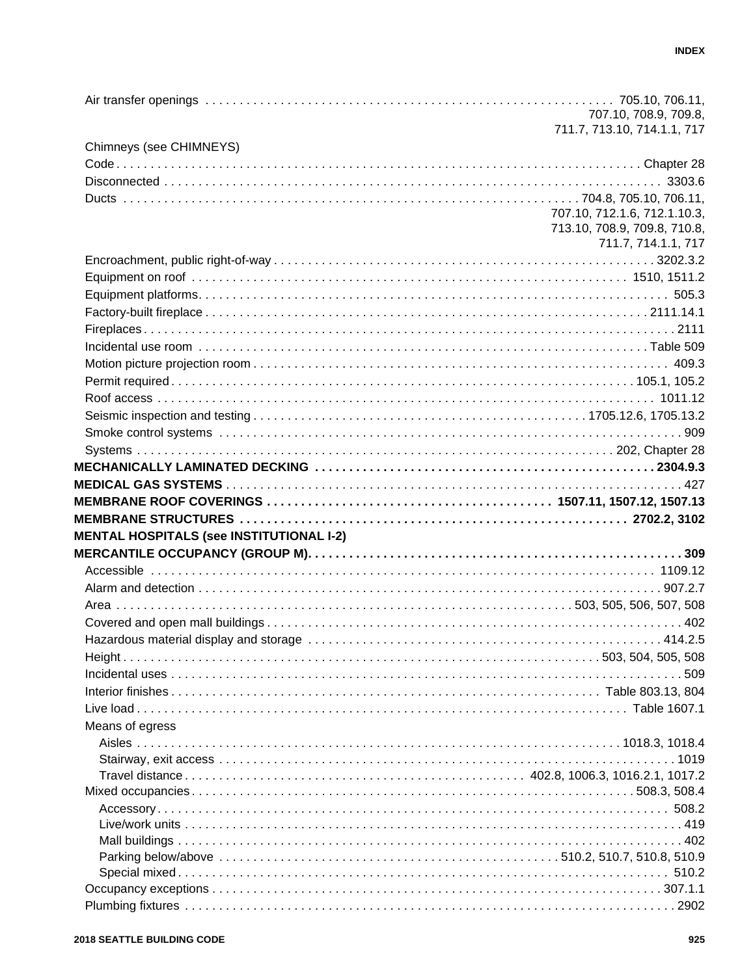|                                                 | 707.10, 708.9, 709.8,        |
|-------------------------------------------------|------------------------------|
|                                                 | 711.7, 713.10, 714.1.1, 717  |
| Chimneys (see CHIMNEYS)                         |                              |
|                                                 |                              |
|                                                 |                              |
|                                                 |                              |
|                                                 | 707.10, 712.1.6, 712.1.10.3, |
|                                                 | 713.10, 708.9, 709.8, 710.8, |
|                                                 | 711.7, 714.1.1, 717          |
|                                                 |                              |
|                                                 |                              |
|                                                 |                              |
|                                                 |                              |
|                                                 |                              |
|                                                 |                              |
|                                                 |                              |
|                                                 |                              |
|                                                 |                              |
|                                                 |                              |
|                                                 |                              |
|                                                 |                              |
|                                                 |                              |
|                                                 |                              |
|                                                 |                              |
|                                                 |                              |
| <b>MENTAL HOSPITALS (see INSTITUTIONAL I-2)</b> |                              |
|                                                 |                              |
|                                                 |                              |
|                                                 |                              |
|                                                 |                              |
|                                                 |                              |
|                                                 |                              |
|                                                 |                              |
|                                                 |                              |
|                                                 |                              |
|                                                 |                              |
|                                                 |                              |
| Means of egress                                 |                              |
|                                                 |                              |
|                                                 |                              |
|                                                 |                              |
|                                                 |                              |
|                                                 |                              |
|                                                 |                              |
|                                                 |                              |
|                                                 |                              |
|                                                 |                              |
|                                                 |                              |
|                                                 |                              |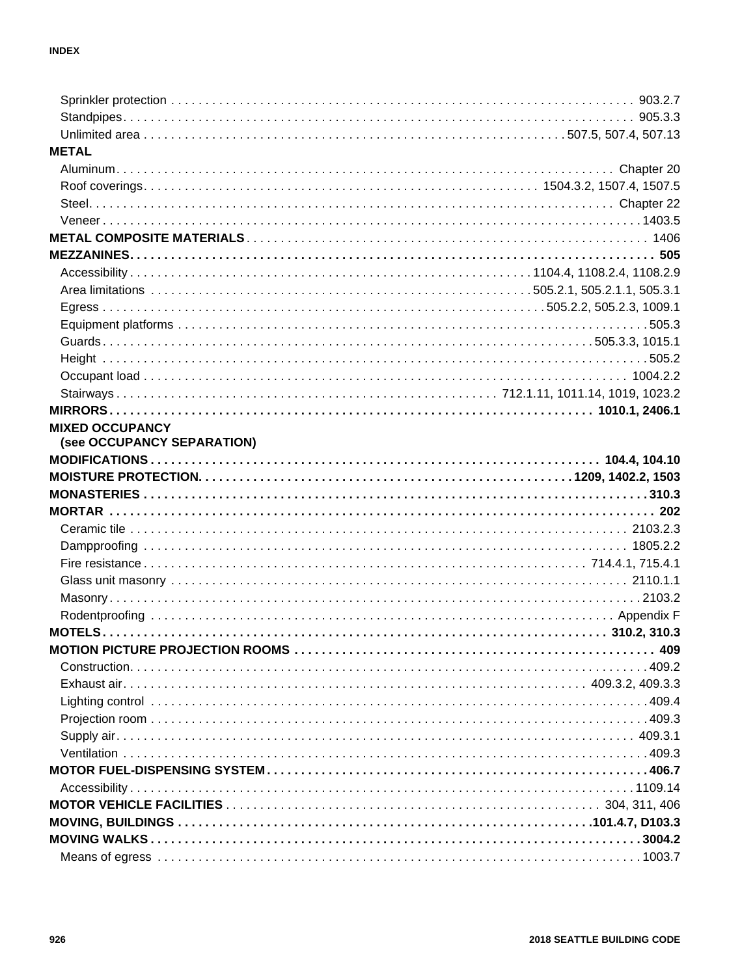| <b>METAL</b>                |  |
|-----------------------------|--|
|                             |  |
|                             |  |
|                             |  |
|                             |  |
|                             |  |
|                             |  |
|                             |  |
|                             |  |
|                             |  |
|                             |  |
|                             |  |
|                             |  |
|                             |  |
|                             |  |
|                             |  |
| <b>MIXED OCCUPANCY</b>      |  |
| (see OCCUPANCY SEPARATION)  |  |
|                             |  |
|                             |  |
|                             |  |
|                             |  |
|                             |  |
|                             |  |
|                             |  |
|                             |  |
|                             |  |
|                             |  |
|                             |  |
|                             |  |
| $Construction. \dots 109.2$ |  |
|                             |  |
|                             |  |
|                             |  |
|                             |  |
|                             |  |
|                             |  |
|                             |  |
|                             |  |
|                             |  |
|                             |  |
|                             |  |
|                             |  |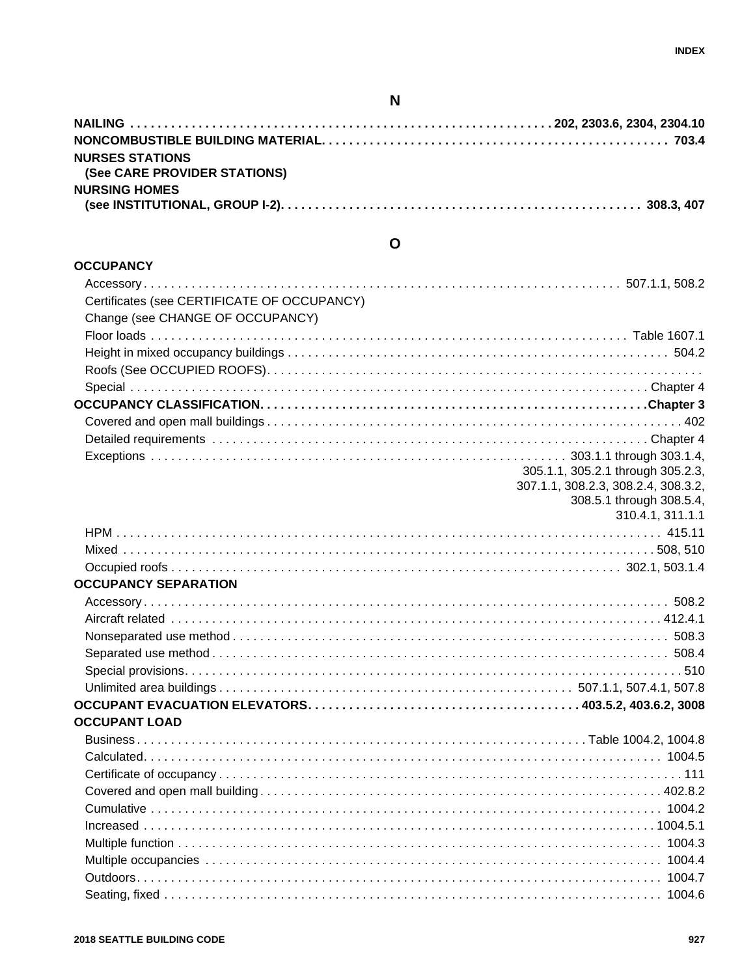### **N**

| <b>NURSES STATIONS</b>              |  |
|-------------------------------------|--|
| <b>(See CARE PROVIDER STATIONS)</b> |  |
| <b>NURSING HOMES</b>                |  |
|                                     |  |

### **O**

| <b>OCCUPANCY</b>                            |                                     |
|---------------------------------------------|-------------------------------------|
|                                             |                                     |
| Certificates (see CERTIFICATE OF OCCUPANCY) |                                     |
| Change (see CHANGE OF OCCUPANCY)            |                                     |
|                                             |                                     |
|                                             |                                     |
|                                             |                                     |
|                                             |                                     |
|                                             |                                     |
|                                             |                                     |
|                                             |                                     |
|                                             |                                     |
|                                             | 305.1.1, 305.2.1 through 305.2.3,   |
|                                             | 307.1.1, 308.2.3, 308.2.4, 308.3.2, |
|                                             | 308.5.1 through 308.5.4,            |
|                                             | 310.4.1, 311.1.1                    |
|                                             |                                     |
|                                             |                                     |
|                                             |                                     |
| <b>OCCUPANCY SEPARATION</b>                 |                                     |
|                                             |                                     |
|                                             |                                     |
|                                             |                                     |
|                                             |                                     |
|                                             |                                     |
|                                             |                                     |
|                                             |                                     |
| <b>OCCUPANT LOAD</b>                        |                                     |
|                                             |                                     |
|                                             |                                     |
|                                             |                                     |
|                                             |                                     |
|                                             |                                     |
|                                             |                                     |
|                                             |                                     |
|                                             |                                     |
|                                             |                                     |
|                                             |                                     |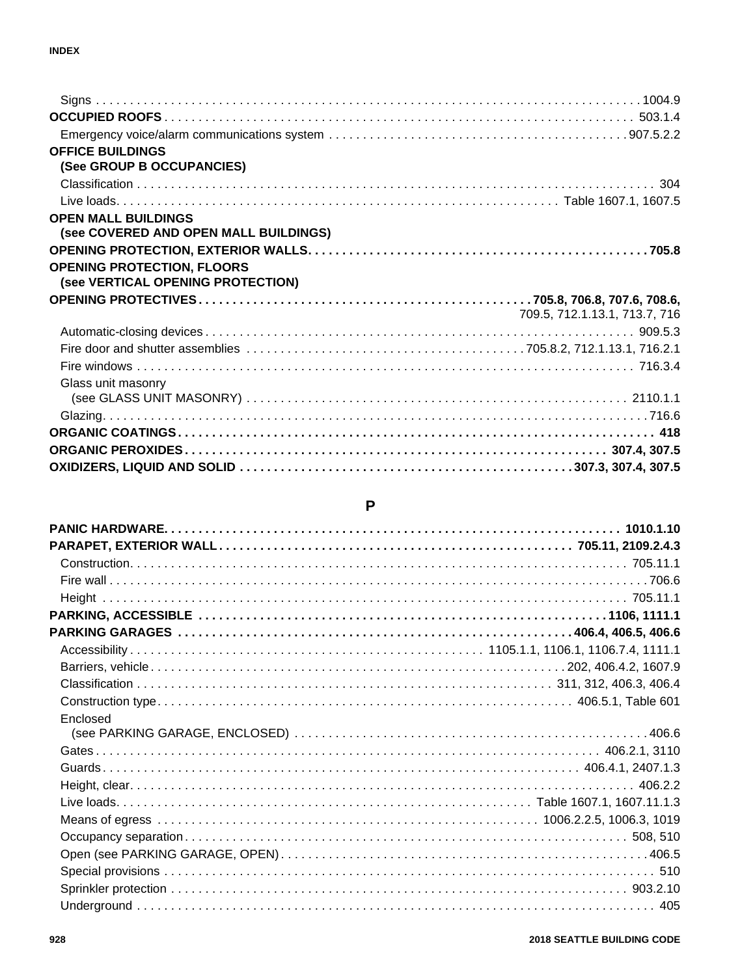| <b>OFFICE BUILDINGS</b>               |                               |
|---------------------------------------|-------------------------------|
| (See GROUP B OCCUPANCIES)             |                               |
|                                       |                               |
|                                       |                               |
| <b>OPEN MALL BUILDINGS</b>            |                               |
| (see COVERED AND OPEN MALL BUILDINGS) |                               |
|                                       |                               |
| <b>OPENING PROTECTION, FLOORS</b>     |                               |
| (see VERTICAL OPENING PROTECTION)     |                               |
|                                       |                               |
|                                       | 709.5, 712.1.13.1, 713.7, 716 |
|                                       |                               |
|                                       |                               |
|                                       |                               |
| Glass unit masonry                    |                               |
|                                       |                               |
|                                       |                               |
|                                       |                               |
|                                       |                               |
|                                       |                               |

### **P**

| Enclosed |  |
|----------|--|
|          |  |
|          |  |
|          |  |
|          |  |
|          |  |
|          |  |
|          |  |
|          |  |
|          |  |
|          |  |
|          |  |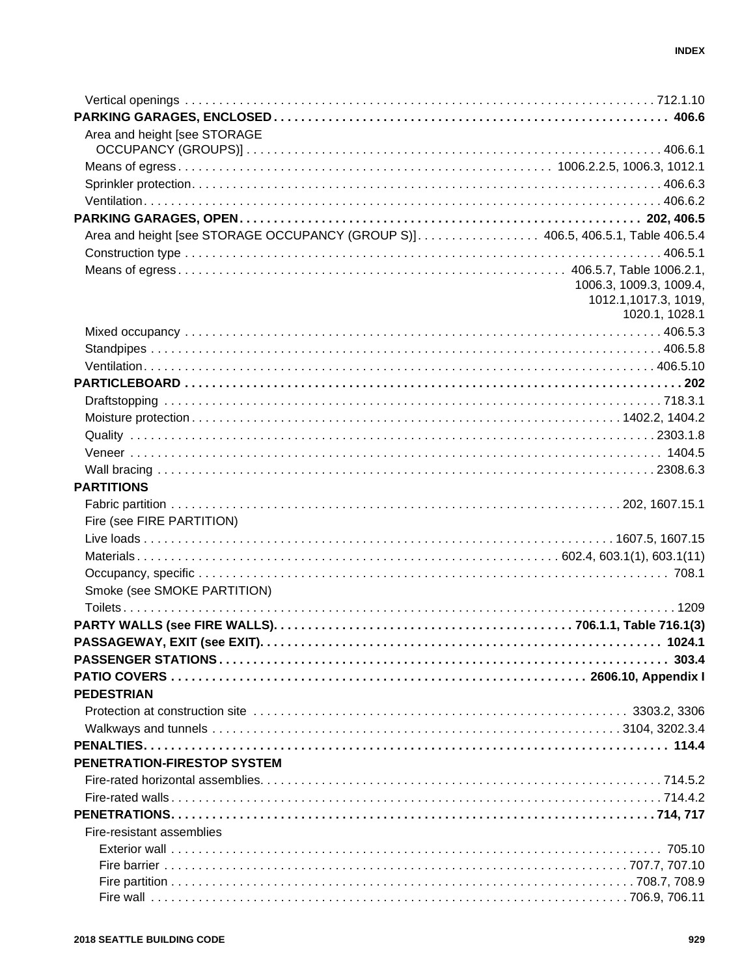| Area and height [see STORAGE                                                    |                         |
|---------------------------------------------------------------------------------|-------------------------|
|                                                                                 |                         |
|                                                                                 |                         |
|                                                                                 |                         |
|                                                                                 |                         |
|                                                                                 |                         |
| Area and height [see STORAGE OCCUPANCY (GROUP S)] 406.5, 406.5.1, Table 406.5.4 |                         |
|                                                                                 |                         |
|                                                                                 |                         |
|                                                                                 | 1006.3, 1009.3, 1009.4, |
|                                                                                 | 1012.1, 1017.3, 1019,   |
|                                                                                 | 1020.1, 1028.1          |
|                                                                                 |                         |
|                                                                                 |                         |
|                                                                                 |                         |
|                                                                                 |                         |
|                                                                                 |                         |
|                                                                                 |                         |
|                                                                                 |                         |
|                                                                                 |                         |
|                                                                                 |                         |
| <b>PARTITIONS</b>                                                               |                         |
|                                                                                 |                         |
| Fire (see FIRE PARTITION)                                                       |                         |
|                                                                                 |                         |
|                                                                                 |                         |
|                                                                                 |                         |
| Smoke (see SMOKE PARTITION)                                                     |                         |
|                                                                                 |                         |
|                                                                                 |                         |
|                                                                                 |                         |
|                                                                                 |                         |
|                                                                                 |                         |
| <b>PEDESTRIAN</b>                                                               |                         |
|                                                                                 |                         |
|                                                                                 |                         |
|                                                                                 |                         |
| PENETRATION-FIRESTOP SYSTEM                                                     |                         |
|                                                                                 |                         |
|                                                                                 |                         |
|                                                                                 |                         |
|                                                                                 |                         |
| Fire-resistant assemblies                                                       |                         |
|                                                                                 |                         |
|                                                                                 |                         |
|                                                                                 |                         |
|                                                                                 |                         |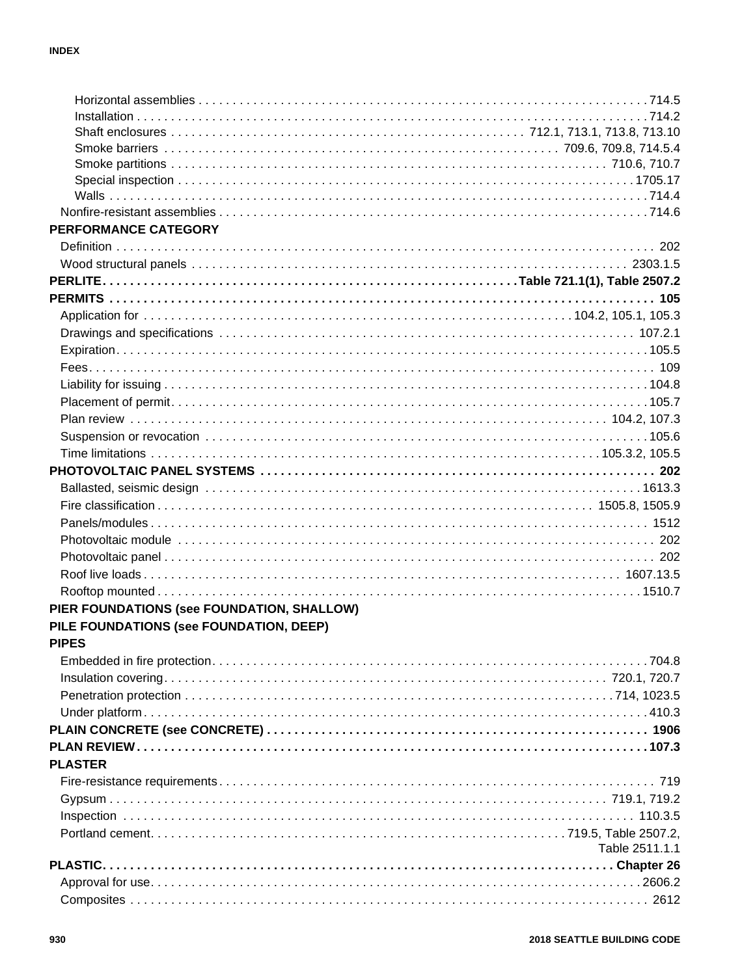| PERFORMANCE CATEGORY                       |                |
|--------------------------------------------|----------------|
|                                            |                |
|                                            |                |
|                                            |                |
|                                            |                |
|                                            |                |
|                                            |                |
|                                            |                |
|                                            |                |
|                                            |                |
|                                            |                |
|                                            |                |
|                                            |                |
|                                            |                |
|                                            |                |
|                                            |                |
|                                            |                |
|                                            |                |
|                                            |                |
|                                            |                |
|                                            |                |
|                                            |                |
| PIER FOUNDATIONS (see FOUNDATION, SHALLOW) |                |
| PILE FOUNDATIONS (see FOUNDATION, DEEP)    |                |
| <b>PIPES</b>                               |                |
|                                            |                |
|                                            |                |
|                                            |                |
|                                            |                |
|                                            |                |
|                                            |                |
|                                            |                |
| <b>PLASTER</b>                             |                |
|                                            |                |
|                                            |                |
|                                            |                |
|                                            |                |
|                                            | Table 2511.1.1 |
|                                            |                |
|                                            |                |
|                                            |                |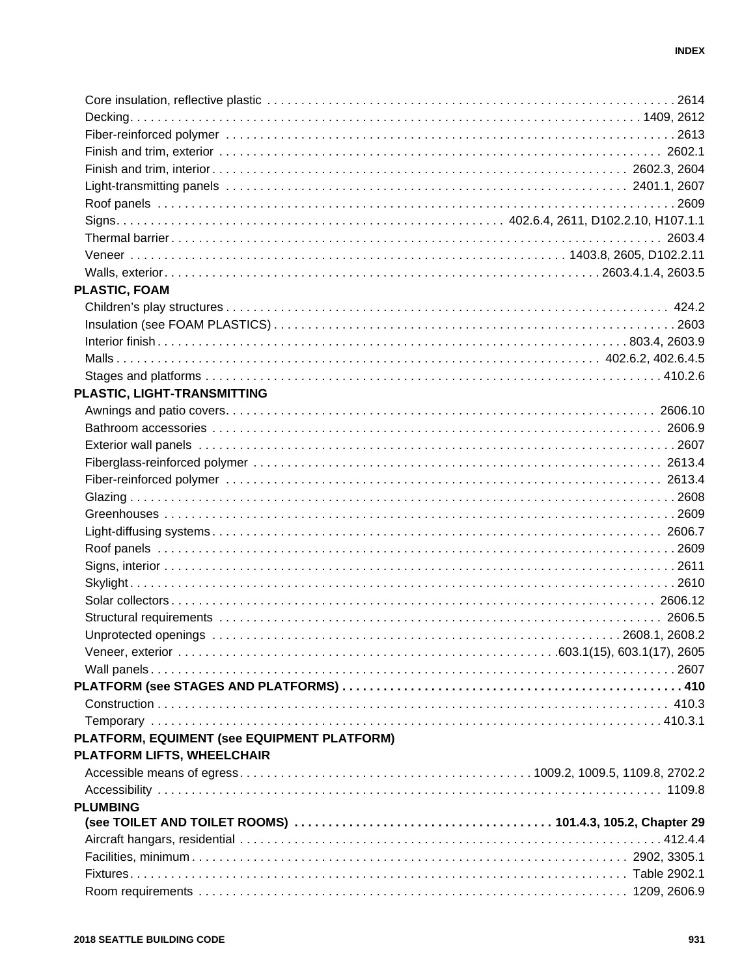| PLASTIC, FOAM                               |  |
|---------------------------------------------|--|
|                                             |  |
|                                             |  |
|                                             |  |
|                                             |  |
|                                             |  |
| PLASTIC, LIGHT-TRANSMITTING                 |  |
|                                             |  |
|                                             |  |
|                                             |  |
|                                             |  |
|                                             |  |
|                                             |  |
|                                             |  |
|                                             |  |
|                                             |  |
|                                             |  |
|                                             |  |
|                                             |  |
|                                             |  |
|                                             |  |
|                                             |  |
|                                             |  |
|                                             |  |
|                                             |  |
|                                             |  |
| PLATFORM, EQUIMENT (see EQUIPMENT PLATFORM) |  |
| PLATFORM LIFTS, WHEELCHAIR                  |  |
|                                             |  |
|                                             |  |
| <b>PLUMBING</b>                             |  |
|                                             |  |
|                                             |  |
|                                             |  |
|                                             |  |
|                                             |  |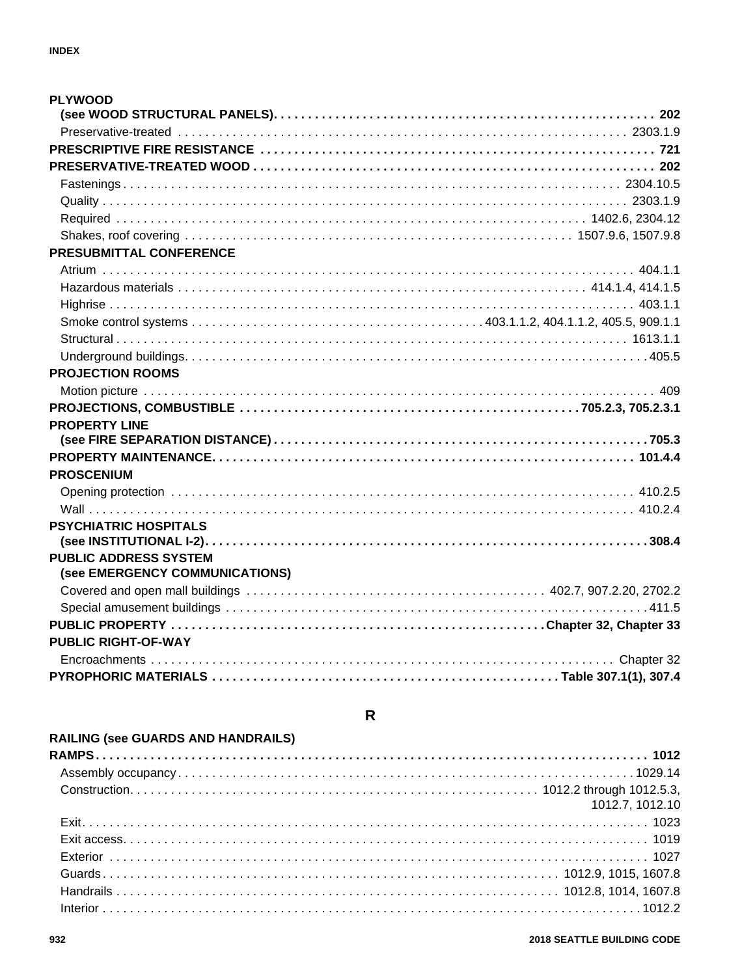| <b>PLYWOOD</b>                                                 |  |
|----------------------------------------------------------------|--|
|                                                                |  |
|                                                                |  |
|                                                                |  |
|                                                                |  |
|                                                                |  |
|                                                                |  |
|                                                                |  |
|                                                                |  |
| PRESUBMITTAL CONFERENCE                                        |  |
|                                                                |  |
|                                                                |  |
|                                                                |  |
|                                                                |  |
|                                                                |  |
|                                                                |  |
| <b>PROJECTION ROOMS</b>                                        |  |
|                                                                |  |
|                                                                |  |
| <b>PROPERTY LINE</b>                                           |  |
|                                                                |  |
|                                                                |  |
| <b>PROSCENIUM</b>                                              |  |
|                                                                |  |
|                                                                |  |
| <b>PSYCHIATRIC HOSPITALS</b>                                   |  |
|                                                                |  |
| <b>PUBLIC ADDRESS SYSTEM</b><br>(see EMERGENCY COMMUNICATIONS) |  |
|                                                                |  |
|                                                                |  |
|                                                                |  |
| <b>PUBLIC RIGHT-OF-WAY</b>                                     |  |
|                                                                |  |
|                                                                |  |
|                                                                |  |

### ${\sf R}$

### RAILING (see GUARDS AND HANDRAILS)

| 1012.7, 1012.10 |
|-----------------|
|                 |
|                 |
|                 |
|                 |
|                 |
|                 |
|                 |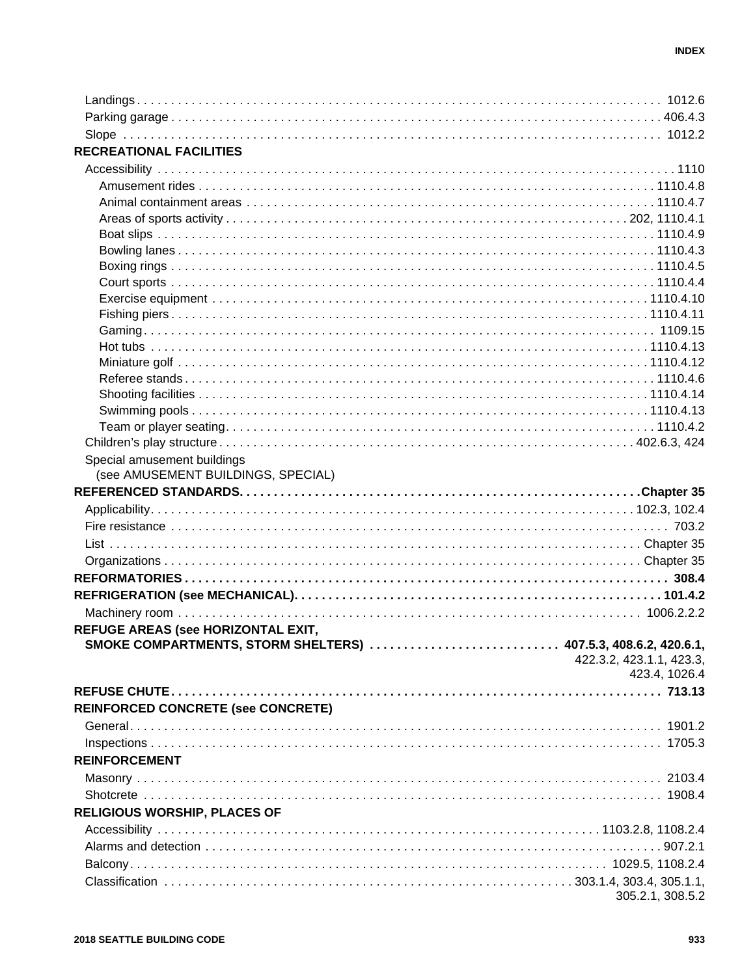| Special amusement buildings<br>(see AMUSEMENT BUILDINGS, SPECIAL)<br>REFUGE AREAS (see HORIZONTAL EXIT,<br>SMOKE COMPARTMENTS, STORM SHELTERS)  407.5.3, 408.6.2, 420.6.1,<br>422.3.2, 423.1.1, 423.3,<br>423.4, 1026.4<br>REINFORCED CONCRETE (see CONCRETE)<br><b>REINFORCEMENT</b> |                                     |                  |
|---------------------------------------------------------------------------------------------------------------------------------------------------------------------------------------------------------------------------------------------------------------------------------------|-------------------------------------|------------------|
|                                                                                                                                                                                                                                                                                       |                                     |                  |
|                                                                                                                                                                                                                                                                                       |                                     |                  |
|                                                                                                                                                                                                                                                                                       |                                     |                  |
|                                                                                                                                                                                                                                                                                       | <b>RECREATIONAL FACILITIES</b>      |                  |
|                                                                                                                                                                                                                                                                                       |                                     |                  |
|                                                                                                                                                                                                                                                                                       |                                     |                  |
|                                                                                                                                                                                                                                                                                       |                                     |                  |
|                                                                                                                                                                                                                                                                                       |                                     |                  |
|                                                                                                                                                                                                                                                                                       |                                     |                  |
|                                                                                                                                                                                                                                                                                       |                                     |                  |
|                                                                                                                                                                                                                                                                                       |                                     |                  |
|                                                                                                                                                                                                                                                                                       |                                     |                  |
|                                                                                                                                                                                                                                                                                       |                                     |                  |
|                                                                                                                                                                                                                                                                                       |                                     |                  |
|                                                                                                                                                                                                                                                                                       |                                     |                  |
|                                                                                                                                                                                                                                                                                       |                                     |                  |
|                                                                                                                                                                                                                                                                                       |                                     |                  |
|                                                                                                                                                                                                                                                                                       |                                     |                  |
|                                                                                                                                                                                                                                                                                       |                                     |                  |
|                                                                                                                                                                                                                                                                                       |                                     |                  |
|                                                                                                                                                                                                                                                                                       |                                     |                  |
|                                                                                                                                                                                                                                                                                       |                                     |                  |
|                                                                                                                                                                                                                                                                                       |                                     |                  |
|                                                                                                                                                                                                                                                                                       |                                     |                  |
|                                                                                                                                                                                                                                                                                       |                                     |                  |
|                                                                                                                                                                                                                                                                                       |                                     |                  |
|                                                                                                                                                                                                                                                                                       |                                     |                  |
|                                                                                                                                                                                                                                                                                       |                                     |                  |
|                                                                                                                                                                                                                                                                                       |                                     |                  |
|                                                                                                                                                                                                                                                                                       |                                     |                  |
|                                                                                                                                                                                                                                                                                       |                                     |                  |
|                                                                                                                                                                                                                                                                                       |                                     |                  |
|                                                                                                                                                                                                                                                                                       |                                     |                  |
|                                                                                                                                                                                                                                                                                       |                                     |                  |
|                                                                                                                                                                                                                                                                                       |                                     |                  |
|                                                                                                                                                                                                                                                                                       |                                     |                  |
|                                                                                                                                                                                                                                                                                       |                                     |                  |
|                                                                                                                                                                                                                                                                                       |                                     |                  |
|                                                                                                                                                                                                                                                                                       |                                     |                  |
|                                                                                                                                                                                                                                                                                       |                                     |                  |
|                                                                                                                                                                                                                                                                                       |                                     |                  |
|                                                                                                                                                                                                                                                                                       |                                     |                  |
|                                                                                                                                                                                                                                                                                       |                                     |                  |
|                                                                                                                                                                                                                                                                                       |                                     |                  |
|                                                                                                                                                                                                                                                                                       | <b>RELIGIOUS WORSHIP, PLACES OF</b> |                  |
|                                                                                                                                                                                                                                                                                       |                                     |                  |
|                                                                                                                                                                                                                                                                                       |                                     |                  |
|                                                                                                                                                                                                                                                                                       |                                     |                  |
|                                                                                                                                                                                                                                                                                       |                                     |                  |
|                                                                                                                                                                                                                                                                                       |                                     | 305.2.1, 308.5.2 |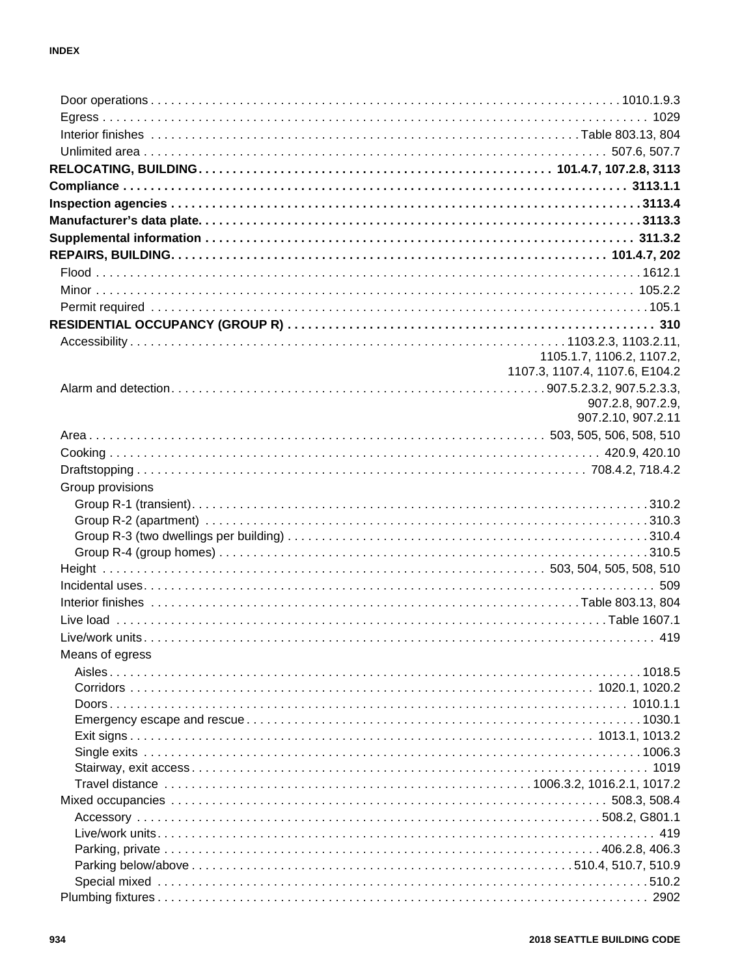|                  | 1105.1.7, 1106.2, 1107.2,      |
|------------------|--------------------------------|
|                  | 1107.3, 1107.4, 1107.6, E104.2 |
|                  |                                |
|                  | 907.2.8, 907.2.9,              |
|                  | 907.2.10, 907.2.11             |
|                  |                                |
|                  |                                |
|                  |                                |
| Group provisions |                                |
|                  |                                |
|                  |                                |
|                  |                                |
|                  |                                |
|                  |                                |
|                  |                                |
|                  |                                |
|                  |                                |
|                  |                                |
|                  |                                |
| Means of egress  |                                |
|                  |                                |
|                  |                                |
|                  |                                |
|                  |                                |
|                  |                                |
|                  |                                |
|                  |                                |
|                  |                                |
|                  |                                |
|                  |                                |
|                  |                                |
|                  |                                |
|                  |                                |
|                  |                                |
|                  |                                |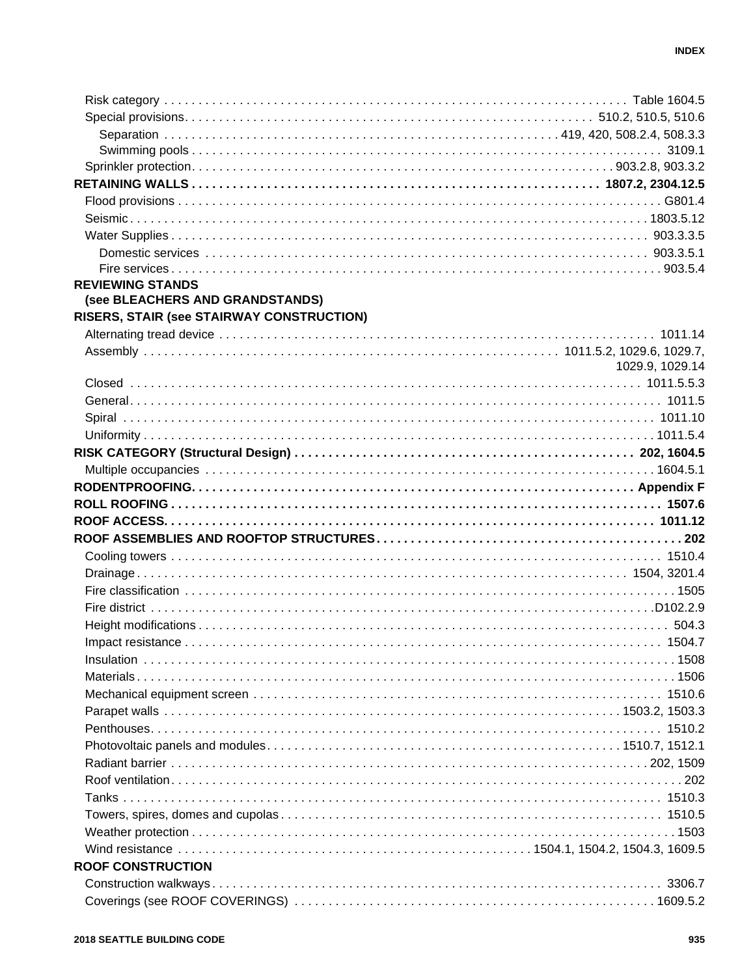| <b>REVIEWING STANDS</b><br>(see BLEACHERS AND GRANDSTANDS)<br>RISERS, STAIR (see STAIRWAY CONSTRUCTION)<br>1029.9, 1029.14<br><b>ROOF CONSTRUCTION</b> |  |
|--------------------------------------------------------------------------------------------------------------------------------------------------------|--|
|                                                                                                                                                        |  |
|                                                                                                                                                        |  |
|                                                                                                                                                        |  |
|                                                                                                                                                        |  |
|                                                                                                                                                        |  |
|                                                                                                                                                        |  |
|                                                                                                                                                        |  |
|                                                                                                                                                        |  |
|                                                                                                                                                        |  |
|                                                                                                                                                        |  |
|                                                                                                                                                        |  |
|                                                                                                                                                        |  |
|                                                                                                                                                        |  |
|                                                                                                                                                        |  |
|                                                                                                                                                        |  |
|                                                                                                                                                        |  |
|                                                                                                                                                        |  |
|                                                                                                                                                        |  |
|                                                                                                                                                        |  |
|                                                                                                                                                        |  |
|                                                                                                                                                        |  |
|                                                                                                                                                        |  |
|                                                                                                                                                        |  |
|                                                                                                                                                        |  |
|                                                                                                                                                        |  |
|                                                                                                                                                        |  |
|                                                                                                                                                        |  |
|                                                                                                                                                        |  |
|                                                                                                                                                        |  |
|                                                                                                                                                        |  |
|                                                                                                                                                        |  |
|                                                                                                                                                        |  |
|                                                                                                                                                        |  |
|                                                                                                                                                        |  |
|                                                                                                                                                        |  |
|                                                                                                                                                        |  |
|                                                                                                                                                        |  |
|                                                                                                                                                        |  |
|                                                                                                                                                        |  |
|                                                                                                                                                        |  |
|                                                                                                                                                        |  |
|                                                                                                                                                        |  |
|                                                                                                                                                        |  |
|                                                                                                                                                        |  |
|                                                                                                                                                        |  |
|                                                                                                                                                        |  |
|                                                                                                                                                        |  |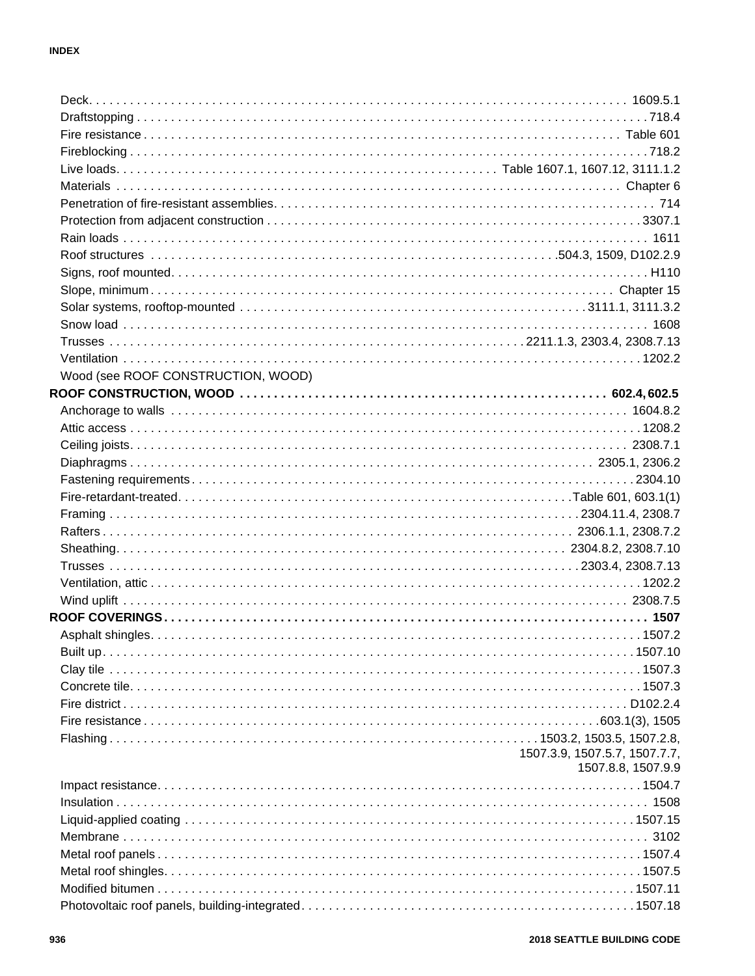| Wood (see ROOF CONSTRUCTION, WOOD) |                               |
|------------------------------------|-------------------------------|
|                                    |                               |
|                                    |                               |
|                                    |                               |
|                                    |                               |
|                                    |                               |
|                                    |                               |
|                                    |                               |
|                                    |                               |
|                                    |                               |
|                                    |                               |
|                                    |                               |
|                                    |                               |
|                                    |                               |
|                                    |                               |
|                                    |                               |
|                                    |                               |
|                                    |                               |
|                                    |                               |
|                                    |                               |
|                                    |                               |
|                                    |                               |
|                                    | 1507.3.9, 1507.5.7, 1507.7.7, |
|                                    | 1507.8.8, 1507.9.9            |
|                                    |                               |
|                                    |                               |
|                                    |                               |
|                                    |                               |
|                                    |                               |
|                                    |                               |
|                                    |                               |
|                                    |                               |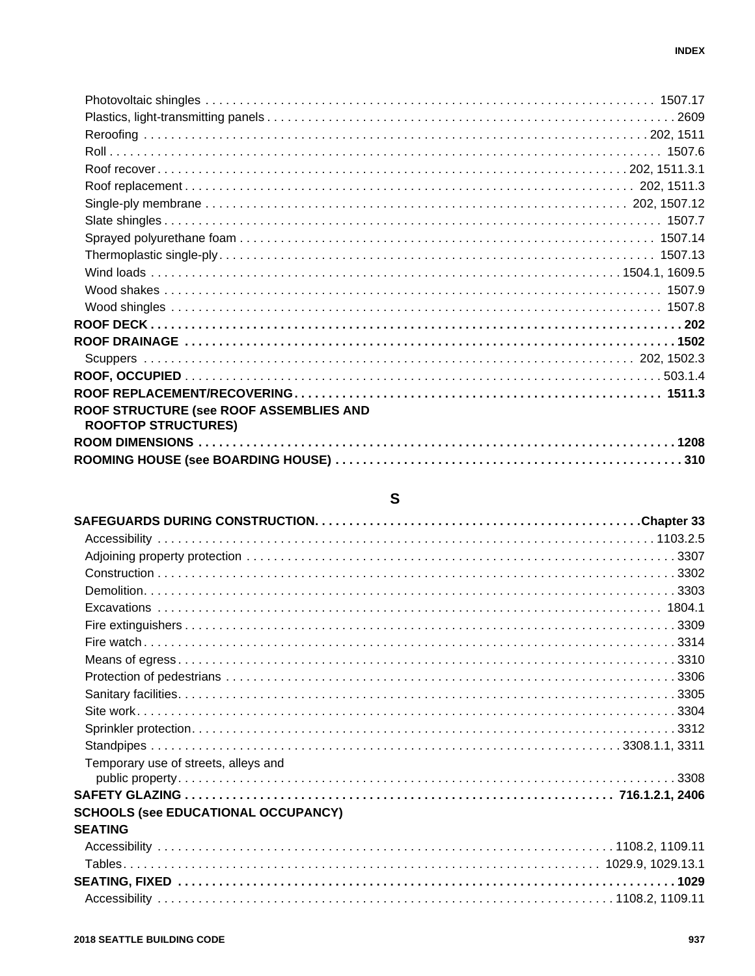| ROOF STRUCTURE (see ROOF ASSEMBLIES AND<br><b>ROOFTOP STRUCTURES)</b> |  |
|-----------------------------------------------------------------------|--|
|                                                                       |  |
|                                                                       |  |

# $\mathbf{s}$

| Temporary use of streets, alleys and       |  |
|--------------------------------------------|--|
|                                            |  |
|                                            |  |
| <b>SCHOOLS (see EDUCATIONAL OCCUPANCY)</b> |  |
| <b>SEATING</b>                             |  |
|                                            |  |
|                                            |  |
|                                            |  |
|                                            |  |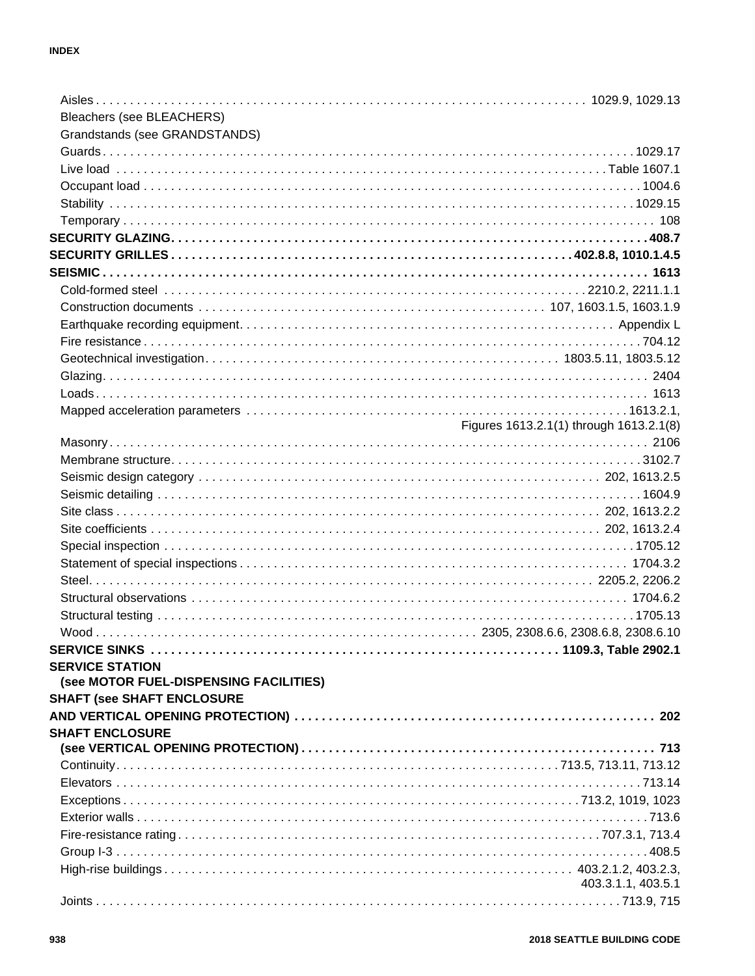| Bleachers (see BLEACHERS)              |                                         |
|----------------------------------------|-----------------------------------------|
| Grandstands (see GRANDSTANDS)          |                                         |
|                                        |                                         |
|                                        |                                         |
|                                        |                                         |
|                                        |                                         |
|                                        |                                         |
|                                        |                                         |
|                                        |                                         |
|                                        |                                         |
|                                        |                                         |
|                                        |                                         |
|                                        |                                         |
|                                        |                                         |
|                                        |                                         |
|                                        |                                         |
|                                        |                                         |
|                                        |                                         |
|                                        | Figures 1613.2.1(1) through 1613.2.1(8) |
|                                        |                                         |
|                                        |                                         |
|                                        |                                         |
|                                        |                                         |
|                                        |                                         |
|                                        |                                         |
|                                        |                                         |
|                                        |                                         |
|                                        |                                         |
|                                        |                                         |
|                                        |                                         |
|                                        |                                         |
|                                        |                                         |
| <b>SERVICE STATION</b>                 |                                         |
| (see MOTOR FUEL-DISPENSING FACILITIES) |                                         |
| <b>SHAFT (see SHAFT ENCLOSURE</b>      |                                         |
|                                        |                                         |
| <b>SHAFT ENCLOSURE</b>                 |                                         |
|                                        |                                         |
|                                        |                                         |
|                                        |                                         |
|                                        |                                         |
|                                        |                                         |
|                                        |                                         |
|                                        |                                         |
|                                        |                                         |
|                                        | 403.3.1.1, 403.5.1                      |
|                                        |                                         |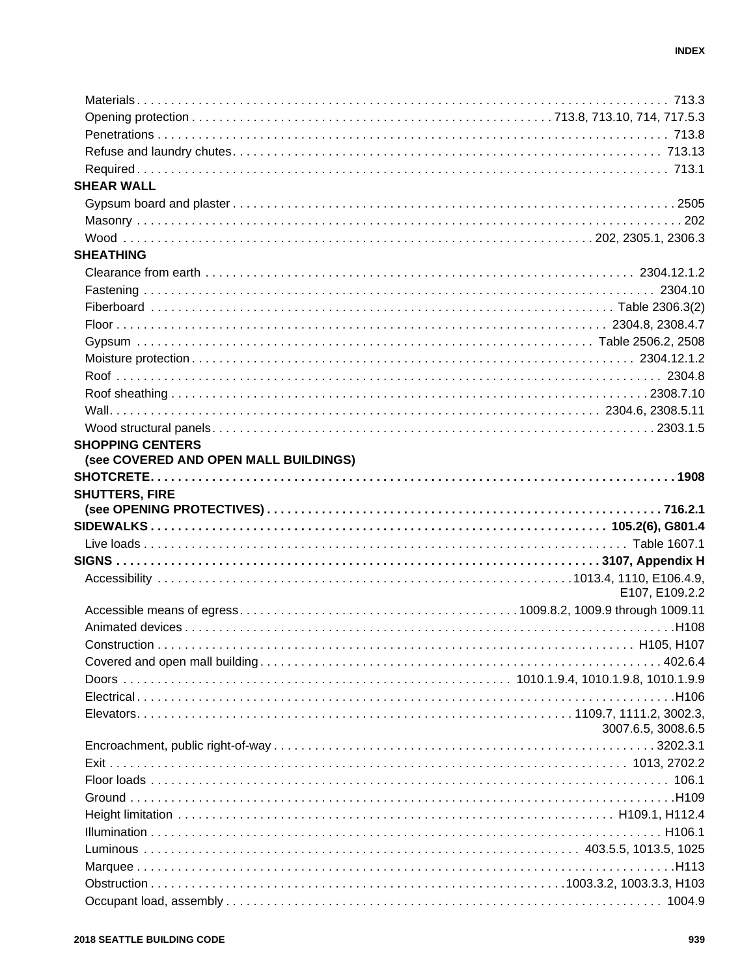| <b>SHEAR WALL</b>                     |                    |
|---------------------------------------|--------------------|
|                                       |                    |
|                                       |                    |
|                                       |                    |
| <b>SHEATHING</b>                      |                    |
|                                       |                    |
|                                       |                    |
|                                       |                    |
|                                       |                    |
|                                       |                    |
|                                       |                    |
|                                       |                    |
|                                       |                    |
|                                       |                    |
|                                       |                    |
| <b>SHOPPING CENTERS</b>               |                    |
| (see COVERED AND OPEN MALL BUILDINGS) |                    |
|                                       |                    |
| <b>SHUTTERS, FIRE</b>                 |                    |
|                                       |                    |
|                                       |                    |
|                                       |                    |
|                                       |                    |
|                                       |                    |
|                                       |                    |
|                                       | E107, E109.2.2     |
|                                       |                    |
|                                       |                    |
| Construction                          |                    |
|                                       |                    |
|                                       |                    |
|                                       |                    |
|                                       |                    |
|                                       | 3007.6.5, 3008.6.5 |
|                                       |                    |
|                                       |                    |
|                                       |                    |
|                                       |                    |
|                                       |                    |
|                                       |                    |
|                                       |                    |
|                                       |                    |
|                                       |                    |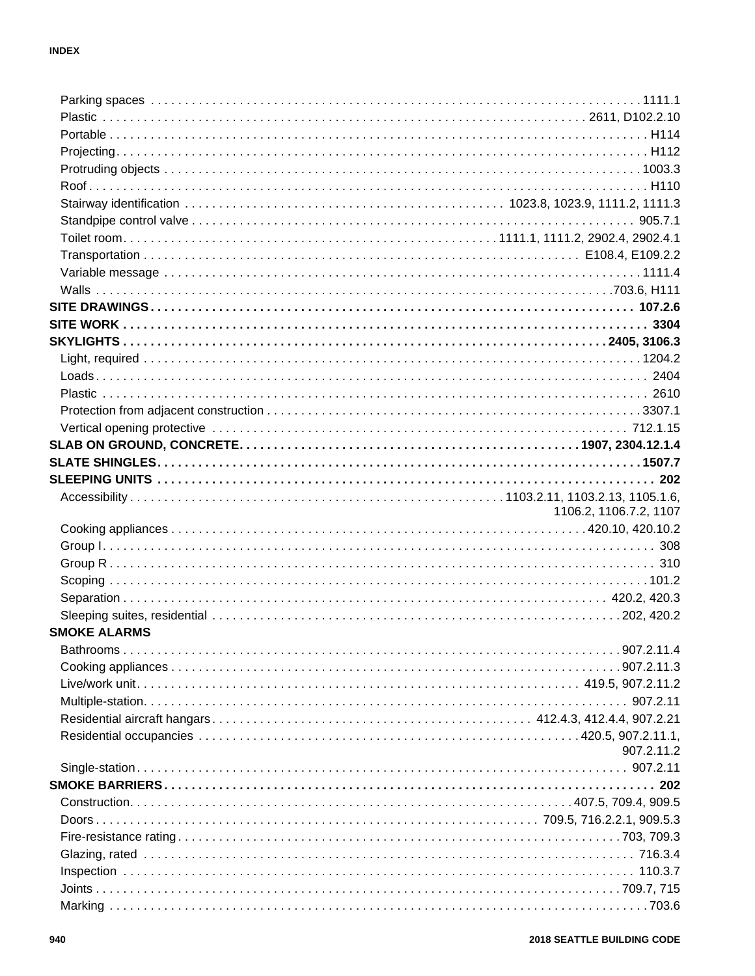|                     | 1106.2, 1106.7.2, 1107 |
|---------------------|------------------------|
|                     |                        |
|                     |                        |
|                     |                        |
|                     |                        |
|                     |                        |
|                     |                        |
| <b>SMOKE ALARMS</b> |                        |
|                     |                        |
|                     |                        |
|                     |                        |
|                     |                        |
|                     |                        |
|                     |                        |
|                     | 907.2.11.2             |
|                     |                        |
|                     |                        |
|                     |                        |
|                     |                        |
|                     |                        |
|                     |                        |
|                     |                        |
|                     |                        |
|                     |                        |
|                     |                        |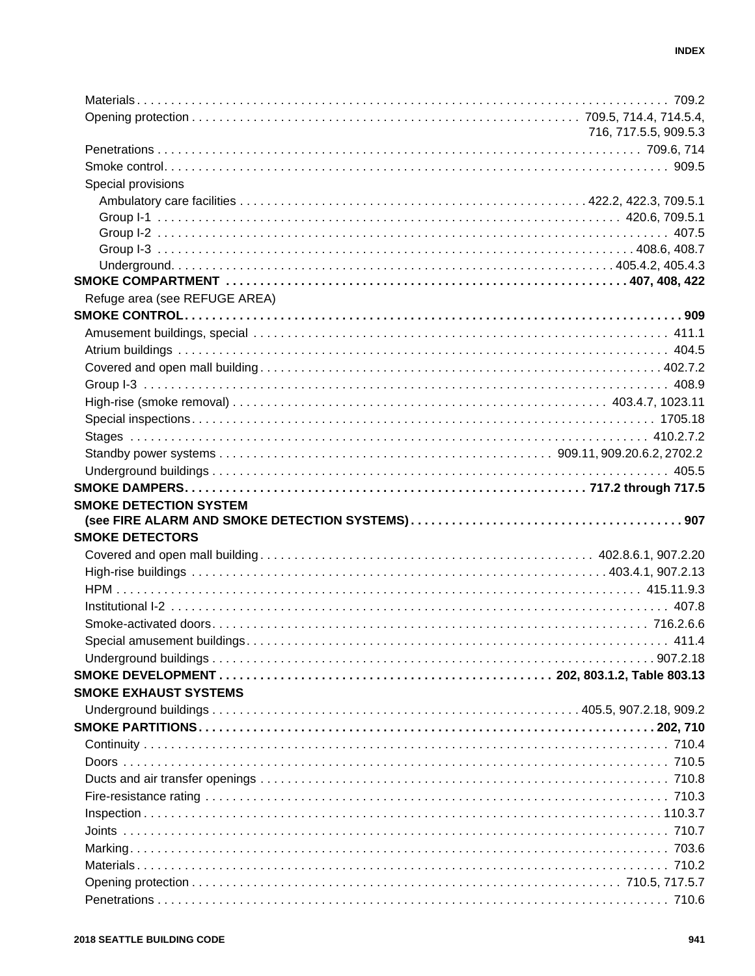|                               | 716, 717.5.5, 909.5.3 |
|-------------------------------|-----------------------|
|                               |                       |
|                               |                       |
| Special provisions            |                       |
|                               |                       |
|                               |                       |
|                               |                       |
|                               |                       |
|                               |                       |
|                               |                       |
| Refuge area (see REFUGE AREA) |                       |
|                               |                       |
|                               |                       |
|                               |                       |
|                               |                       |
|                               |                       |
|                               |                       |
|                               |                       |
|                               |                       |
|                               |                       |
|                               |                       |
|                               |                       |
| <b>SMOKE DETECTION SYSTEM</b> |                       |
|                               |                       |
|                               |                       |
| <b>SMOKE DETECTORS</b>        |                       |
|                               |                       |
|                               |                       |
|                               |                       |
|                               |                       |
|                               |                       |
|                               |                       |
|                               |                       |
|                               |                       |
| <b>SMOKE EXHAUST SYSTEMS</b>  |                       |
|                               |                       |
|                               |                       |
|                               |                       |
|                               |                       |
|                               |                       |
|                               |                       |
|                               |                       |
|                               |                       |
|                               |                       |
|                               |                       |
|                               |                       |
|                               |                       |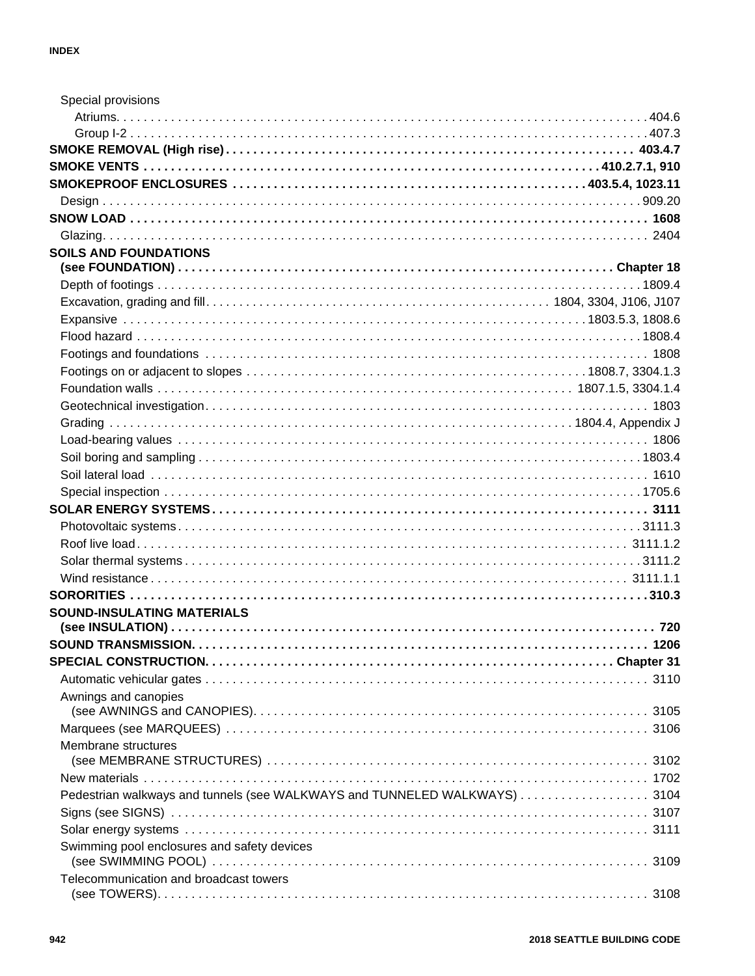| Special provisions                                                        |  |
|---------------------------------------------------------------------------|--|
|                                                                           |  |
|                                                                           |  |
|                                                                           |  |
|                                                                           |  |
|                                                                           |  |
|                                                                           |  |
|                                                                           |  |
|                                                                           |  |
| <b>SOILS AND FOUNDATIONS</b>                                              |  |
|                                                                           |  |
|                                                                           |  |
|                                                                           |  |
|                                                                           |  |
|                                                                           |  |
|                                                                           |  |
|                                                                           |  |
|                                                                           |  |
|                                                                           |  |
|                                                                           |  |
|                                                                           |  |
|                                                                           |  |
|                                                                           |  |
|                                                                           |  |
|                                                                           |  |
|                                                                           |  |
|                                                                           |  |
|                                                                           |  |
|                                                                           |  |
|                                                                           |  |
| <b>SOUND-INSULATING MATERIALS</b>                                         |  |
|                                                                           |  |
|                                                                           |  |
|                                                                           |  |
|                                                                           |  |
| Awnings and canopies                                                      |  |
|                                                                           |  |
| Membrane structures                                                       |  |
|                                                                           |  |
|                                                                           |  |
| Pedestrian walkways and tunnels (see WALKWAYS and TUNNELED WALKWAYS) 3104 |  |
|                                                                           |  |
|                                                                           |  |
| Swimming pool enclosures and safety devices                               |  |
| Telecommunication and broadcast towers                                    |  |
|                                                                           |  |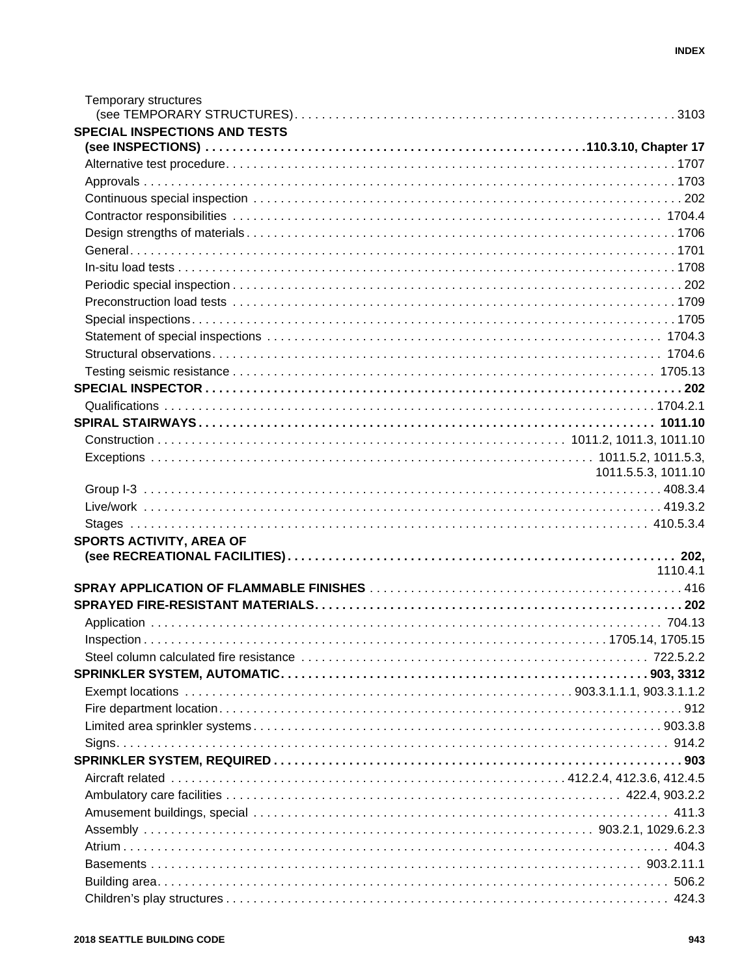| Temporary structures                 |                     |
|--------------------------------------|---------------------|
|                                      |                     |
| <b>SPECIAL INSPECTIONS AND TESTS</b> |                     |
|                                      |                     |
|                                      |                     |
|                                      |                     |
|                                      |                     |
|                                      |                     |
|                                      |                     |
|                                      |                     |
|                                      |                     |
|                                      |                     |
|                                      |                     |
|                                      |                     |
|                                      |                     |
|                                      |                     |
|                                      |                     |
|                                      |                     |
|                                      |                     |
|                                      |                     |
|                                      |                     |
|                                      | 1011.5.5.3, 1011.10 |
|                                      |                     |
|                                      |                     |
|                                      |                     |
| SPORTS ACTIVITY, AREA OF             |                     |
|                                      |                     |
|                                      | 1110.4.1            |
|                                      |                     |
|                                      |                     |
|                                      |                     |
|                                      |                     |
|                                      |                     |
|                                      |                     |
|                                      |                     |
|                                      |                     |
|                                      |                     |
|                                      |                     |
|                                      |                     |
|                                      |                     |
|                                      |                     |
|                                      |                     |
|                                      |                     |
|                                      |                     |
|                                      |                     |
|                                      |                     |
|                                      |                     |
|                                      |                     |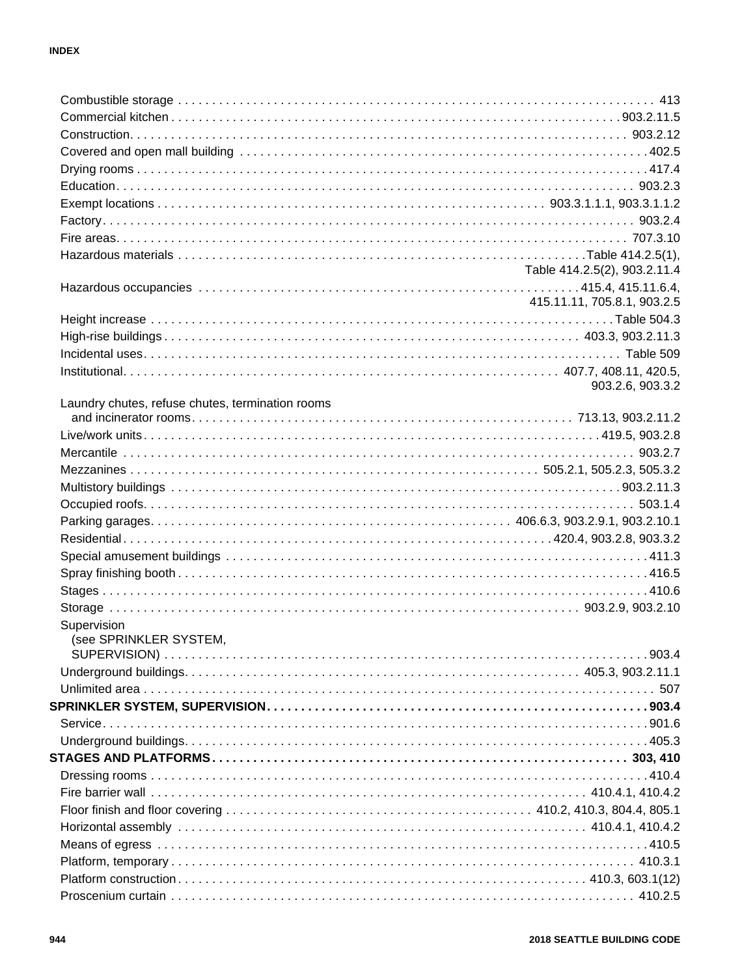|                                                  | Table 414.2.5(2), 903.2.11.4 |
|--------------------------------------------------|------------------------------|
|                                                  |                              |
|                                                  | 415.11.11, 705.8.1, 903.2.5  |
|                                                  |                              |
|                                                  |                              |
|                                                  |                              |
|                                                  |                              |
|                                                  | 903.2.6, 903.3.2             |
| Laundry chutes, refuse chutes, termination rooms |                              |
|                                                  |                              |
|                                                  |                              |
|                                                  |                              |
|                                                  |                              |
|                                                  |                              |
|                                                  |                              |
|                                                  |                              |
|                                                  |                              |
|                                                  |                              |
|                                                  |                              |
|                                                  |                              |
|                                                  |                              |
| Supervision                                      |                              |
| (see SPRINKLER SYSTEM,                           |                              |
|                                                  |                              |
|                                                  |                              |
|                                                  |                              |
|                                                  |                              |
|                                                  |                              |
|                                                  |                              |
|                                                  |                              |
|                                                  |                              |
|                                                  |                              |
|                                                  |                              |
|                                                  |                              |
|                                                  |                              |
|                                                  |                              |
|                                                  |                              |
|                                                  |                              |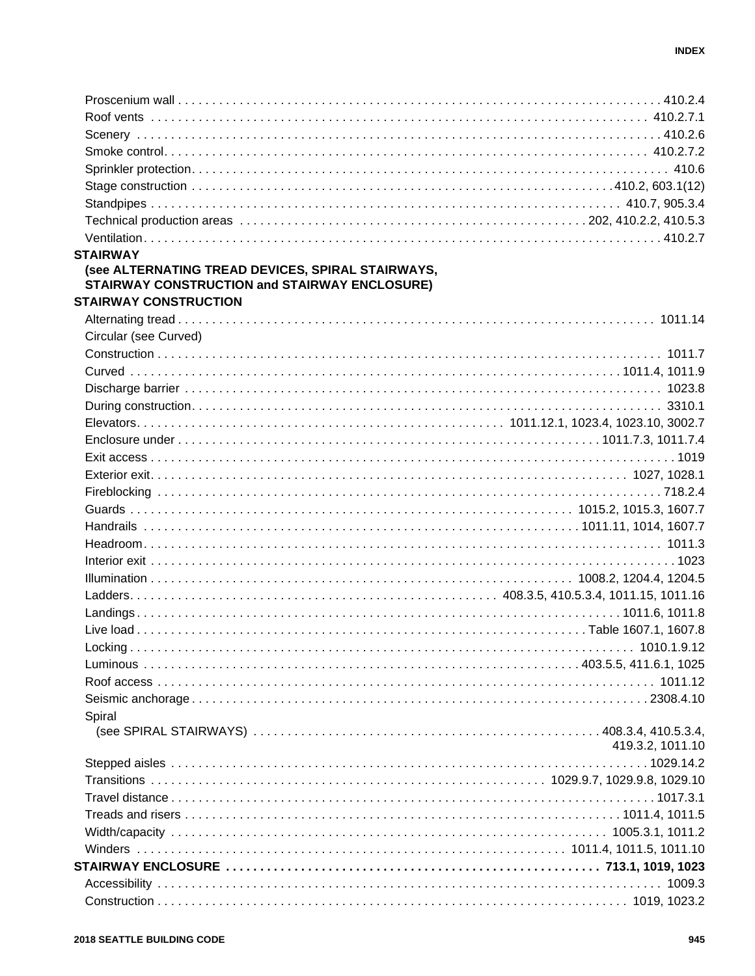| <b>STAIRWAY</b>                                      |                  |
|------------------------------------------------------|------------------|
| (see ALTERNATING TREAD DEVICES, SPIRAL STAIRWAYS,    |                  |
| <b>STAIRWAY CONSTRUCTION and STAIRWAY ENCLOSURE)</b> |                  |
| <b>STAIRWAY CONSTRUCTION</b>                         |                  |
|                                                      |                  |
| Circular (see Curved)                                |                  |
|                                                      |                  |
|                                                      |                  |
|                                                      |                  |
|                                                      |                  |
|                                                      |                  |
|                                                      |                  |
|                                                      |                  |
|                                                      |                  |
|                                                      |                  |
|                                                      |                  |
|                                                      |                  |
|                                                      |                  |
|                                                      |                  |
|                                                      |                  |
|                                                      |                  |
|                                                      |                  |
|                                                      |                  |
|                                                      |                  |
|                                                      |                  |
|                                                      |                  |
|                                                      |                  |
| Spiral                                               |                  |
|                                                      |                  |
|                                                      | 419.3.2, 1011.10 |
|                                                      |                  |
|                                                      |                  |
|                                                      |                  |
|                                                      |                  |
|                                                      |                  |
|                                                      |                  |
|                                                      |                  |
|                                                      |                  |
|                                                      |                  |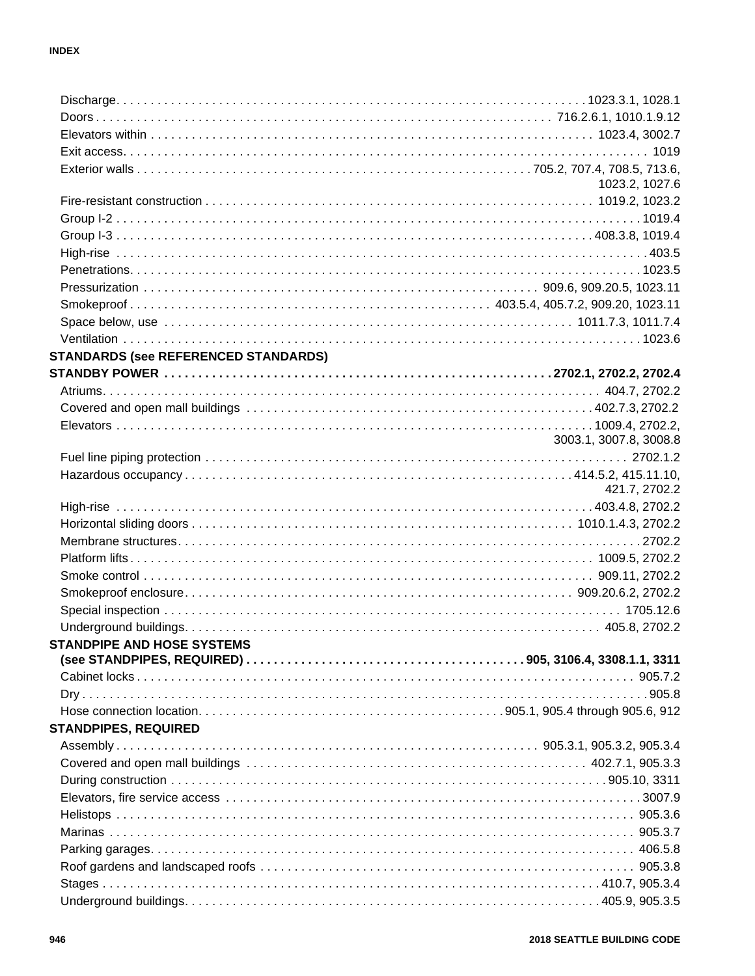|                                             | 1023.2, 1027.6         |
|---------------------------------------------|------------------------|
|                                             |                        |
|                                             |                        |
|                                             |                        |
|                                             |                        |
|                                             |                        |
|                                             |                        |
|                                             |                        |
|                                             |                        |
|                                             |                        |
| <b>STANDARDS (see REFERENCED STANDARDS)</b> |                        |
|                                             |                        |
|                                             |                        |
|                                             |                        |
|                                             |                        |
|                                             | 3003.1, 3007.8, 3008.8 |
|                                             |                        |
|                                             |                        |
|                                             | 421.7, 2702.2          |
|                                             |                        |
|                                             |                        |
|                                             |                        |
|                                             |                        |
|                                             |                        |
|                                             |                        |
|                                             |                        |
|                                             |                        |
| <b>STANDPIPE AND HOSE SYSTEMS</b>           |                        |
|                                             |                        |
|                                             |                        |
|                                             |                        |
|                                             |                        |
| <b>STANDPIPES, REQUIRED</b>                 |                        |
|                                             |                        |
|                                             |                        |
|                                             |                        |
|                                             |                        |
|                                             |                        |
|                                             |                        |
|                                             |                        |
|                                             |                        |
|                                             |                        |
|                                             |                        |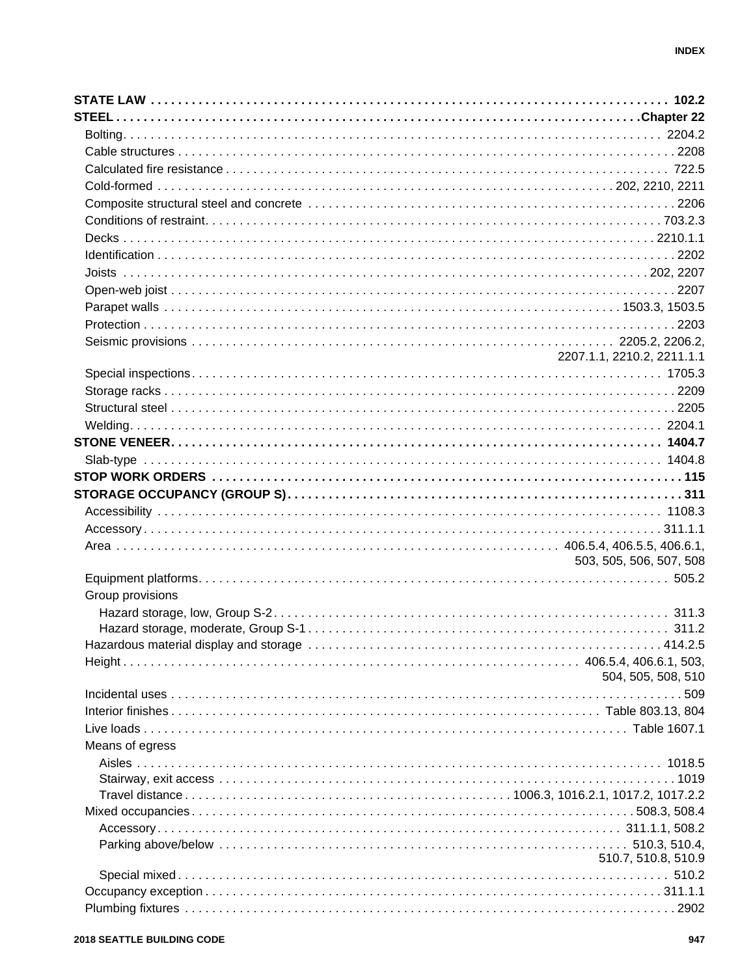|                  | 2207.1.1, 2210.2, 2211.1.1 |
|------------------|----------------------------|
|                  |                            |
|                  |                            |
|                  |                            |
|                  |                            |
|                  |                            |
|                  |                            |
|                  |                            |
|                  |                            |
|                  |                            |
|                  |                            |
|                  |                            |
|                  | 503, 505, 506, 507, 508    |
|                  |                            |
| Group provisions |                            |
|                  |                            |
|                  |                            |
|                  |                            |
|                  |                            |
|                  | 504, 505, 508, 510         |
|                  |                            |
|                  |                            |
|                  |                            |
| Means of egress  |                            |
|                  |                            |
|                  |                            |
|                  |                            |
|                  |                            |
|                  |                            |
|                  |                            |
|                  | 510.7, 510.8, 510.9        |
|                  |                            |
|                  |                            |
|                  |                            |
|                  |                            |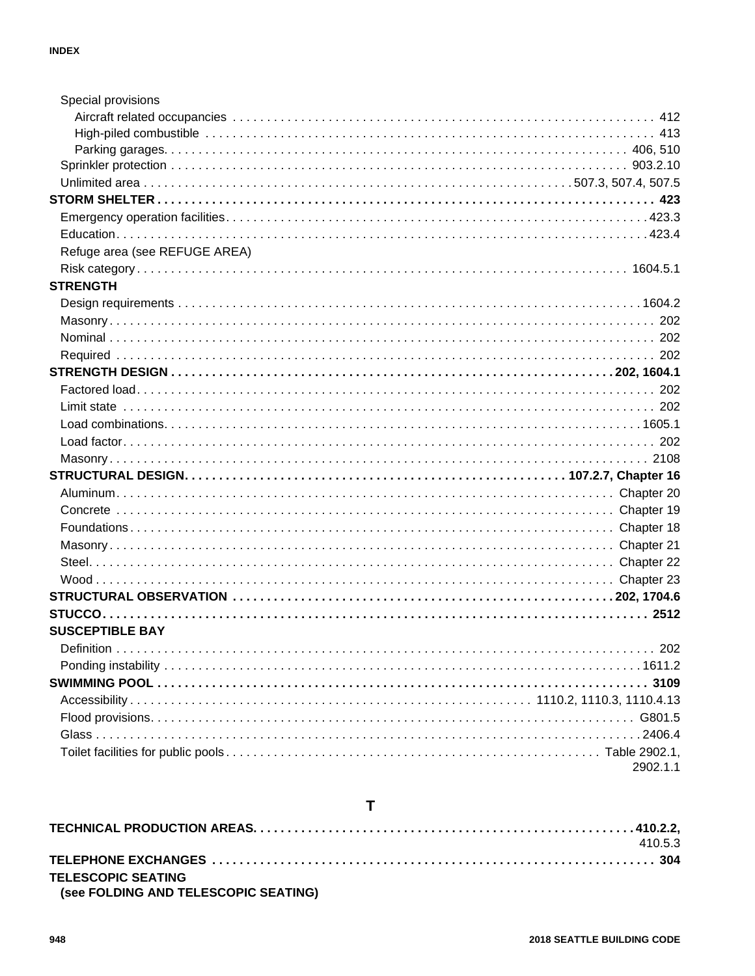| Special provisions            |          |
|-------------------------------|----------|
|                               |          |
|                               |          |
|                               |          |
|                               |          |
|                               |          |
|                               |          |
|                               |          |
|                               |          |
| Refuge area (see REFUGE AREA) |          |
|                               |          |
| <b>STRENGTH</b>               |          |
|                               |          |
|                               |          |
|                               |          |
|                               |          |
|                               |          |
|                               |          |
|                               |          |
|                               |          |
|                               |          |
|                               |          |
|                               |          |
|                               |          |
|                               |          |
|                               |          |
|                               |          |
|                               |          |
|                               |          |
|                               |          |
|                               |          |
| <b>SUSCEPTIBLE BAY</b>        |          |
| Definition                    | 202      |
|                               |          |
|                               |          |
|                               |          |
|                               |          |
|                               |          |
|                               |          |
|                               | 2902.1.1 |

### $\mathbf T$

|                                      | 410.5.3 |
|--------------------------------------|---------|
|                                      |         |
| <b>TELESCOPIC SEATING</b>            |         |
| (see FOLDING AND TELESCOPIC SEATING) |         |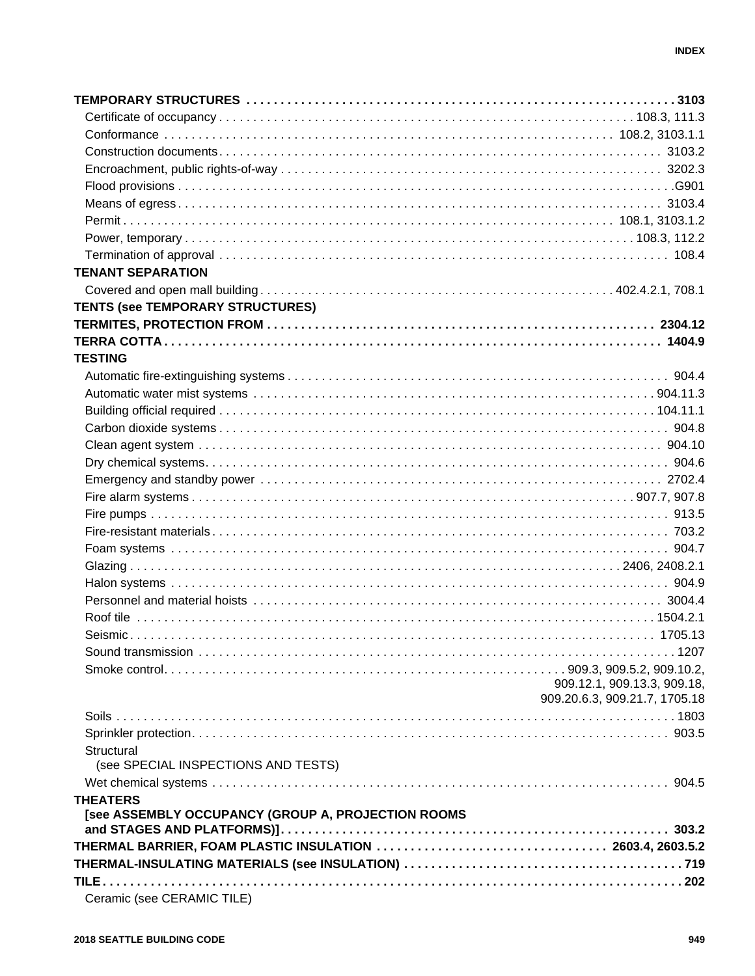| <b>TENANT SEPARATION</b>                           |                               |
|----------------------------------------------------|-------------------------------|
|                                                    |                               |
| <b>TENTS (see TEMPORARY STRUCTURES)</b>            |                               |
|                                                    |                               |
|                                                    |                               |
| <b>TESTING</b>                                     |                               |
|                                                    |                               |
|                                                    |                               |
|                                                    |                               |
|                                                    |                               |
|                                                    |                               |
|                                                    |                               |
|                                                    |                               |
|                                                    |                               |
|                                                    |                               |
|                                                    |                               |
|                                                    |                               |
|                                                    |                               |
|                                                    |                               |
|                                                    |                               |
|                                                    |                               |
|                                                    |                               |
|                                                    |                               |
|                                                    |                               |
|                                                    | 909.12.1, 909.13.3, 909.18,   |
|                                                    | 909.20.6.3, 909.21.7, 1705.18 |
|                                                    |                               |
|                                                    |                               |
| Structural                                         |                               |
| (see SPECIAL INSPECTIONS AND TESTS)                |                               |
|                                                    |                               |
| <b>THEATERS</b>                                    |                               |
| [see ASSEMBLY OCCUPANCY (GROUP A, PROJECTION ROOMS |                               |
|                                                    |                               |
|                                                    |                               |
|                                                    |                               |
|                                                    |                               |
| Ceramic (see CERAMIC TILE)                         |                               |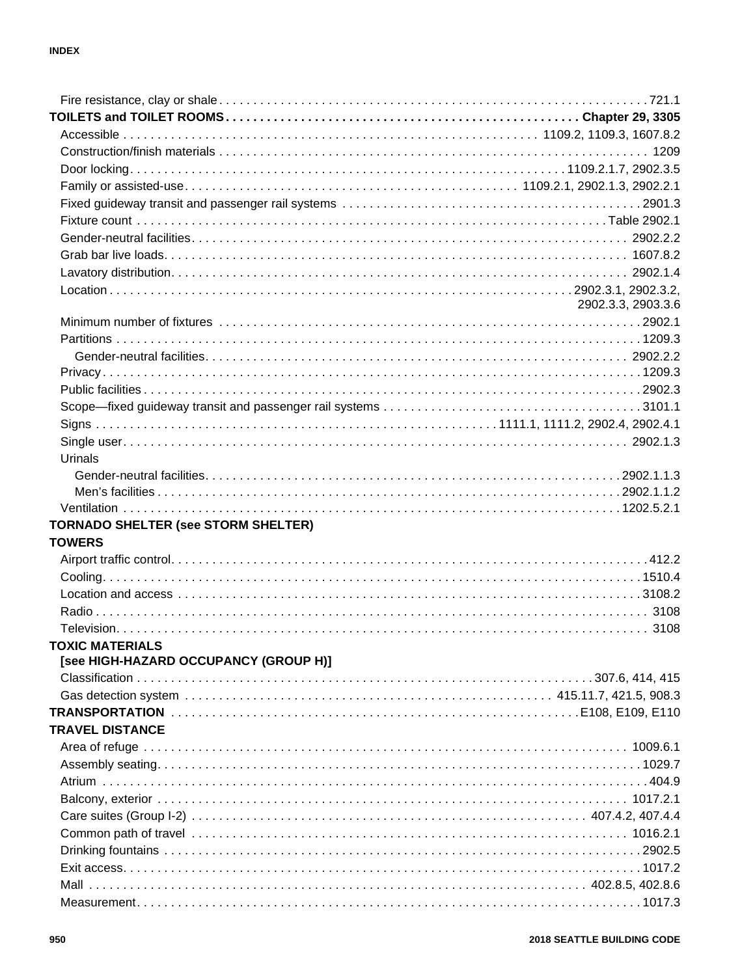|                                                                                                                      | 2902.3.3, 2903.3.6 |
|----------------------------------------------------------------------------------------------------------------------|--------------------|
|                                                                                                                      |                    |
|                                                                                                                      |                    |
|                                                                                                                      |                    |
|                                                                                                                      |                    |
|                                                                                                                      |                    |
|                                                                                                                      |                    |
|                                                                                                                      |                    |
|                                                                                                                      |                    |
| Urinals                                                                                                              |                    |
|                                                                                                                      |                    |
|                                                                                                                      |                    |
|                                                                                                                      |                    |
| <b>TORNADO SHELTER (see STORM SHELTER)</b>                                                                           |                    |
| <b>TOWERS</b>                                                                                                        |                    |
|                                                                                                                      |                    |
|                                                                                                                      |                    |
|                                                                                                                      |                    |
|                                                                                                                      |                    |
|                                                                                                                      |                    |
| <b>TOXIC MATERIALS EXAMPLE AND SERVICE SERVICE SERVICE SERVICE SERVICE SERVICE SERVICE SERVICE SERVICE SERVICE S</b> |                    |
| [see HIGH-HAZARD OCCUPANCY (GROUP H)]                                                                                |                    |
|                                                                                                                      |                    |
|                                                                                                                      |                    |
|                                                                                                                      |                    |
| <b>TRAVEL DISTANCE</b>                                                                                               |                    |
|                                                                                                                      |                    |
|                                                                                                                      |                    |
|                                                                                                                      |                    |
|                                                                                                                      |                    |
|                                                                                                                      |                    |
|                                                                                                                      |                    |
|                                                                                                                      |                    |
|                                                                                                                      |                    |
|                                                                                                                      |                    |
|                                                                                                                      |                    |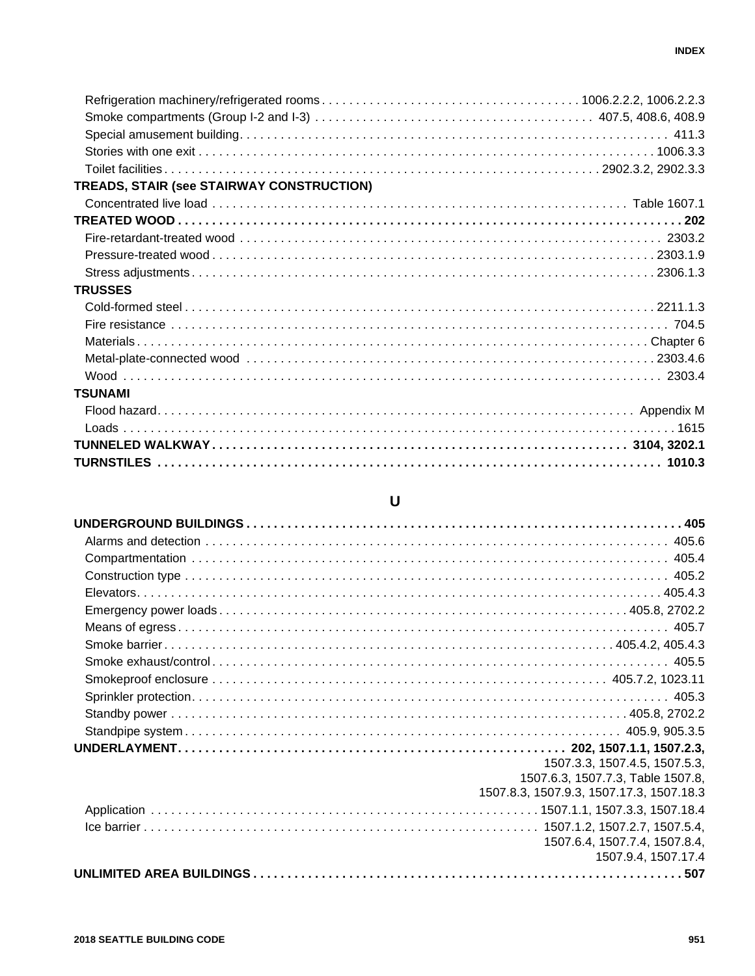| TREADS, STAIR (see STAIRWAY CONSTRUCTION) |  |
|-------------------------------------------|--|
|                                           |  |
|                                           |  |
|                                           |  |
|                                           |  |
|                                           |  |
| <b>TRUSSES</b>                            |  |
|                                           |  |
|                                           |  |
|                                           |  |
|                                           |  |
|                                           |  |
| <b>TSUNAMI</b>                            |  |
|                                           |  |
|                                           |  |
|                                           |  |
|                                           |  |

## $\bigcup$

| 1507.3.3, 1507.4.5, 1507.5.3,            |
|------------------------------------------|
| 1507.6.3, 1507.7.3, Table 1507.8,        |
| 1507.8.3, 1507.9.3, 1507.17.3, 1507.18.3 |
|                                          |
|                                          |
| 1507.6.4, 1507.7.4, 1507.8.4,            |
| 1507.9.4, 1507.17.4                      |
|                                          |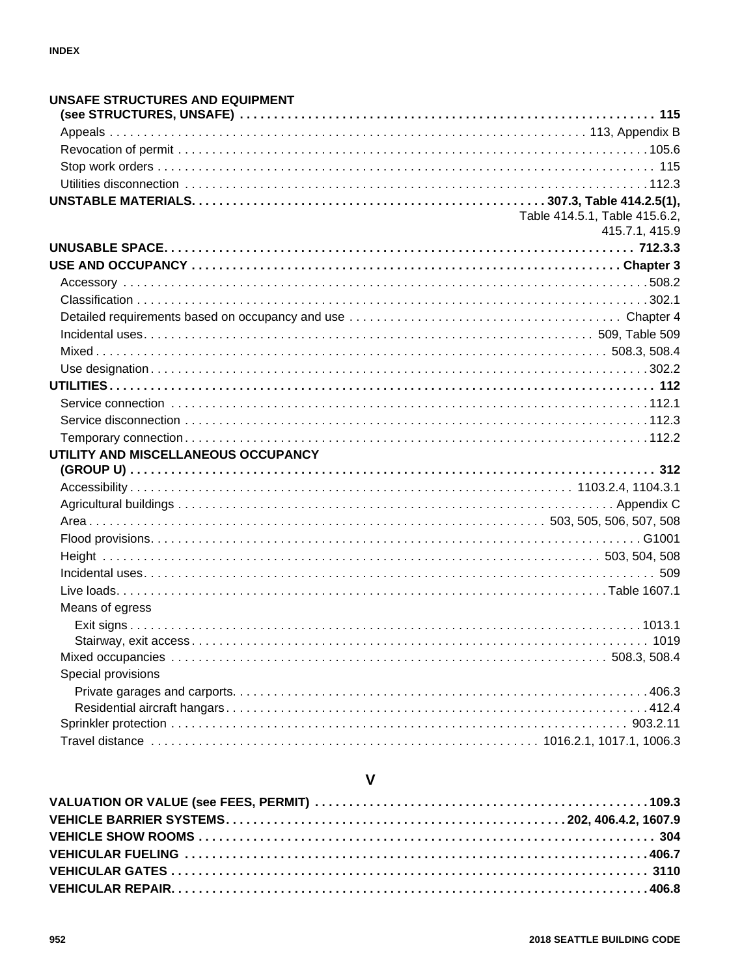| UNSAFE STRUCTURES AND EQUIPMENT     |                                                 |
|-------------------------------------|-------------------------------------------------|
|                                     |                                                 |
|                                     |                                                 |
|                                     |                                                 |
|                                     |                                                 |
|                                     |                                                 |
|                                     |                                                 |
|                                     | Table 414.5.1, Table 415.6.2,<br>415.7.1, 415.9 |
|                                     |                                                 |
|                                     |                                                 |
|                                     |                                                 |
|                                     |                                                 |
|                                     |                                                 |
|                                     |                                                 |
|                                     |                                                 |
|                                     |                                                 |
|                                     |                                                 |
|                                     |                                                 |
|                                     |                                                 |
|                                     |                                                 |
|                                     |                                                 |
| UTILITY AND MISCELLANEOUS OCCUPANCY |                                                 |
|                                     |                                                 |
|                                     |                                                 |
|                                     |                                                 |
|                                     |                                                 |
|                                     |                                                 |
|                                     |                                                 |
|                                     |                                                 |
|                                     |                                                 |
| Means of egress                     |                                                 |
|                                     |                                                 |
|                                     |                                                 |
|                                     |                                                 |
| Special provisions                  |                                                 |
|                                     |                                                 |
|                                     |                                                 |
|                                     |                                                 |
|                                     |                                                 |

### $\mathsf{V}$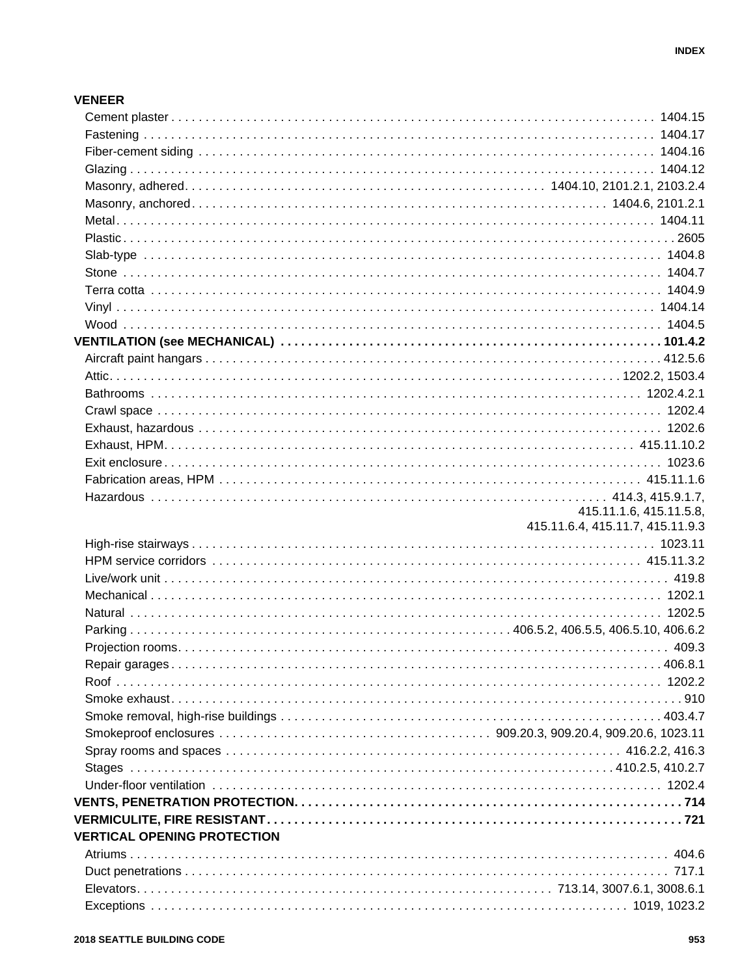#### **VENEER**

|                                    | 415.11.1.6, 415.11.5.8,          |
|------------------------------------|----------------------------------|
|                                    | 415.11.6.4, 415.11.7, 415.11.9.3 |
|                                    |                                  |
|                                    |                                  |
|                                    |                                  |
|                                    |                                  |
|                                    |                                  |
|                                    |                                  |
|                                    |                                  |
|                                    |                                  |
|                                    |                                  |
|                                    |                                  |
|                                    |                                  |
|                                    |                                  |
|                                    |                                  |
|                                    |                                  |
|                                    |                                  |
|                                    |                                  |
| <b>VERTICAL OPENING PROTECTION</b> |                                  |
|                                    |                                  |
|                                    |                                  |
|                                    |                                  |
|                                    |                                  |
|                                    |                                  |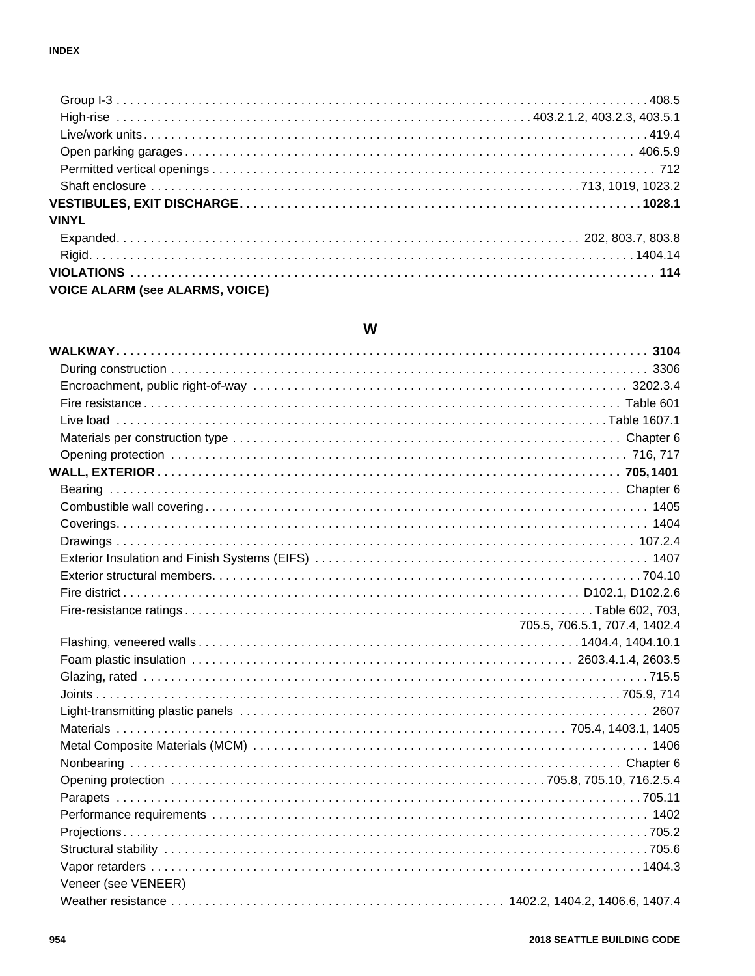| <b>VINYL</b>                           |  |
|----------------------------------------|--|
|                                        |  |
|                                        |  |
|                                        |  |
| <b>VOICE ALARM (see ALARMS, VOICE)</b> |  |

#### W

|                     | 705.5, 706.5.1, 707.4, 1402.4 |
|---------------------|-------------------------------|
|                     |                               |
|                     |                               |
|                     |                               |
|                     |                               |
|                     |                               |
|                     |                               |
|                     |                               |
|                     |                               |
|                     |                               |
|                     |                               |
|                     |                               |
|                     |                               |
|                     |                               |
|                     |                               |
| Veneer (see VENEER) |                               |
|                     |                               |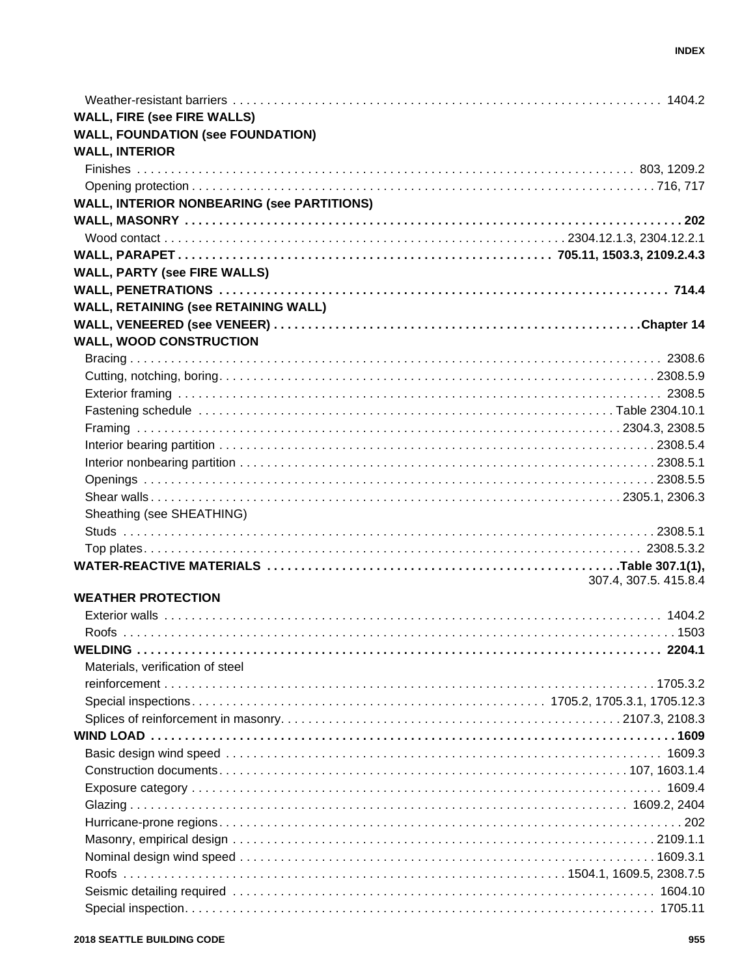| <b>WALL, FIRE (see FIRE WALLS)</b>                |                       |
|---------------------------------------------------|-----------------------|
| <b>WALL, FOUNDATION (see FOUNDATION)</b>          |                       |
| <b>WALL, INTERIOR</b>                             |                       |
|                                                   |                       |
|                                                   |                       |
| <b>WALL, INTERIOR NONBEARING (see PARTITIONS)</b> |                       |
|                                                   |                       |
|                                                   |                       |
|                                                   |                       |
| <b>WALL, PARTY (see FIRE WALLS)</b>               |                       |
|                                                   |                       |
|                                                   |                       |
| <b>WALL, RETAINING (see RETAINING WALL)</b>       |                       |
|                                                   |                       |
| <b>WALL, WOOD CONSTRUCTION</b>                    |                       |
|                                                   |                       |
|                                                   |                       |
|                                                   |                       |
|                                                   |                       |
|                                                   |                       |
|                                                   |                       |
|                                                   |                       |
|                                                   |                       |
|                                                   |                       |
| Sheathing (see SHEATHING)                         |                       |
|                                                   |                       |
|                                                   |                       |
|                                                   |                       |
|                                                   | 307.4, 307.5. 415.8.4 |
| <b>WEATHER PROTECTION</b>                         |                       |
|                                                   |                       |
|                                                   |                       |
|                                                   |                       |
| Materials, verification of steel                  |                       |
|                                                   |                       |
|                                                   |                       |
|                                                   |                       |
|                                                   |                       |
|                                                   |                       |
|                                                   |                       |
|                                                   |                       |
|                                                   |                       |
|                                                   |                       |
|                                                   |                       |
|                                                   |                       |
|                                                   |                       |
|                                                   |                       |
|                                                   |                       |
|                                                   |                       |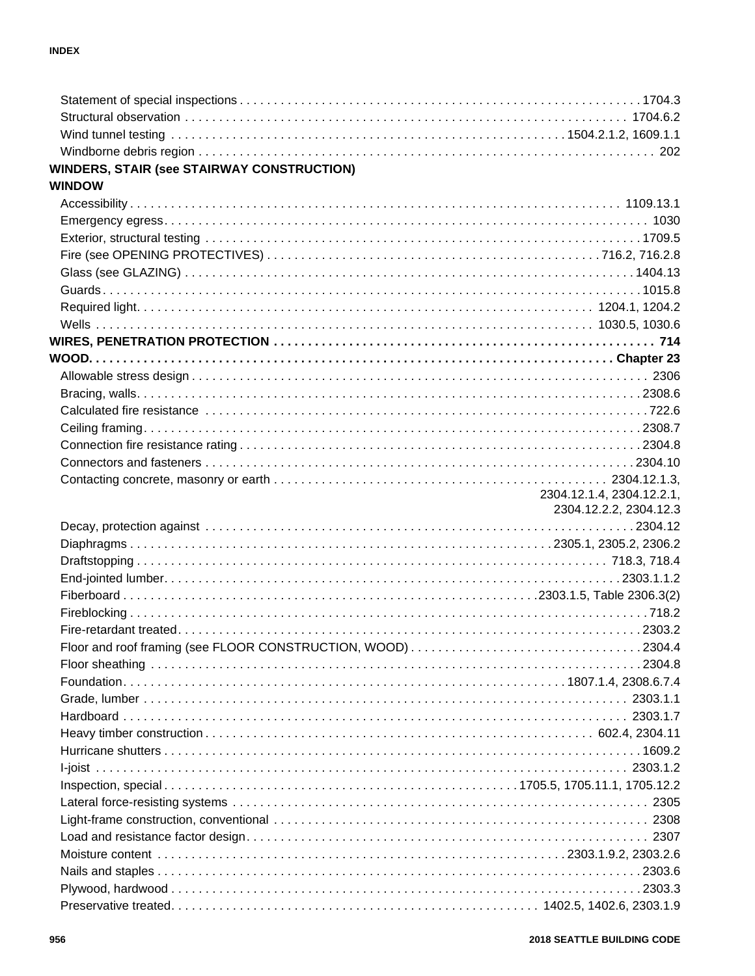| <b>WINDERS, STAIR (see STAIRWAY CONSTRUCTION)</b> |                           |
|---------------------------------------------------|---------------------------|
| <b>WINDOW</b>                                     |                           |
|                                                   |                           |
|                                                   |                           |
|                                                   |                           |
|                                                   |                           |
|                                                   |                           |
|                                                   |                           |
|                                                   |                           |
|                                                   |                           |
|                                                   |                           |
|                                                   |                           |
|                                                   |                           |
|                                                   |                           |
|                                                   |                           |
|                                                   |                           |
|                                                   |                           |
|                                                   |                           |
|                                                   |                           |
|                                                   | 2304.12.1.4, 2304.12.2.1, |
|                                                   | 2304.12.2.2, 2304.12.3    |
|                                                   |                           |
|                                                   |                           |
|                                                   |                           |
|                                                   |                           |
|                                                   |                           |
|                                                   |                           |
|                                                   |                           |
|                                                   |                           |
|                                                   |                           |
|                                                   |                           |
|                                                   | 2303.1.7                  |
|                                                   |                           |
|                                                   |                           |
|                                                   |                           |
|                                                   |                           |
|                                                   |                           |
|                                                   |                           |
|                                                   |                           |
|                                                   |                           |
|                                                   |                           |
|                                                   |                           |
|                                                   |                           |
|                                                   |                           |